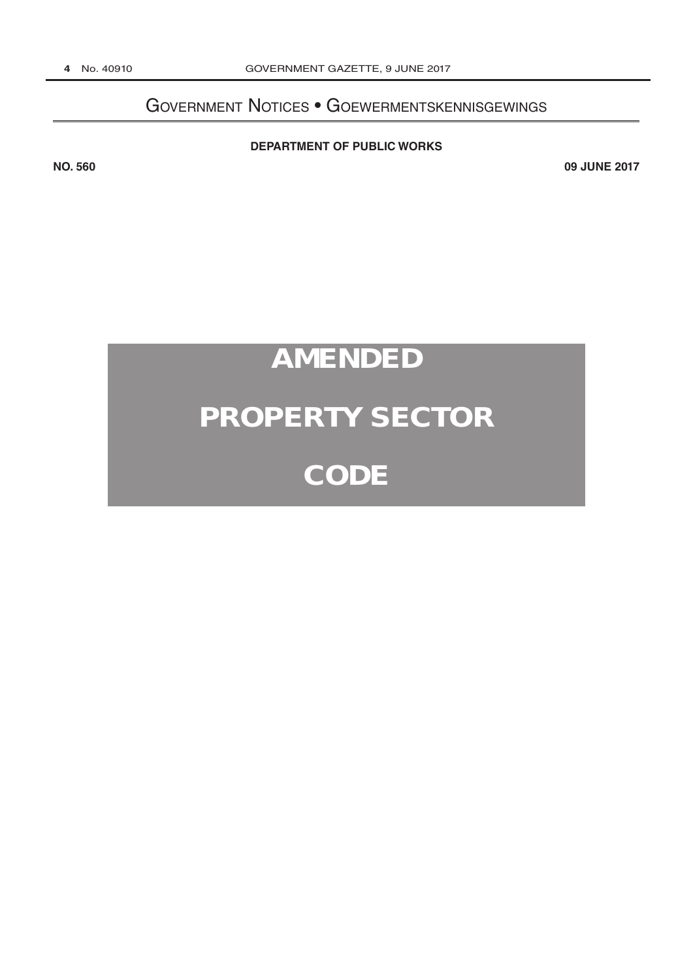# Government Notices • Goewermentskennisgewings

#### **[DEPARTMENT OF PUBLIC WORKS](http://www.greengazette.co.za/departments/public-works)**

**NO. 560 09 JUNE 2017**

# **AMENDED**

# **PROPERTY SECTOR**

# **CODE**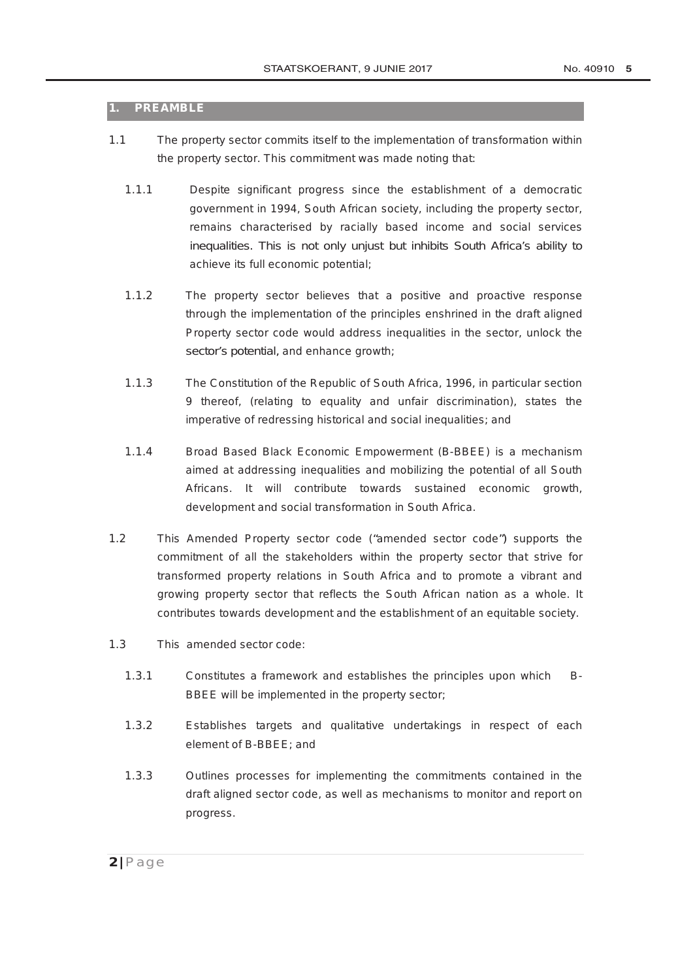#### **1. PREAMBLE**

- 1.1 The property sector commits itself to the implementation of transformation within the property sector. This commitment was made noting that:
	- 1.1.1 Despite significant progress since the establishment of a democratic government in 1994, South African society, including the property sector, remains characterised by racially based income and social services inequalities. This is not only unjust but inhibits South Africa's ability to achieve its full economic potential;
	- 1.1.2 The property sector believes that a positive and proactive response through the implementation of the principles enshrined in the draft aligned Property sector code would address inequalities in the sector, unlock the sector's potential, and enhance growth;
	- 1.1.3 The Constitution of the Republic of South Africa, 1996, in particular section 9 thereof, (relating to equality and unfair discrimination), states the imperative of redressing historical and social inequalities; and
	- 1.1.4 Broad Based Black Economic Empowerment (B-BBEE) is a mechanism aimed at addressing inequalities and mobilizing the potential of all South Africans. It will contribute towards sustained economic growth, development and social transformation in South Africa.
- 1.2 This Amended Property sector code ("amended sector code") supports the commitment of all the stakeholders within the property sector that strive for transformed property relations in South Africa and to promote a vibrant and growing property sector that reflects the South African nation as a whole. It contributes towards development and the establishment of an equitable society.
- 1.3 This amended sector code:
	- 1.3.1 Constitutes a framework and establishes the principles upon which B-BBEE will be implemented in the property sector;
	- 1.3.2 Establishes targets and qualitative undertakings in respect of each element of B-BBEE; and
	- 1.3.3 Outlines processes for implementing the commitments contained in the draft aligned sector code, as well as mechanisms to monitor and report on progress.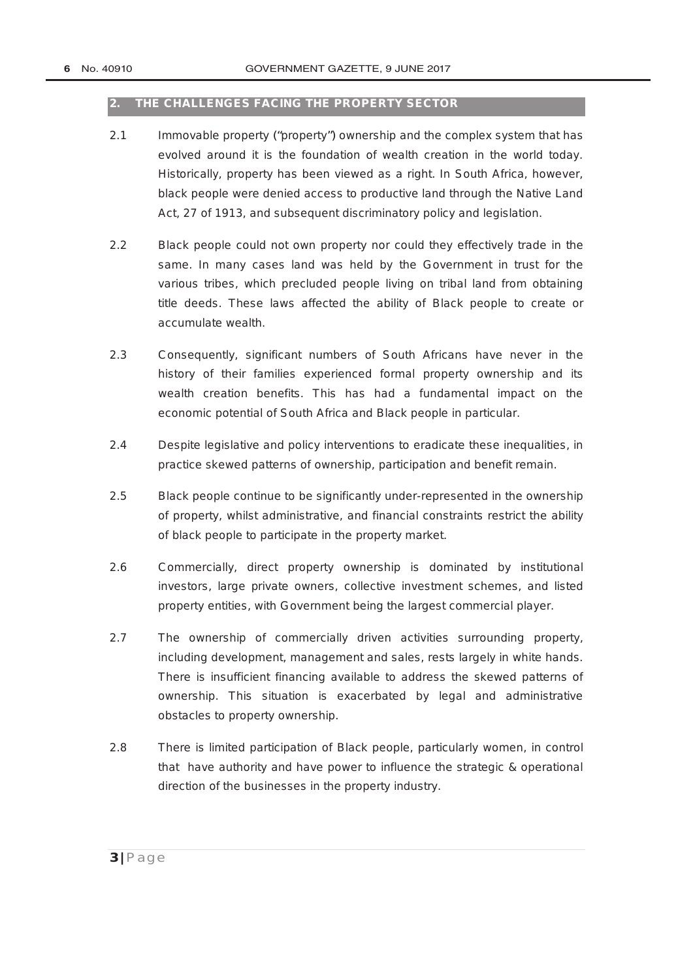#### **2. THE CHALLENGES FACING THE PROPERTY SECTOR**

- 2.1 Immovable property ("*property*") ownership and the complex system that has evolved around it is the foundation of wealth creation in the world today. Historically, property has been viewed as a right. In South Africa, however, black people were denied access to productive land through the Native Land Act, 27 of 1913, and subsequent discriminatory policy and legislation.
- 2.2 Black people could not own property nor could they effectively trade in the same. In many cases land was held by the Government in trust for the various tribes, which precluded people living on tribal land from obtaining title deeds. These laws affected the ability of Black people to create or accumulate wealth.
- 2.3 Consequently, significant numbers of South Africans have never in the history of their families experienced formal property ownership and its wealth creation benefits. This has had a fundamental impact on the economic potential of South Africa and Black people in particular.
- 2.4 Despite legislative and policy interventions to eradicate these inequalities, in practice skewed patterns of ownership, participation and benefit remain.
- 2.5 Black people continue to be significantly under-represented in the ownership of property, whilst administrative, and financial constraints restrict the ability of black people to participate in the property market.
- 2.6 Commercially, direct property ownership is dominated by institutional investors, large private owners, collective investment schemes, and listed property entities, with Government being the largest commercial player.
- 2.7 The ownership of commercially driven activities surrounding property, including development, management and sales, rests largely in white hands. There is insufficient financing available to address the skewed patterns of ownership. This situation is exacerbated by legal and administrative obstacles to property ownership.
- 2.8 There is limited participation of Black people, particularly women, in control that have authority and have power to influence the strategic & operational direction of the businesses in the property industry.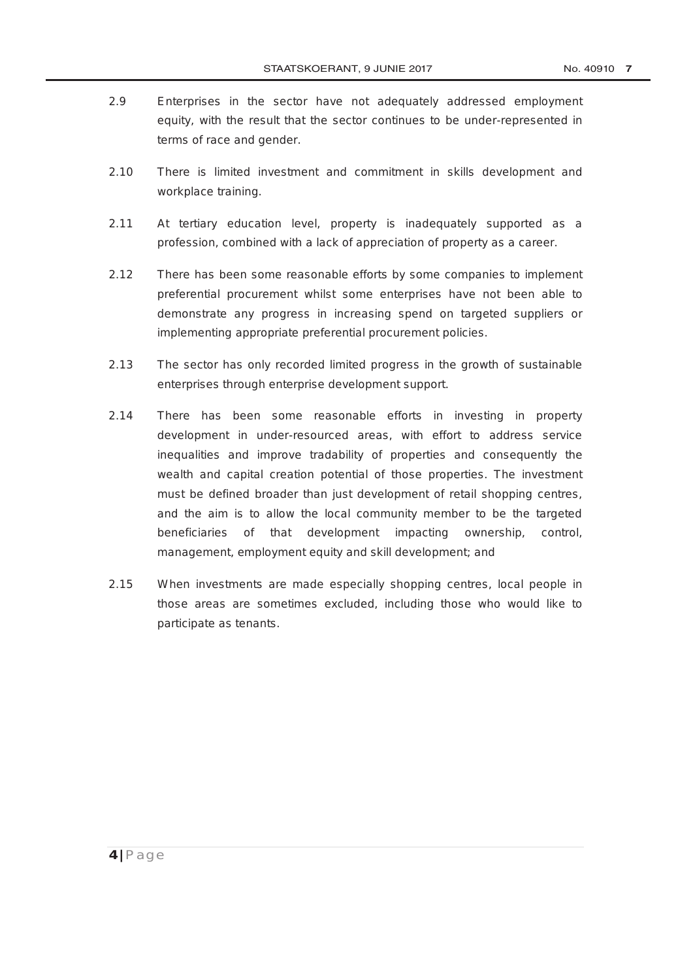- 2.9 Enterprises in the sector have not adequately addressed employment equity, with the result that the sector continues to be under-represented in terms of race and gender.
- 2.10 There is limited investment and commitment in skills development and workplace training.
- 2.11 At tertiary education level, property is inadequately supported as a profession, combined with a lack of appreciation of property as a career.
- 2.12 There has been some reasonable efforts by some companies to implement preferential procurement whilst some enterprises have not been able to demonstrate any progress in increasing spend on targeted suppliers or implementing appropriate preferential procurement policies.
- 2.13 The sector has only recorded limited progress in the growth of sustainable enterprises through enterprise development support.
- 2.14 There has been some reasonable efforts in investing in property development in under-resourced areas, with effort to address service inequalities and improve tradability of properties and consequently the wealth and capital creation potential of those properties. The investment must be defined broader than just development of retail shopping centres, and the aim is to allow the local community member to be the targeted beneficiaries of that development impacting ownership, control, management, employment equity and skill development; and
- 2.15 When investments are made especially shopping centres, local people in those areas are sometimes excluded, including those who would like to participate as tenants.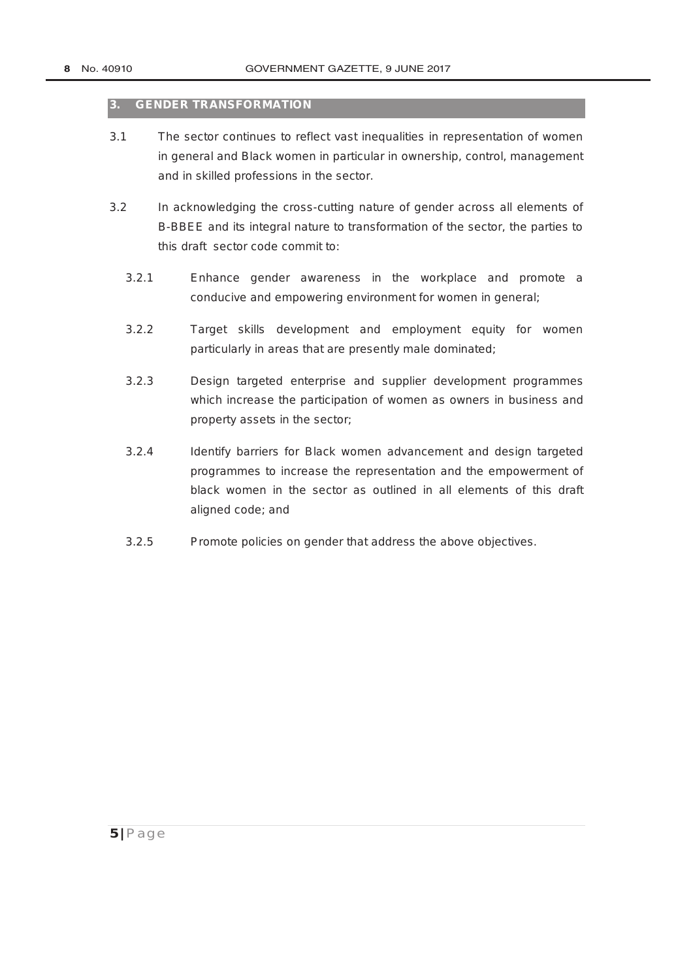#### **3. GENDER TRANSFORMATION**

- 3.1 The sector continues to reflect vast inequalities in representation of women in general and Black women in particular in ownership, control, management and in skilled professions in the sector.
- 3.2 In acknowledging the cross-cutting nature of gender across all elements of B-BBEE and its integral nature to transformation of the sector, the parties to this draft sector code commit to:
	- 3.2.1 Enhance gender awareness in the workplace and promote a conducive and empowering environment for women in general;
	- 3.2.2 Target skills development and employment equity for women particularly in areas that are presently male dominated;
	- 3.2.3 Design targeted enterprise and supplier development programmes which increase the participation of women as owners in business and property assets in the sector;
	- 3.2.4 Identify barriers for Black women advancement and design targeted programmes to increase the representation and the empowerment of black women in the sector as outlined in all elements of this draft aligned code; and
	- 3.2.5 Promote policies on gender that address the above objectives.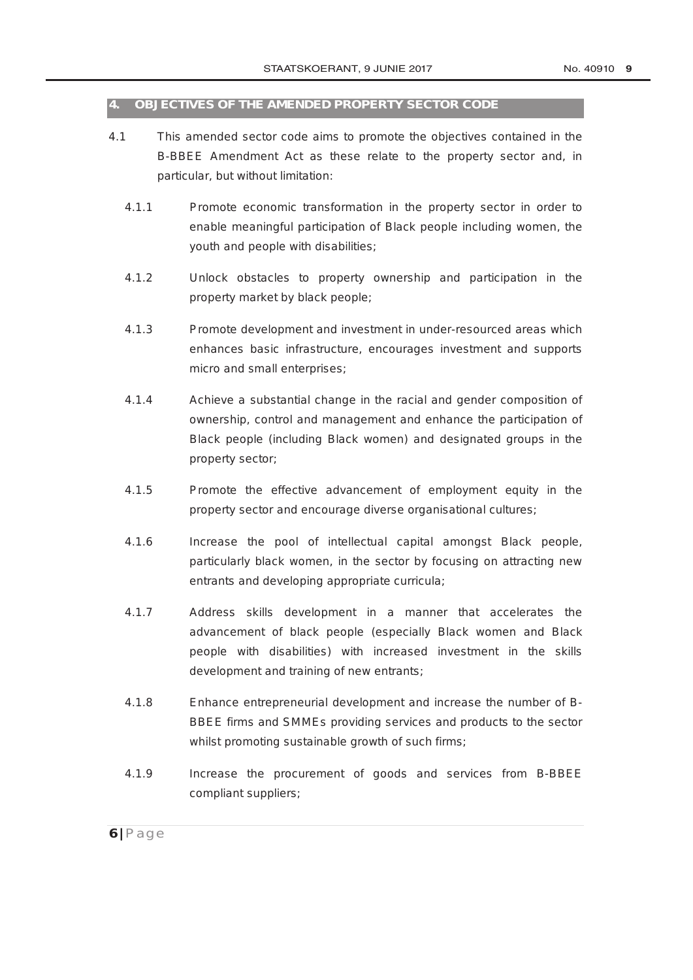#### **4. OBJECTIVES OF THE AMENDED PROPERTY SECTOR CODE**

- 4.1 This amended sector code aims to promote the objectives contained in the B-BBEE Amendment Act as these relate to the property sector and, in particular, but without limitation:
	- 4.1.1 Promote economic transformation in the property sector in order to enable meaningful participation of Black people including women, the youth and people with disabilities;
	- 4.1.2 Unlock obstacles to property ownership and participation in the property market by black people;
	- 4.1.3 Promote development and investment in under-resourced areas which enhances basic infrastructure, encourages investment and supports micro and small enterprises;
	- 4.1.4 Achieve a substantial change in the racial and gender composition of ownership, control and management and enhance the participation of Black people (including Black women) and designated groups in the property sector;
	- 4.1.5 Promote the effective advancement of employment equity in the property sector and encourage diverse organisational cultures;
	- 4.1.6 Increase the pool of intellectual capital amongst Black people, particularly black women, in the sector by focusing on attracting new entrants and developing appropriate curricula;
	- 4.1.7 Address skills development in a manner that accelerates the advancement of black people (especially Black women and Black people with disabilities) with increased investment in the skills development and training of new entrants;
	- 4.1.8 Enhance entrepreneurial development and increase the number of B-BBEE firms and SMMEs providing services and products to the sector whilst promoting sustainable growth of such firms;
	- 4.1.9 Increase the procurement of goods and services from B-BBEE compliant suppliers;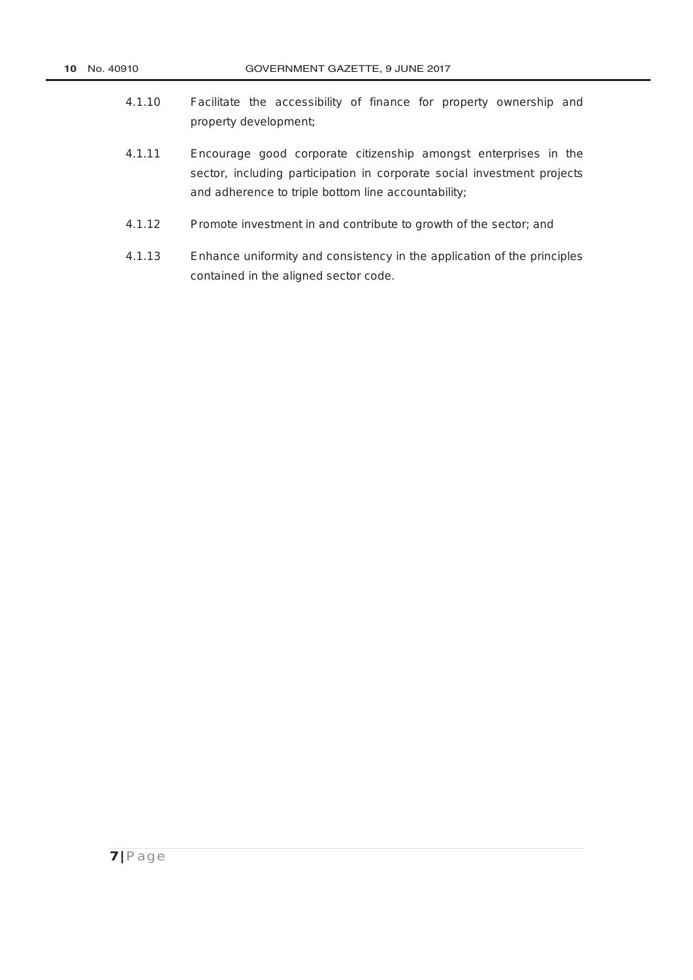- 4.1.10 Facilitate the accessibility of finance for property ownership and property development;
- 4.1.11 Encourage good corporate citizenship amongst enterprises in the sector, including participation in corporate social investment projects and adherence to triple bottom line accountability;
- 4.1.12 Promote investment in and contribute to growth of the sector; and
- 4.1.13 Enhance uniformity and consistency in the application of the principles contained in the aligned sector code.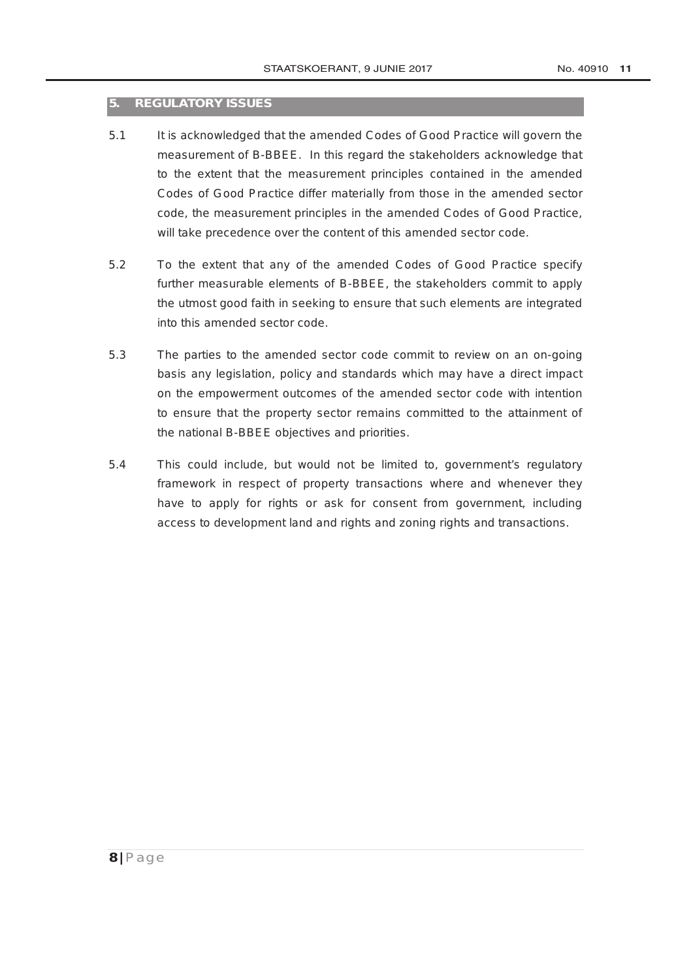#### **5. REGULATORY ISSUES**

- 5.1 It is acknowledged that the amended Codes of Good Practice will govern the measurement of B-BBEE. In this regard the stakeholders acknowledge that to the extent that the measurement principles contained in the amended Codes of Good Practice differ materially from those in the amended sector code, the measurement principles in the amended Codes of Good Practice, will take precedence over the content of this amended sector code.
- 5.2 To the extent that any of the amended Codes of Good Practice specify further measurable elements of B-BBEE, the stakeholders commit to apply the utmost good faith in seeking to ensure that such elements are integrated into this amended sector code.
- 5.3 The parties to the amended sector code commit to review on an on-going basis any legislation, policy and standards which may have a direct impact on the empowerment outcomes of the amended sector code with intention to ensure that the property sector remains committed to the attainment of the national B-BBEE objectives and priorities.
- 5.4 This could include, but would not be limited to, government's regulatory framework in respect of property transactions where and whenever they have to apply for rights or ask for consent from government, including access to development land and rights and zoning rights and transactions.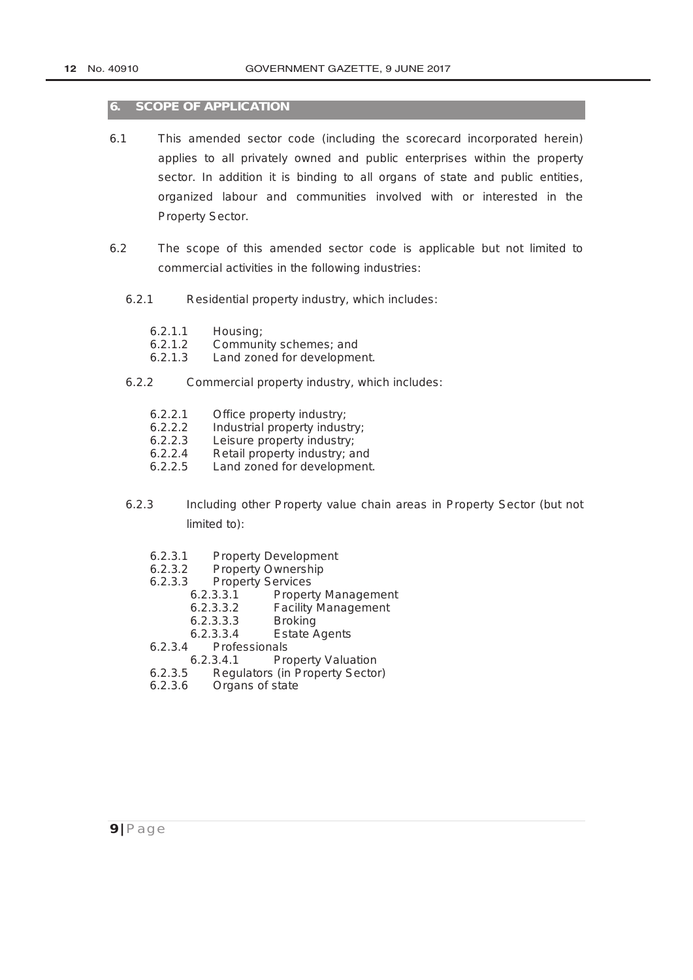#### **6. SCOPE OF APPLICATION**

- 6.1 This amended sector code (including the scorecard incorporated herein) applies to all privately owned and public enterprises within the property sector. In addition it is binding to all organs of state and public entities, organized labour and communities involved with or interested in the Property Sector.
- 6.2 The scope of this amended sector code is applicable but not limited to commercial activities in the following industries:
	- 6.2.1 Residential property industry, which includes:
		- 6.2.1.1 Housing;<br>6.2.1.2 Commun
		- 6.2.1.2 Community schemes; and<br>6.2.1.3 Land zoned for developme
		- Land zoned for development.
	- 6.2.2 Commercial property industry, which includes:
		- 6.2.2.1 Office property industry;<br>6.2.2.2 Industrial property indus
		- 6.2.2.2 Industrial property industry;<br>6.2.2.3 Leisure property industry:
		- Leisure property industry:
		- 6.2.2.4 Retail property industry; and
		- 6.2.2.5 Land zoned for development.
	- 6.2.3 Including other Property value chain areas in Property Sector (but not limited to):
		- 6.2.3.1 Property Development<br>6.2.3.2 Property Ownership
		- 6.2.3.2 Property Ownership<br>6.2.3.3 Property Services
		- Property Services<br>6.2.3.3.1 Propert
			- Property Management
			- 6.2.3.3.2 Facility Management
			- 6.2.3.3.3 Broking<br>6.2.3.3.4 Estate /
		- 6.2.3.3.4 Estate Agents<br>6.2.3.4 Professionals
		- **Professionals**
		- 6.2.3.4.1 Property Valuation<br>6.2.3.5 Regulators (in Property Sector
		- 6.2.3.5 Regulators (in Property Sector)<br>6.2.3.6 Organs of state
		- Organs of state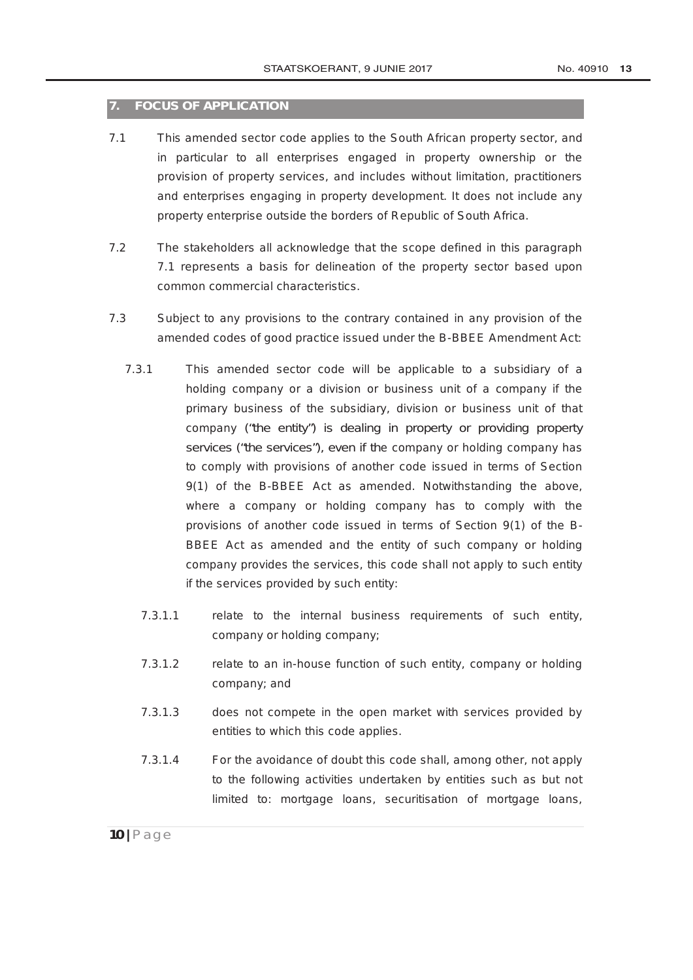#### **7. FOCUS OF APPLICATION**

- 7.1 This amended sector code applies to the South African property sector, and in particular to all enterprises engaged in property ownership or the provision of property services, and includes without limitation, practitioners and enterprises engaging in property development. It does not include any property enterprise outside the borders of Republic of South Africa.
- 7.2 The stakeholders all acknowledge that the scope defined in this paragraph 7.1 represents a basis for delineation of the property sector based upon common commercial characteristics.
- 7.3 Subject to any provisions to the contrary contained in any provision of the amended codes of good practice issued under the B-BBEE Amendment Act:
	- 7.3.1 This amended sector code will be applicable to a subsidiary of a holding company or a division or business unit of a company if the primary business of the subsidiary, division or business unit of that company ("the entity") is dealing in property or providing property services ("the services"), even if the company or holding company has to comply with provisions of another code issued in terms of Section 9(1) of the B-BBEE Act as amended. Notwithstanding the above, where a company or holding company has to comply with the provisions of another code issued in terms of Section 9(1) of the B-BBEE Act as amended and the entity of such company or holding company provides the services, this code shall not apply to such entity if the services provided by such entity:
		- 7.3.1.1 relate to the internal business requirements of such entity, company or holding company;
		- 7.3.1.2 relate to an in-house function of such entity, company or holding company; and
		- 7.3.1.3 does not compete in the open market with services provided by entities to which this code applies.
		- 7.3.1.4 For the avoidance of doubt this code shall, among other, not apply to the following activities undertaken by entities such as but not limited to: mortgage loans, securitisation of mortgage loans,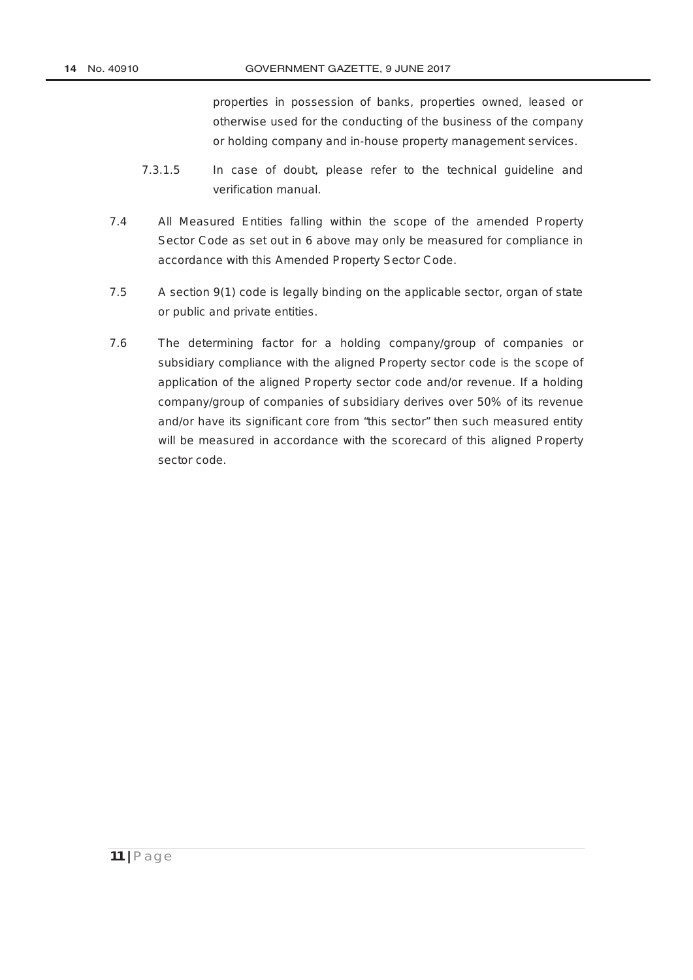properties in possession of banks, properties owned, leased or otherwise used for the conducting of the business of the company or holding company and in-house property management services.

- 7.3.1.5 In case of doubt, please refer to the technical guideline and verification manual.
- 7.4 All Measured Entities falling within the scope of the amended Property Sector Code as set out in 6 above may only be measured for compliance in accordance with this Amended Property Sector Code.
- 7.5 A section 9(1) code is legally binding on the applicable sector, organ of state or public and private entities.
- 7.6 The determining factor for a holding company/group of companies or subsidiary compliance with the aligned Property sector code is the scope of application of the aligned Property sector code and/or revenue. If a holding company/group of companies of subsidiary derives over 50% of its revenue and/or have its significant core from "this sector" then such measured entity will be measured in accordance with the scorecard of this aligned Property sector code.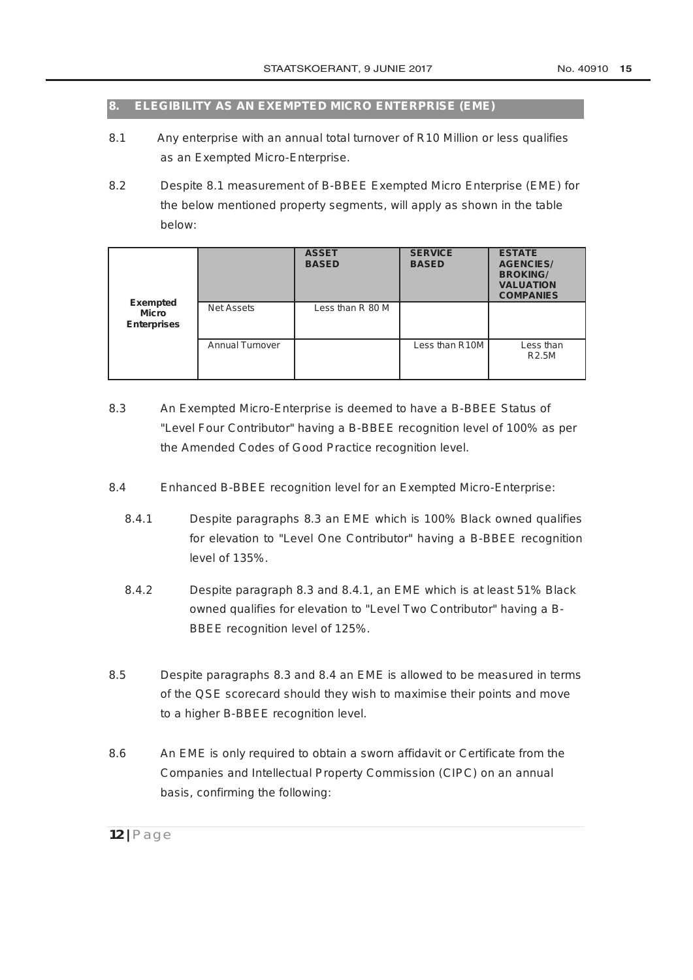#### **8. ELEGIBILITY AS AN EXEMPTED MICRO ENTERPRISE (EME)**

- 8.1 Any enterprise with an annual total turnover of R10 Million or less qualifies as an Exempted Micro-Enterprise.
- 8.2 Despite 8.1 measurement of B-BBEE Exempted Micro Enterprise (EME) for the below mentioned property segments, will apply as shown in the table below:

|                                                       |                        | <b>ASSET</b><br><b>BASED</b> | <b>SERVICE</b><br><b>BASED</b> | <b>ESTATE</b><br><b>AGENCIES/</b><br><b>BROKING/</b><br><b>VALUATION</b><br><b>COMPANIES</b> |
|-------------------------------------------------------|------------------------|------------------------------|--------------------------------|----------------------------------------------------------------------------------------------|
| <b>Exempted</b><br><b>Micro</b><br><b>Enterprises</b> | <b>Net Assets</b>      | Less than R 80 M             |                                |                                                                                              |
|                                                       | <b>Annual Turnover</b> |                              | Less than R10M                 | Less than<br><b>R2.5M</b>                                                                    |

- 8.3 An Exempted Micro-Enterprise is deemed to have a B-BBEE Status of "Level Four Contributor" having a B-BBEE recognition level of 100% as per the Amended Codes of Good Practice recognition level.
- 8.4 Enhanced B-BBEE recognition level for an Exempted Micro-Enterprise:
	- 8.4.1 Despite paragraphs 8.3 an EME which is 100% Black owned qualifies for elevation to "Level One Contributor" having a B-BBEE recognition level of 135%.
	- 8.4.2 Despite paragraph 8.3 and 8.4.1, an EME which is at least 51% Black owned qualifies for elevation to "Level Two Contributor" having a B-BBEE recognition level of 125%.
- 8.5 Despite paragraphs 8.3 and 8.4 an EME is allowed to be measured in terms of the QSE scorecard should they wish to maximise their points and move to a higher B-BBEE recognition level.
- 8.6 An EME is only required to obtain a sworn affidavit or Certificate from the Companies and Intellectual Property Commission (CIPC) on an annual basis, confirming the following: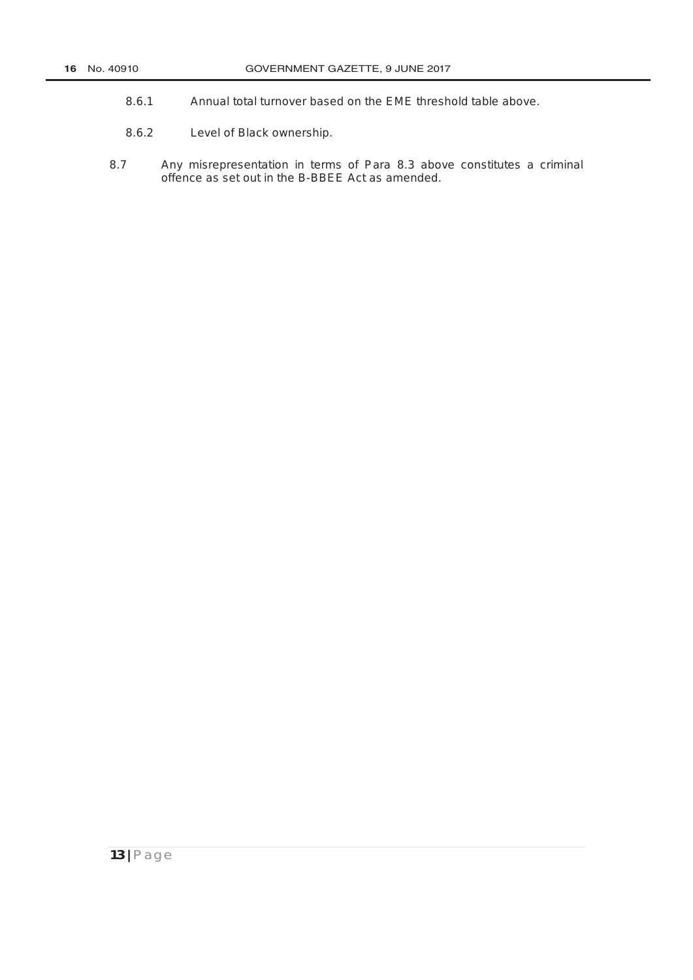- 8.6.1 Annual total turnover based on the EME threshold table above.
- 8.6.2 Level of Black ownership.
- 8.7 Any misrepresentation in terms of Para 8.3 above constitutes a criminal offence as set out in the B-BBEE Act as amended.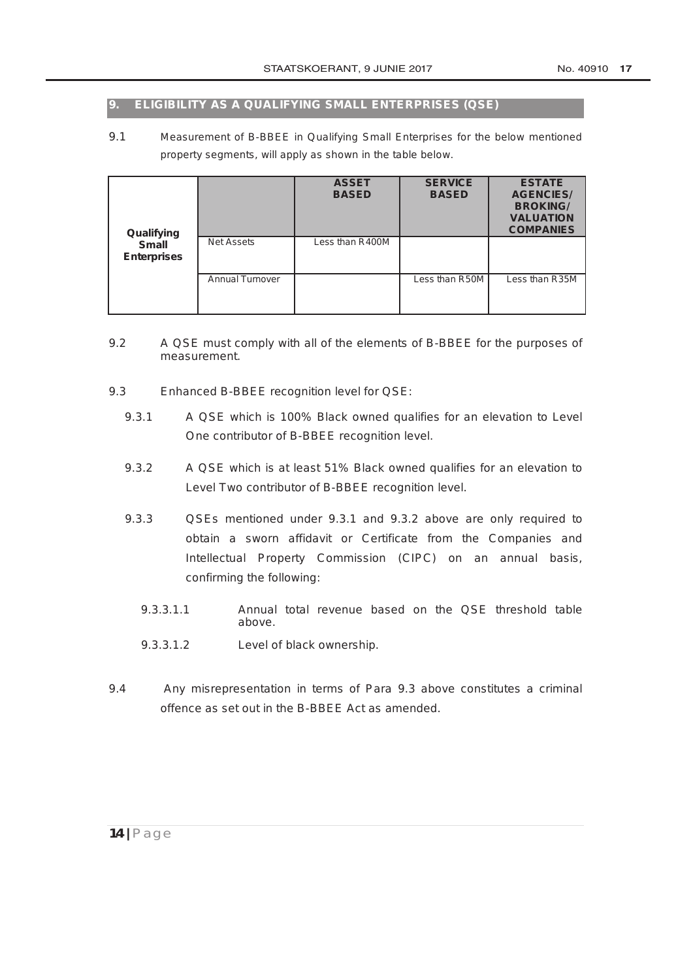#### **9. ELIGIBILITY AS A QUALIFYING SMALL ENTERPRISES (QSE)**

9.1 Measurement of B-BBEE in Qualifying Small Enterprises for the below mentioned property segments, will apply as shown in the table below.

| Qualifying                         |                        | <b>ASSET</b><br><b>BASED</b> | <b>SERVICE</b><br><b>BASED</b> | <b>ESTATE</b><br><b>AGENCIES/</b><br><b>BROKING/</b><br><b>VALUATION</b><br><b>COMPANIES</b> |
|------------------------------------|------------------------|------------------------------|--------------------------------|----------------------------------------------------------------------------------------------|
| <b>Small</b><br><b>Enterprises</b> | <b>Net Assets</b>      | Less than R400M              |                                |                                                                                              |
|                                    | <b>Annual Turnover</b> |                              | Less than R50M                 | Less than R35M                                                                               |

- 9.2 A QSE must comply with all of the elements of B-BBEE for the purposes of measurement.
- 9.3 Enhanced B-BBEE recognition level for QSE:
	- 9.3.1 A QSE which is 100% Black owned qualifies for an elevation to Level One contributor of B-BBEE recognition level.
	- 9.3.2 A QSE which is at least 51% Black owned qualifies for an elevation to Level Two contributor of B-BBEE recognition level.
	- 9.3.3 QSEs mentioned under 9.3.1 and 9.3.2 above are only required to obtain a sworn affidavit or Certificate from the Companies and Intellectual Property Commission (CIPC) on an annual basis, confirming the following:
		- 9.3.3.1.1 Annual total revenue based on the QSE threshold table above.
		- 9.3.3.1.2 Level of black ownership.
- 9.4 Any misrepresentation in terms of Para 9.3 above constitutes a criminal offence as set out in the B-BBEE Act as amended.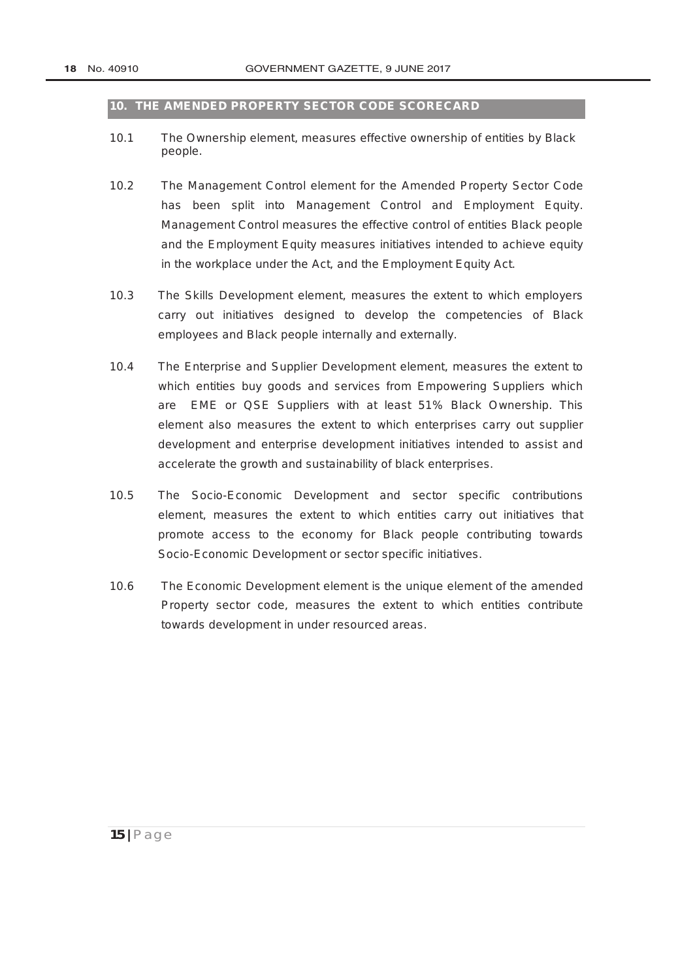#### **10. THE AMENDED PROPERTY SECTOR CODE SCORECARD**

- 10.1 The Ownership element, measures effective ownership of entities by Black people.
- 10.2 The Management Control element for the Amended Property Sector Code has been split into Management Control and Employment Equity. Management Control measures the effective control of entities Black people and the Employment Equity measures initiatives intended to achieve equity in the workplace under the Act, and the [Employment Equity Act.](http://www.greengazette.co.za/acts/employment-equity-act_1998-055)
- 10.3 The Skills Development element, measures the extent to which employers carry out initiatives designed to develop the competencies of Black employees and Black people internally and externally.
- 10.4 The Enterprise and Supplier Development element, measures the extent to which entities buy goods and services from Empowering Suppliers which are EME or QSE Suppliers with at least 51% Black Ownership. This element also measures the extent to which enterprises carry out supplier development and enterprise development initiatives intended to assist and accelerate the growth and sustainability of black enterprises.
- 10.5 The Socio-Economic Development and sector specific contributions element, measures the extent to which entities carry out initiatives that promote access to the economy for Black people contributing towards Socio-Economic Development or sector specific initiatives.
- 10.6 The Economic Development element is the unique element of the amended Property sector code, measures the extent to which entities contribute towards development in under resourced areas.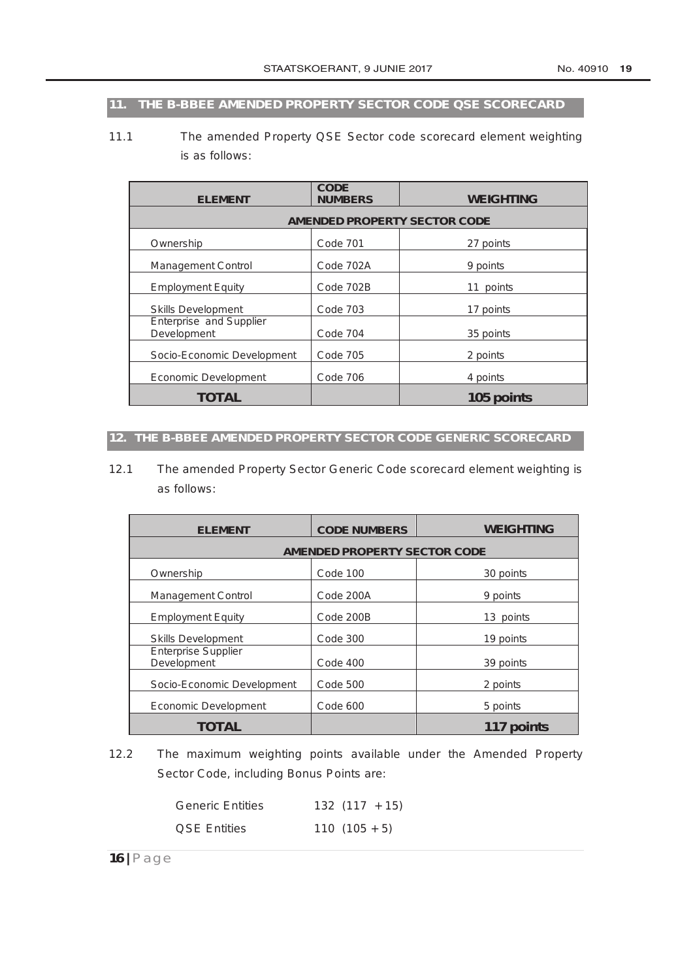# **11. THE B-BBEE AMENDED PROPERTY SECTOR CODE QSE SCORECARD**

11.1 The amended Property QSE Sector code scorecard element weighting is as follows:

| <b>ELEMENT</b>                         | <b>CODE</b><br><b>NUMBERS</b> | <b>WEIGHTING</b> |  |  |  |
|----------------------------------------|-------------------------------|------------------|--|--|--|
| <b>AMENDED PROPERTY SECTOR CODE</b>    |                               |                  |  |  |  |
| Ownership                              | Code 701                      | 27 points        |  |  |  |
| <b>Management Control</b>              | Code 702A                     | 9 points         |  |  |  |
| <b>Employment Equity</b>               | Code 702B                     | 11 points        |  |  |  |
| <b>Skills Development</b>              | <b>Code 703</b>               | 17 points        |  |  |  |
| Enterprise and Supplier<br>Development | Code 704                      | 35 points        |  |  |  |
| Socio-Economic Development             | <b>Code 705</b>               | 2 points         |  |  |  |
| Economic Development                   | Code 706                      | 4 points         |  |  |  |
| TOTAL                                  |                               | 105 points       |  |  |  |

#### **12. THE B-BBEE AMENDED PROPERTY SECTOR CODE GENERIC SCORECARD**

12.1 The amended Property Sector Generic Code scorecard element weighting is as follows:

| <b>ELEMENT</b>                            | <b>CODE NUMBERS</b> | <b>WEIGHTING</b> |  |  |  |
|-------------------------------------------|---------------------|------------------|--|--|--|
| <b>AMENDED PROPERTY SECTOR CODE</b>       |                     |                  |  |  |  |
| Ownership                                 | Code 100            | 30 points        |  |  |  |
| <b>Management Control</b>                 | Code 200A           | 9 points         |  |  |  |
| <b>Employment Equity</b>                  | Code 200B           | 13 points        |  |  |  |
| <b>Skills Development</b>                 | Code 300            | 19 points        |  |  |  |
| <b>Enterprise Supplier</b><br>Development | Code 400            | 39 points        |  |  |  |
| Socio-Economic Development                | Code 500            | 2 points         |  |  |  |
| Economic Development                      | Code 600            | 5 points         |  |  |  |
| <b>TOTAL</b>                              |                     | 117 points       |  |  |  |

12.2 The maximum weighting points available under the Amended Property Sector Code, including Bonus Points are:

| <b>Generic Entities</b> | $132(117 + 15)$ |
|-------------------------|-----------------|
| <b>QSE Entities</b>     | $110(105+5)$    |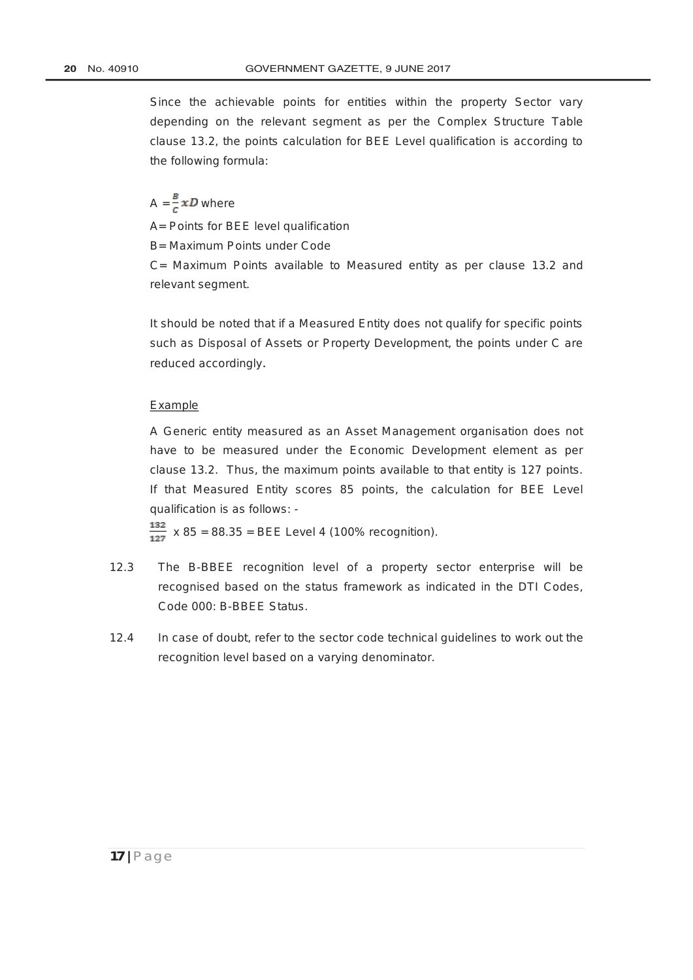Since the achievable points for entities within the property Sector vary depending on the relevant segment as per the Complex Structure Table clause 13.2, the points calculation for BEE Level qualification is according to the following formula:

# $A = \frac{B}{c} x D$  where

A= Points for BEE level qualification

B= Maximum Points under Code

C= Maximum Points available to Measured entity as per clause 13.2 and relevant segment.

It should be noted that if a Measured Entity does not qualify for specific points such as Disposal of Assets or Property Development, the points under C are reduced accordingly.

#### Example

A Generic entity measured as an Asset Management organisation does not have to be measured under the Economic Development element as per clause 13.2. Thus, the maximum points available to that entity is 127 points. If that Measured Entity scores 85 points, the calculation for BEE Level qualification is as follows: -

 $\frac{132}{127}$  x 85 = 88.35 = BEE Level 4 (100% recognition).

- 12.3 The B-BBEE recognition level of a property sector enterprise will be recognised based on the status framework as indicated in the DTI Codes, Code 000: B-BBEE Status.
- 12.4 In case of doubt, refer to the sector code technical guidelines to work out the recognition level based on a varying denominator.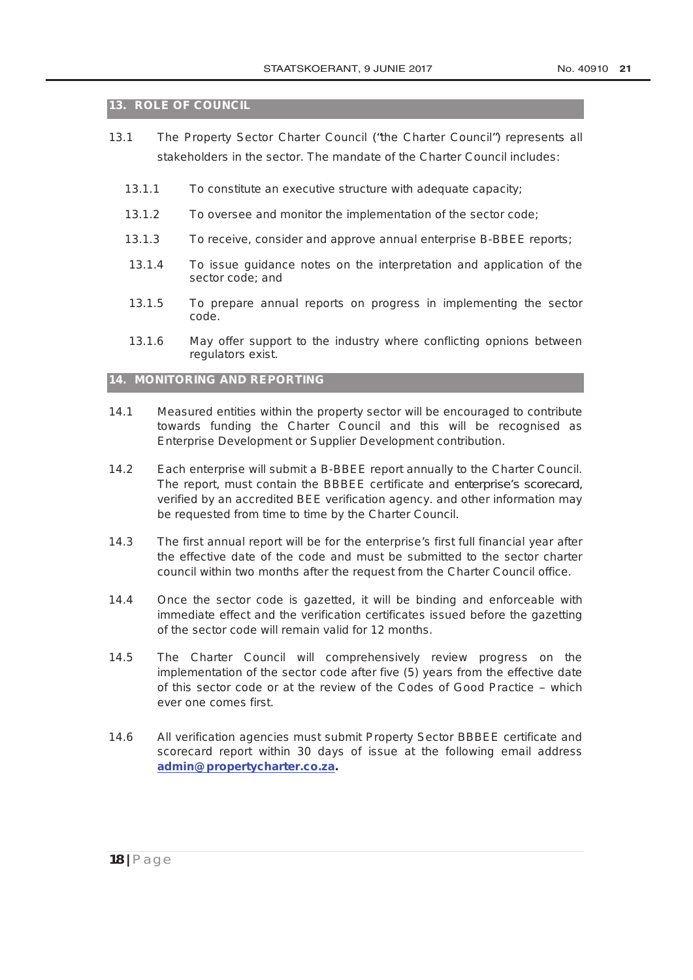#### **13. ROLE OF COUNCIL**

- 13.1 The Property Sector Charter Council ("*the Charter Council*") represents all stakeholders in the sector. The mandate of the Charter Council includes:
	- 13.1.1 To constitute an executive structure with adequate capacity;
	- 13.1.2 To oversee and monitor the implementation of the sector code;
	- 13.1.3 To receive, consider and approve annual enterprise B-BBEE reports;
	- 13.1.4 To issue guidance notes on the interpretation and application of the sector code; and
	- 13.1.5 To prepare annual reports on progress in implementing the sector code.
	- 13.1.6 May offer support to the industry where conflicting opnions between regulators exist.

#### **14. MONITORING AND REPORTING**

- 14.1 Measured entities within the property sector will be encouraged to contribute towards funding the Charter Council and this will be recognised as Enterprise Development or Supplier Development contribution.
- 14.2 Each enterprise will submit a B-BBEE report annually to the Charter Council. The report, must contain the BBBEE certificate and enterprise's scorecard, verified by an accredited BEE verification agency. and other information may be requested from time to time by the Charter Council.
- 14.3 The first annual report will be for the enterprise's first full financial year after the effective date of the code and must be submitted to the sector charter council within two months after the request from the Charter Council office.
- 14.4 Once the sector code is gazetted, it will be binding and enforceable with immediate effect and the verification certificates issued before the gazetting of the sector code will remain valid for 12 months.
- 14.5 The Charter Council will comprehensively review progress on the implementation of the sector code after five (5) years from the effective date of this sector code or at the review of the Codes of Good Practice – which ever one comes first.
- 14.6 All verification agencies must submit Property Sector BBBEE certificate and scorecard report within 30 days of issue at the following email address **admin@propertycharter.co.za.**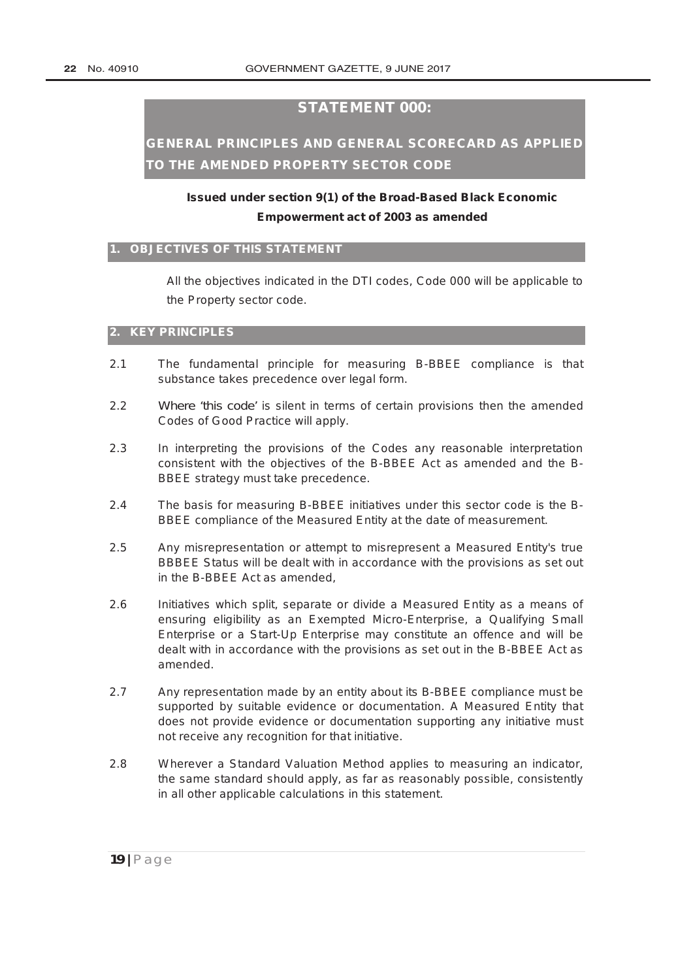## **STATEMENT 000:**

# **GENERAL PRINCIPLES AND GENERAL SCORECARD AS APPLIED TO THE AMENDED PROPERTY SECTOR CODE**

# **Issued under section 9(1) of the [Broad-Based Black Economic](http://www.greengazette.co.za/acts/broad-based-black-economic-empowerment-act_2003-053) [Empowerment act](http://www.greengazette.co.za/acts/broad-based-black-economic-empowerment-act_2003-053) of 2003 as amended**

#### **1. OBJECTIVES OF THIS STATEMENT**

All the objectives indicated in the DTI codes, Code 000 will be applicable to the Property sector code.

#### **2. KEY PRINCIPLES**

- 2.1 The fundamental principle for measuring B-BBEE compliance is that substance takes precedence over legal form.
- 2.2 Where 'this code' is silent in terms of certain provisions then the amended Codes of Good Practice will apply.
- 2.3 In interpreting the provisions of the Codes any reasonable interpretation consistent with the objectives of the B-BBEE Act as amended and the B-BBEE strategy must take precedence.
- 2.4 The basis for measuring B-BBEE initiatives under this sector code is the B-BBEE compliance of the Measured Entity at the date of measurement.
- 2.5 Any misrepresentation or attempt to misrepresent a Measured Entity's true BBBEE Status will be dealt with in accordance with the provisions as set out in the B-BBEE Act as amended,
- 2.6 Initiatives which split, separate or divide a Measured Entity as a means of ensuring eligibility as an Exempted Micro-Enterprise, a Qualifying Small Enterprise or a Start-Up Enterprise may constitute an offence and will be dealt with in accordance with the provisions as set out in the B-BBEE Act as amended.
- 2.7 Any representation made by an entity about its B-BBEE compliance must be supported by suitable evidence or documentation. A Measured Entity that does not provide evidence or documentation supporting any initiative must not receive any recognition for that initiative.
- 2.8 Wherever a Standard Valuation Method applies to measuring an indicator, the same standard should apply, as far as reasonably possible, consistently in all other applicable calculations in this statement.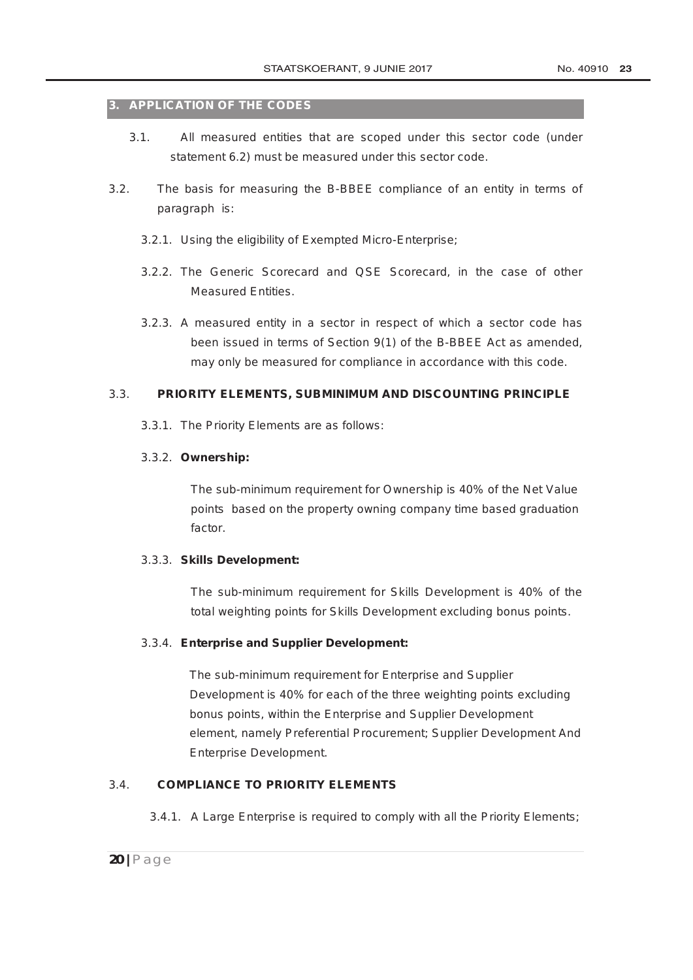#### **3. APPLICATION OF THE CODES**

- 3.1. All measured entities that are scoped under this sector code (under statement 6.2) must be measured under this sector code.
- 3.2. The basis for measuring the B-BBEE compliance of an entity in terms of paragraph is:
	- 3.2.1. Using the eligibility of Exempted Micro-Enterprise;
	- 3.2.2. The Generic Scorecard and QSE Scorecard, in the case of other Measured Entities.
	- 3.2.3. A measured entity in a sector in respect of which a sector code has been issued in terms of Section 9(1) of the B-BBEE Act as amended, may only be measured for compliance in accordance with this code.

#### 3.3. **PRIORITY ELEMENTS, SUBMINIMUM AND DISCOUNTING PRINCIPLE**

3.3.1. The Priority Elements are as follows:

#### 3.3.2. **Ownership:**

The sub-minimum requirement for Ownership is 40% of the Net Value points based on the property owning company time based graduation factor.

#### 3.3.3. **Skills Development:**

The sub-minimum requirement for Skills Development is 40% of the total weighting points for Skills Development excluding bonus points.

#### 3.3.4. **Enterprise and Supplier Development:**

The sub-minimum requirement for Enterprise and Supplier Development is 40% for each of the three weighting points excluding bonus points, within the Enterprise and Supplier Development element, namely Preferential Procurement; Supplier Development And Enterprise Development.

## 3.4. **COMPLIANCE TO PRIORITY ELEMENTS**

3.4.1. A Large Enterprise is required to comply with all the Priority Elements;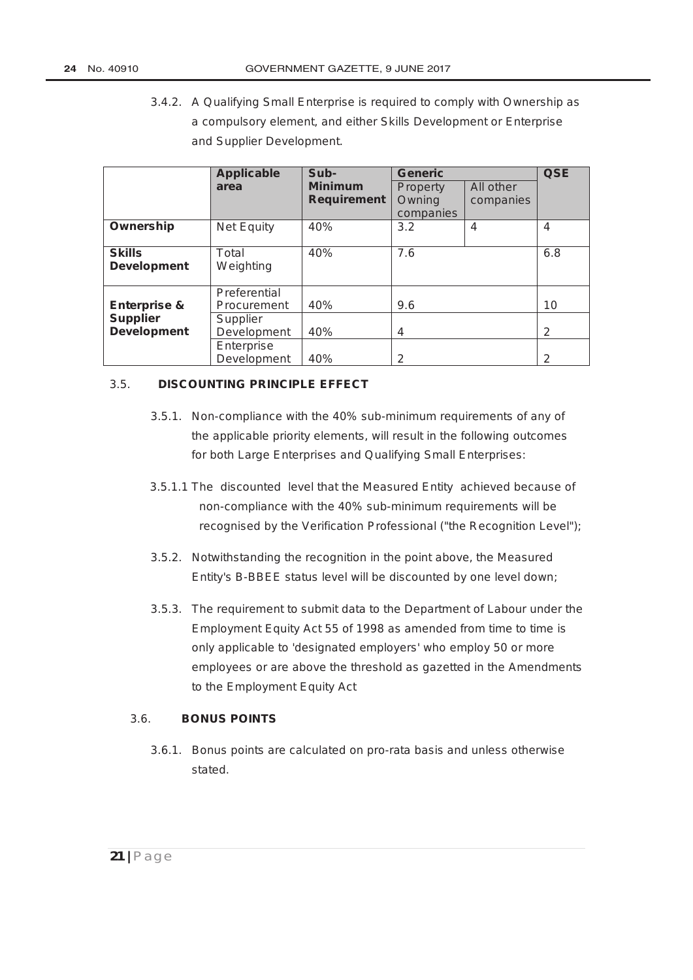3.4.2. A Qualifying Small Enterprise is required to comply with Ownership as a compulsory element, and either Skills Development or Enterprise and Supplier Development.

|                                            | <b>Applicable</b>                       | Sub-                                 | <b>Generic</b>                  |                        | <b>QSE</b>     |
|--------------------------------------------|-----------------------------------------|--------------------------------------|---------------------------------|------------------------|----------------|
|                                            | area                                    | <b>Minimum</b><br><b>Requirement</b> | Property<br>Owning<br>companies | All other<br>companies |                |
| Ownership                                  | <b>Net Equity</b>                       | 40%                                  | 3.2                             | 4                      | $\overline{4}$ |
| <b>Skills</b><br><b>Development</b>        | Total<br>Weighting                      | 40%                                  | 7.6                             |                        | 6.8            |
| <b>Enterprise &amp;</b><br><b>Supplier</b> | Preferential<br>Procurement<br>Supplier | 40%                                  | 9.6                             |                        | 10             |
| <b>Development</b>                         | Development                             | 40%                                  | 4                               |                        | 2              |
|                                            | Enterprise<br>Development               | 40%                                  | 2                               |                        | 2              |

#### 3.5. **DISCOUNTING PRINCIPLE EFFECT**

- 3.5.1. Non-compliance with the 40% sub-minimum requirements of any of the applicable priority elements, will result in the following outcomes for both Large Enterprises and Qualifying Small Enterprises:
- 3.5.1.1 The discounted level that the Measured Entity achieved because of non-compliance with the 40% sub-minimum requirements will be recognised by the Verification Professional ("the Recognition Level");
- 3.5.2. Notwithstanding the recognition in the point above, the Measured Entity's B-BBEE status level will be discounted by one level down;
- 3.5.3. The requirement to submit data to the [Department of Labour](http://www.greengazette.co.za/departments/labour) under the [Employment Equity Act](http://www.greengazette.co.za/acts/employment-equity-act_1998-055) 55 of 1998 as amended from time to time is only applicable to 'designated employers' who employ 50 or more employees or are above the threshold as gazetted in the Amendments to the [Employment Equity Act](http://www.greengazette.co.za/acts/employment-equity-act_1998-055)

#### 3.6. **BONUS POINTS**

3.6.1. Bonus points are calculated on pro-rata basis and unless otherwise stated.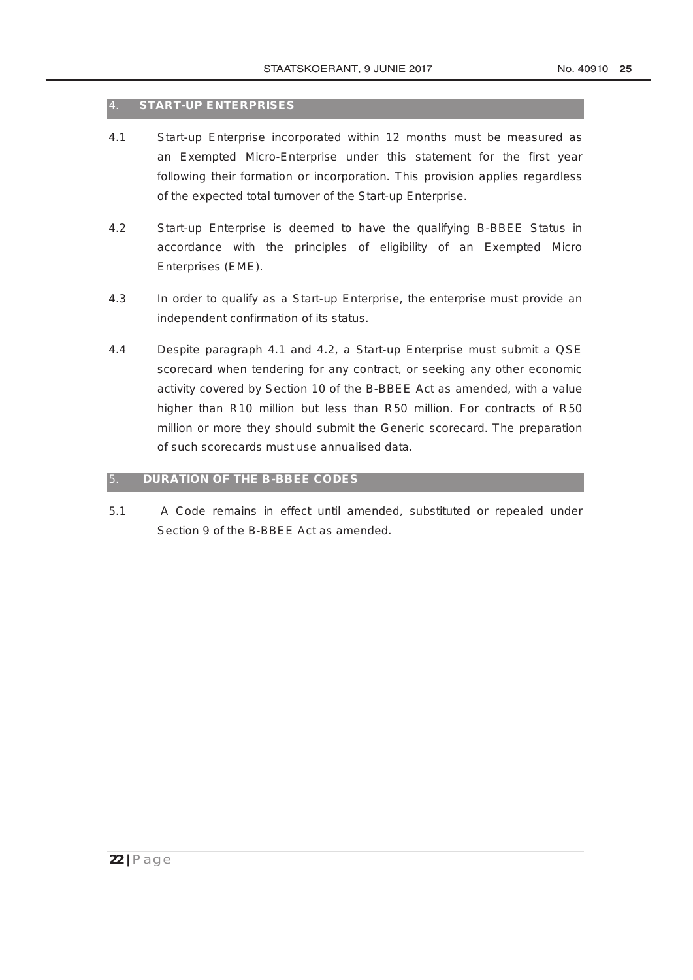#### 4. **START-UP ENTERPRISES**

- 4.1 Start-up Enterprise incorporated within 12 months must be measured as an Exempted Micro-Enterprise under this statement for the first year following their formation or incorporation. This provision applies regardless of the expected total turnover of the Start-up Enterprise.
- 4.2 Start-up Enterprise is deemed to have the qualifying B-BBEE Status in accordance with the principles of eligibility of an Exempted Micro Enterprises (EME).
- 4.3 In order to qualify as a Start-up Enterprise, the enterprise must provide an independent confirmation of its status.
- 4.4 Despite paragraph 4.1 and 4.2, a Start-up Enterprise must submit a QSE scorecard when tendering for any contract, or seeking any other economic activity covered by Section 10 of the B-BBEE Act as amended, with a value higher than R10 million but less than R50 million. For contracts of R50 million or more they should submit the Generic scorecard. The preparation of such scorecards must use annualised data.

#### 5. **DURATION OF THE B-BBEE CODES**

5.1 A Code remains in effect until amended, substituted or repealed under Section 9 of the B-BBEE Act as amended.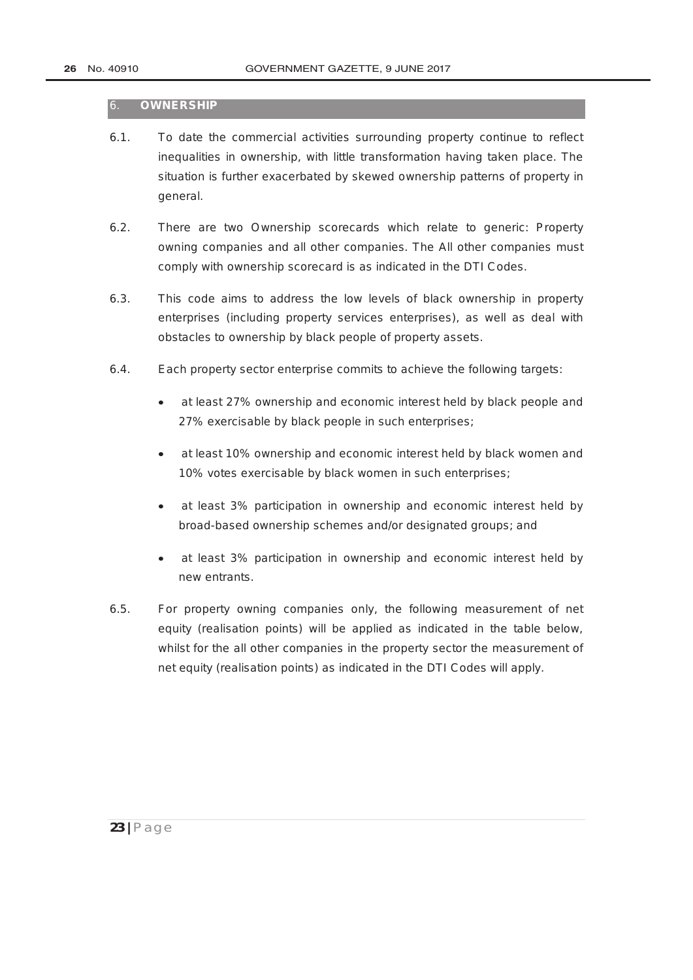#### 6. **OWNERSHIP**

- 6.1. To date the commercial activities surrounding property continue to reflect inequalities in ownership, with little transformation having taken place. The situation is further exacerbated by skewed ownership patterns of property in general.
- 6.2. There are two Ownership scorecards which relate to generic: Property owning companies and all other companies. The All other companies must comply with ownership scorecard is as indicated in the DTI Codes.
- 6.3. This code aims to address the low levels of black ownership in property enterprises (including property services enterprises), as well as deal with obstacles to ownership by black people of property assets.
- 6.4. Each property sector enterprise commits to achieve the following targets:
	- at least 27% ownership and economic interest held by black people and 27% exercisable by black people in such enterprises;
	- at least 10% ownership and economic interest held by black women and 10% votes exercisable by black women in such enterprises;
	- at least 3% participation in ownership and economic interest held by broad-based ownership schemes and/or designated groups; and
	- at least 3% participation in ownership and economic interest held by new entrants.
- 6.5. For property owning companies only, the following measurement of net equity (realisation points) will be applied as indicated in the table below, whilst for the all other companies in the property sector the measurement of net equity (realisation points) as indicated in the DTI Codes will apply.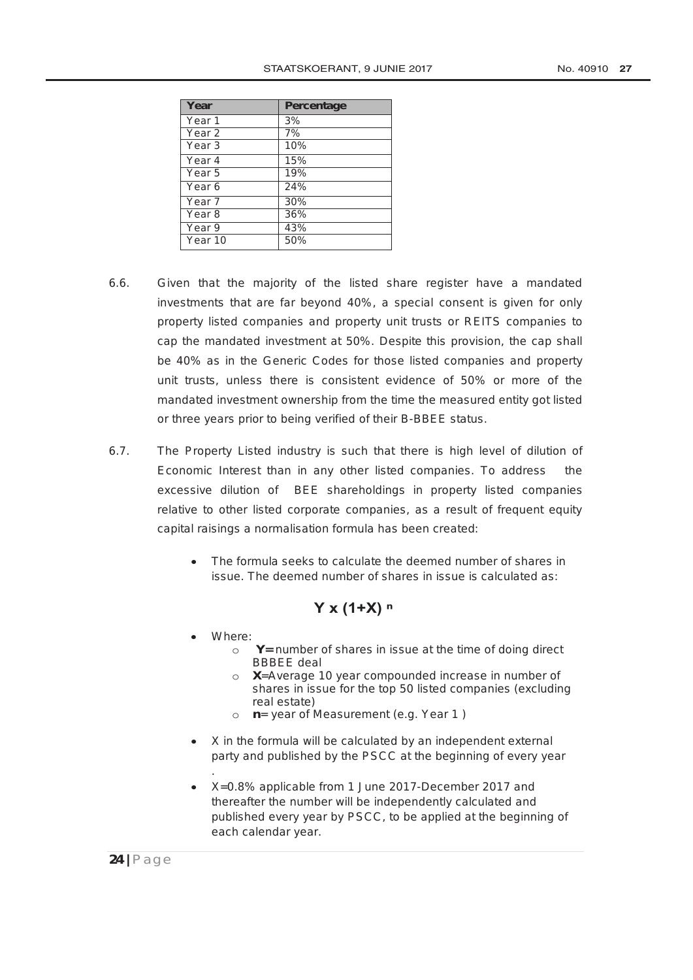| Year              | <b>Percentage</b> |
|-------------------|-------------------|
| Year <sub>1</sub> | 3%                |
| Year <sub>2</sub> | 7%                |
| Year <sub>3</sub> | 10%               |
| Year 4            | 15%               |
| Year 5            | 19%               |
| Year 6            | 24%               |
| Year <sub>7</sub> | 30%               |
| Year <sub>8</sub> | 36%               |
| Year 9            | 43%               |
| Year 10           | 50%               |

- 6.6. Given that the majority of the listed share register have a mandated investments that are far beyond 40%, a special consent is given for only property listed companies and property unit trusts or REITS companies to cap the mandated investment at 50%. Despite this provision, the cap shall be 40% as in the Generic Codes for those listed companies and property unit trusts, unless there is consistent evidence of 50% or more of the mandated investment ownership from the time the measured entity got listed or three years prior to being verified of their B-BBEE status.
- 6.7. The Property Listed industry is such that there is high level of dilution of Economic Interest than in any other listed companies. To address the excessive dilution of BEE shareholdings in property listed companies relative to other listed corporate companies, as a result of frequent equity capital raisings a normalisation formula has been created:
	- The formula seeks to calculate the deemed number of shares in issue. The deemed number of shares in issue is calculated as:

### **Y x (1+X) ⁿ**

- Where:
	- o **Y=** number of shares in issue at the time of doing direct BBBEE deal
	- o **X**=Average 10 year compounded increase in number of shares in issue for the top 50 listed companies (excluding real estate)
	- o **n**= year of Measurement (e.g. Year 1 )
- X in the formula will be calculated by an independent external party and published by the PSCC at the beginning of every year .
- X=0.8% applicable from 1 June 2017-December 2017 and thereafter the number will be independently calculated and published every year by PSCC, to be applied at the beginning of each calendar year.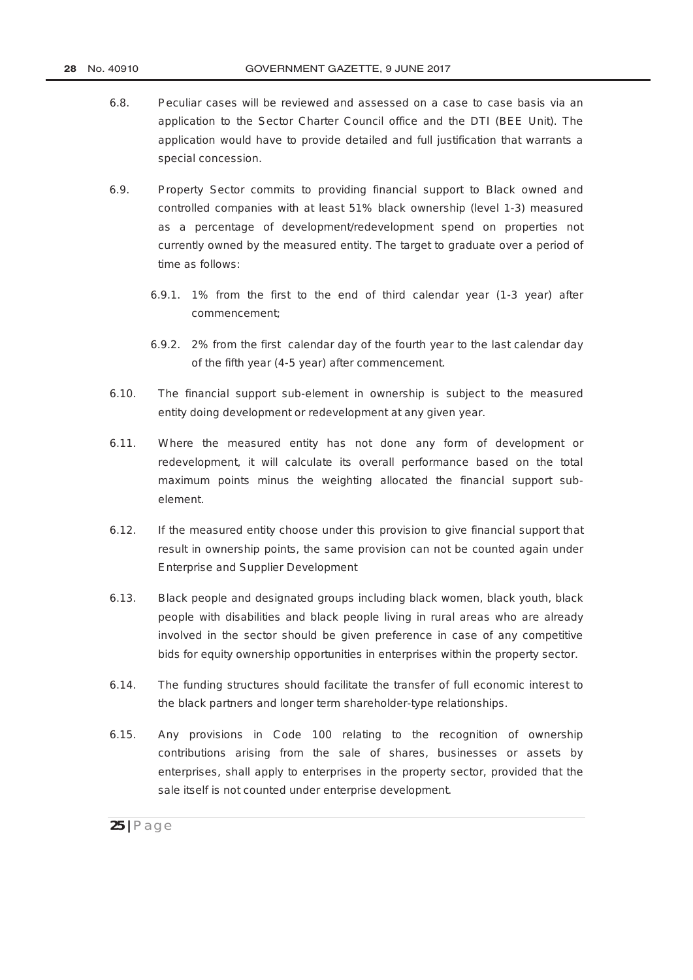- 6.8. Peculiar cases will be reviewed and assessed on a case to case basis via an application to the Sector Charter Council office and the DTI (BEE Unit). The application would have to provide detailed and full justification that warrants a special concession.
- 6.9. Property Sector commits to providing financial support to Black owned and controlled companies with at least 51% black ownership (level 1-3) measured as a percentage of development/redevelopment spend on properties not currently owned by the measured entity. The target to graduate over a period of time as follows:
	- 6.9.1. 1% from the first to the end of third calendar year (1-3 year) after commencement;
	- 6.9.2. 2% from the first calendar day of the fourth year to the last calendar day of the fifth year (4-5 year) after commencement.
- 6.10. The financial support sub-element in ownership is subject to the measured entity doing development or redevelopment at any given year.
- 6.11. Where the measured entity has not done any form of development or redevelopment, it will calculate its overall performance based on the total maximum points minus the weighting allocated the financial support subelement.
- 6.12. If the measured entity choose under this provision to give financial support that result in ownership points, the same provision can not be counted again under Enterprise and Supplier Development
- 6.13. Black people and designated groups including black women, black youth, black people with disabilities and black people living in rural areas who are already involved in the sector should be given preference in case of any competitive bids for equity ownership opportunities in enterprises within the property sector.
- 6.14. The funding structures should facilitate the transfer of full economic interest to the black partners and longer term shareholder-type relationships.
- 6.15. Any provisions in Code 100 relating to the recognition of ownership contributions arising from the sale of shares, businesses or assets by enterprises, shall apply to enterprises in the property sector, provided that the sale itself is not counted under enterprise development.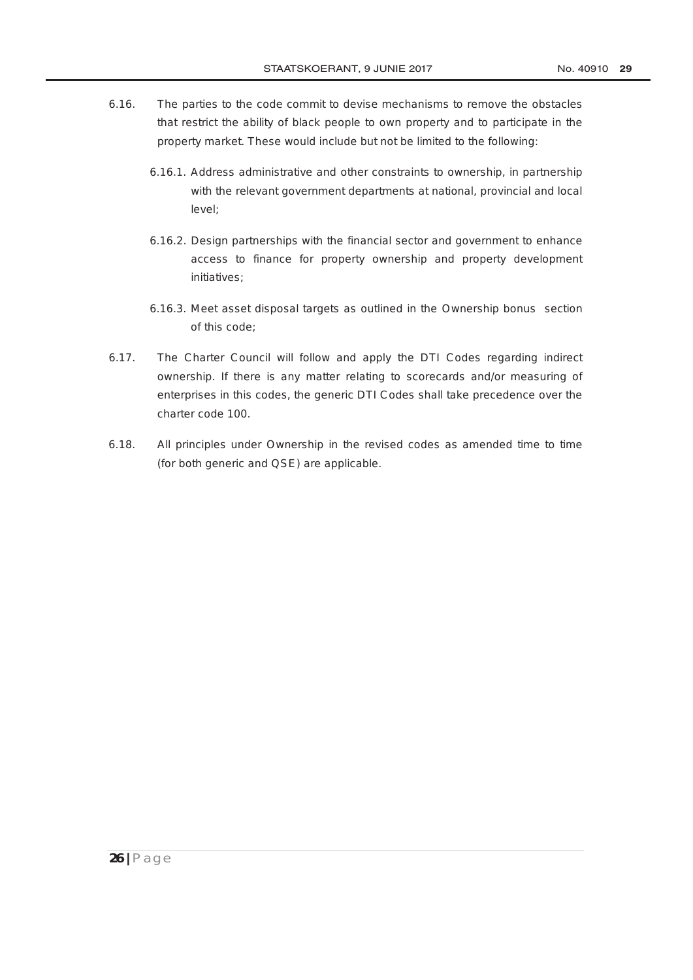- 6.16. The parties to the code commit to devise mechanisms to remove the obstacles that restrict the ability of black people to own property and to participate in the property market. These would include but not be limited to the following:
	- 6.16.1. Address administrative and other constraints to ownership, in partnership with the relevant government departments at national, provincial and local level;
	- 6.16.2. Design partnerships with the financial sector and government to enhance access to finance for property ownership and property development initiatives;
	- 6.16.3. Meet asset disposal targets as outlined in the Ownership bonus section of this code;
- 6.17. The Charter Council will follow and apply the DTI Codes regarding indirect ownership. If there is any matter relating to scorecards and/or measuring of enterprises in this codes, the generic DTI Codes shall take precedence over the charter code 100.
- 6.18. All principles under Ownership in the revised codes as amended time to time (for both generic and QSE) are applicable.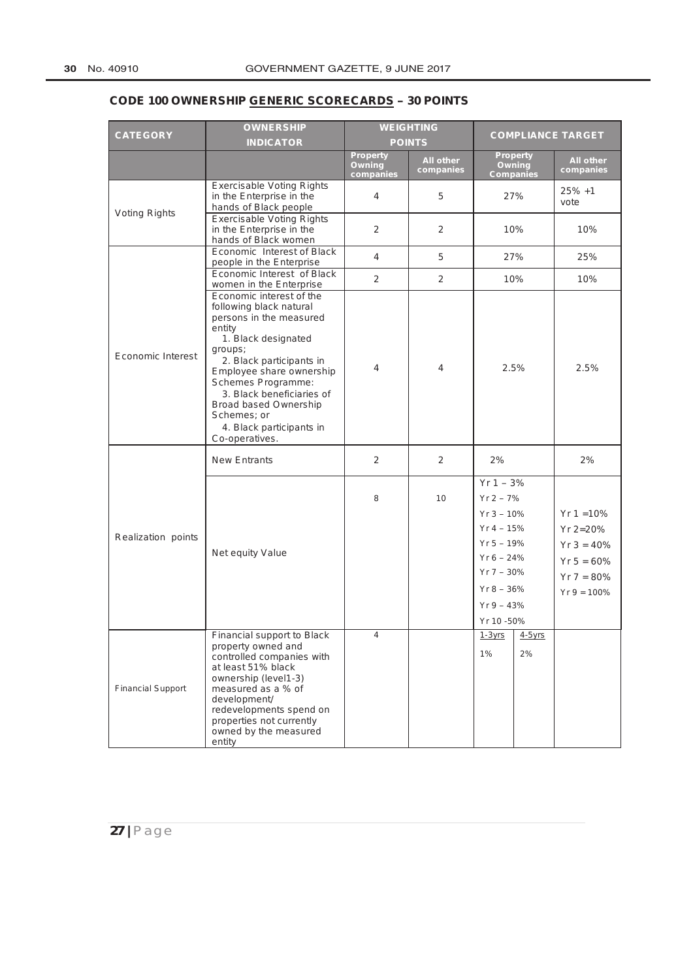# **CODE 100 OWNERSHIP GENERIC SCORECARDS – 30 POINTS**

|                          | <b>OWNERSHIP</b>                                                                                                                                                                                                                                                                                                                   |                                 | <b>WEIGHTING</b>       |                                                                                                                                                          |                 |                                                                                           |
|--------------------------|------------------------------------------------------------------------------------------------------------------------------------------------------------------------------------------------------------------------------------------------------------------------------------------------------------------------------------|---------------------------------|------------------------|----------------------------------------------------------------------------------------------------------------------------------------------------------|-----------------|-------------------------------------------------------------------------------------------|
| <b>CATEGORY</b>          | <b>INDICATOR</b>                                                                                                                                                                                                                                                                                                                   | <b>POINTS</b>                   |                        | <b>COMPLIANCE TARGET</b>                                                                                                                                 |                 |                                                                                           |
|                          |                                                                                                                                                                                                                                                                                                                                    | Property<br>Owning<br>companies | All other<br>companies | <b>Property</b><br><b>Owning</b><br><b>Companies</b>                                                                                                     |                 | All other<br>companies                                                                    |
|                          | <b>Exercisable Voting Rights</b><br>in the Enterprise in the<br>hands of Black people                                                                                                                                                                                                                                              | 4                               | 5                      | 27%                                                                                                                                                      |                 | $25% +1$<br>vote                                                                          |
| Voting Rights            | <b>Exercisable Voting Rights</b><br>in the Enterprise in the<br>hands of Black women                                                                                                                                                                                                                                               | 2                               | $\overline{2}$         | 10%                                                                                                                                                      |                 | 10%                                                                                       |
|                          | Economic Interest of Black<br>people in the Enterprise                                                                                                                                                                                                                                                                             | 4                               | 5                      | 27%                                                                                                                                                      |                 | 25%                                                                                       |
|                          | Economic Interest of Black<br>women in the Enterprise                                                                                                                                                                                                                                                                              | $\overline{2}$                  | $\overline{2}$         | 10%                                                                                                                                                      |                 | 10%                                                                                       |
| Economic Interest        | Economic interest of the<br>following black natural<br>persons in the measured<br>entity<br>1. Black designated<br>groups;<br>2. Black participants in<br>Employee share ownership<br>Schemes Programme:<br>3. Black beneficiaries of<br><b>Broad based Ownership</b><br>Schemes; or<br>4. Black participants in<br>Co-operatives. | 4                               | 4                      | 2.5%                                                                                                                                                     |                 | 2.5%                                                                                      |
|                          | <b>New Entrants</b>                                                                                                                                                                                                                                                                                                                | $\overline{2}$                  | $\overline{2}$         | 2%                                                                                                                                                       |                 | 2%                                                                                        |
| Realization points       | Net equity Value                                                                                                                                                                                                                                                                                                                   | 8                               | 10                     | $Yr 1 - 3%$<br>$Yr 2 - 7%$<br>$Yr 3 - 10%$<br>$Yr 4 - 15%$<br>$Yr 5 - 19%$<br>$Yr 6 - 24%$<br>$Yr 7 - 30%$<br>$Yr 8 - 36%$<br>$Yr 9 - 43%$<br>Yr 10 -50% |                 | $Yr 1 = 10%$<br>$Yr 2=20%$<br>$Yr 3 = 40%$<br>$Yr 5 = 60%$<br>$Yr 7 = 80%$<br>$Yr = 100%$ |
| <b>Financial Support</b> | Financial support to Black<br>property owned and<br>controlled companies with<br>at least 51% black<br>ownership (level1-3)<br>measured as a % of<br>development/<br>redevelopments spend on<br>properties not currently<br>owned by the measured<br>entity                                                                        | 4                               |                        | $1-3yrs$<br>$1\%$                                                                                                                                        | $4-5$ vrs<br>2% |                                                                                           |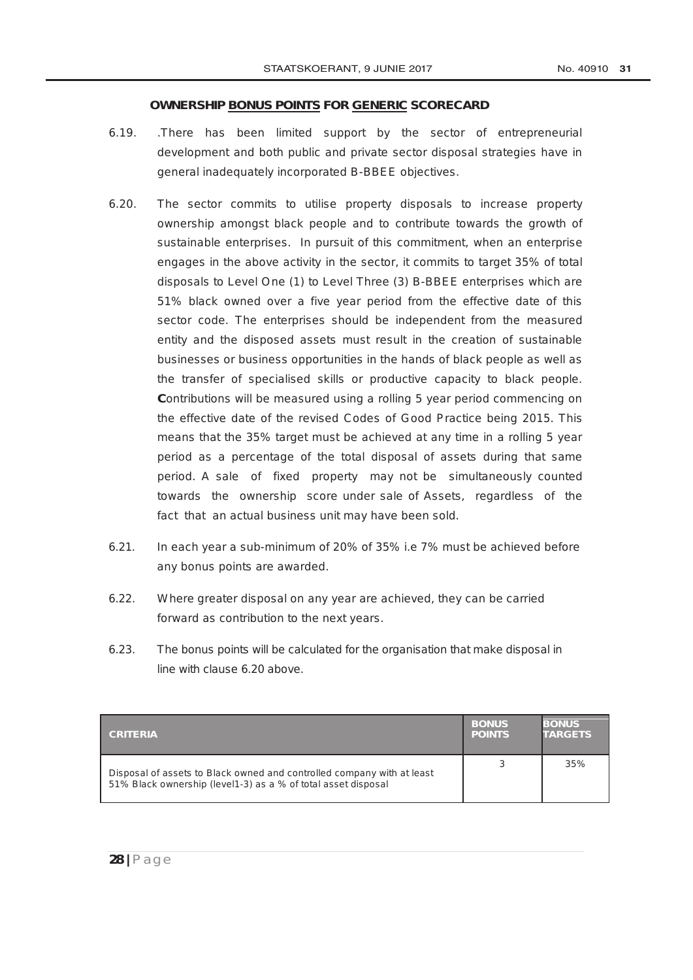#### **OWNERSHIP BONUS POINTS FOR GENERIC SCORECARD**

- 6.19. .There has been limited support by the sector of entrepreneurial development and both public and private sector disposal strategies have in general inadequately incorporated B-BBEE objectives.
- 6.20. The sector commits to utilise property disposals to increase property ownership amongst black people and to contribute towards the growth of sustainable enterprises. In pursuit of this commitment, when an enterprise engages in the above activity in the sector, it commits to target 35% of total disposals to Level One (1) to Level Three (3) B-BBEE enterprises which are 51% black owned over a five year period from the effective date of this sector code. The enterprises should be independent from the measured entity and the disposed assets must result in the creation of sustainable businesses or business opportunities in the hands of black people as well as the transfer of specialised skills or productive capacity to black people. **C**ontributions will be measured using a rolling 5 year period commencing on the effective date of the revised Codes of Good Practice being 2015. This means that the 35% target must be achieved at any time in a rolling 5 year period as a percentage of the total disposal of assets during that same period. A sale of fixed property may not be simultaneously counted towards the ownership score under sale of Assets, regardless of the fact that an actual business unit may have been sold.
- 6.21. In each year a sub-minimum of 20% of 35% i.e 7% must be achieved before any bonus points are awarded.
- 6.22. Where greater disposal on any year are achieved, they can be carried forward as contribution to the next years.
- 6.23. The bonus points will be calculated for the organisation that make disposal in line with clause 6.20 above.

| <b>CRITERIA</b>                                                                                                                         | <b>BONUS</b><br><b>POINTS</b> | <b>BONUS</b><br><b>TARGETS</b> |
|-----------------------------------------------------------------------------------------------------------------------------------------|-------------------------------|--------------------------------|
| Disposal of assets to Black owned and controlled company with at least<br>51% Black ownership (level1-3) as a % of total asset disposal |                               | 35%                            |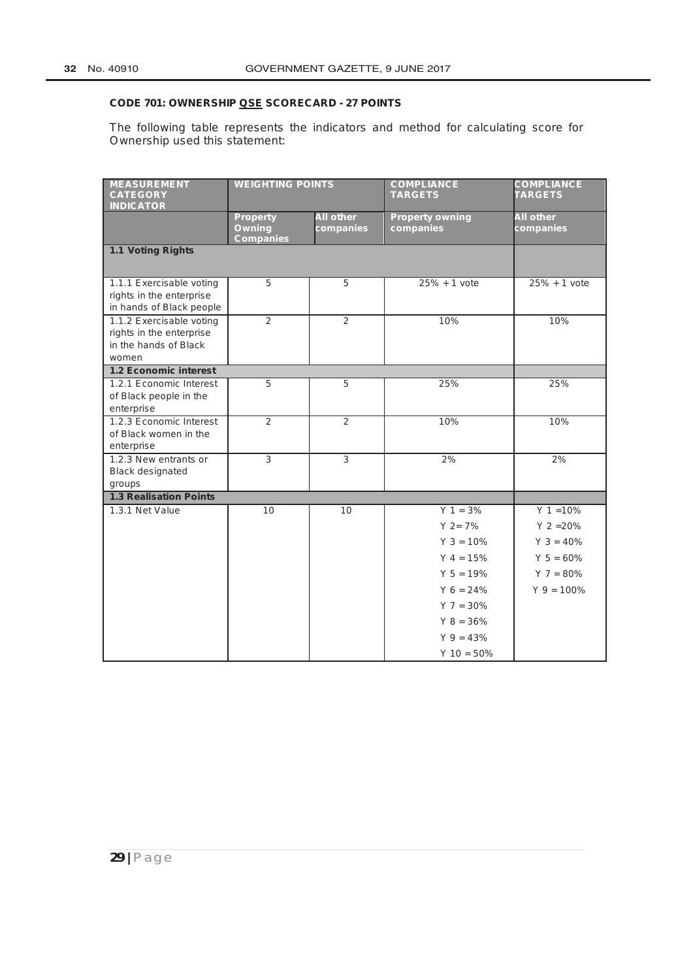## **CODE 701: OWNERSHIP QSE SCORECARD - 27 POINTS**

The following table represents the indicators and method for calculating score for Ownership used this statement:

| <b>MEASUREMENT</b><br><b>CATEGORY</b>                                                  | <b>WEIGHTING POINTS</b>                              |                               | <b>COMPLIANCE</b><br><b>TARGETS</b> | <b>COMPLIANCE</b><br><b>TARGETS</b> |  |
|----------------------------------------------------------------------------------------|------------------------------------------------------|-------------------------------|-------------------------------------|-------------------------------------|--|
| <b>INDICATOR</b>                                                                       |                                                      |                               |                                     |                                     |  |
|                                                                                        | <b>Property</b><br><b>Owning</b><br><b>Companies</b> | <b>All other</b><br>companies | <b>Property owning</b><br>companies | <b>All other</b><br>companies       |  |
| 1.1 Voting Rights                                                                      |                                                      |                               |                                     |                                     |  |
| 1.1.1 Exercisable voting<br>rights in the enterprise<br>in hands of Black people       | 5                                                    | 5                             | $25% + 1$ vote                      | $25% + 1$ vote                      |  |
| 1.1.2 Exercisable voting<br>rights in the enterprise<br>in the hands of Black<br>women | 2                                                    | 2                             | 10%                                 | 10%                                 |  |
| <b>1.2 Economic interest</b>                                                           |                                                      |                               |                                     |                                     |  |
| 1.2.1 Economic Interest<br>of Black people in the<br>enterprise                        | 5                                                    | 5                             | 25%                                 | 25%                                 |  |
| 1.2.3 Economic Interest<br>of Black women in the<br>enterprise                         | $\mathcal{P}$                                        | $\mathfrak{p}$                | 10%                                 | 10%                                 |  |
| 1.2.3 New entrants or<br><b>Black designated</b><br>groups                             | $\overline{3}$                                       | $\overline{3}$                | 2%                                  | 2%                                  |  |
| <b>1.3 Realisation Points</b>                                                          |                                                      |                               |                                     |                                     |  |
| 1.3.1 Net Value                                                                        | 10                                                   | 10                            | $Y = 3\%$                           | $Y = 10%$                           |  |
|                                                                                        |                                                      |                               | $Y$ 2= 7%                           | $Y = 20%$                           |  |
|                                                                                        |                                                      |                               | $Y$ 3 = 10%                         | $Y$ 3 = 40%                         |  |
|                                                                                        |                                                      |                               | $Y 4 = 15%$                         | $Y 5 = 60%$                         |  |
|                                                                                        |                                                      |                               | $Y 5 = 19%$                         | $Y$ 7 = 80%                         |  |
|                                                                                        |                                                      |                               | $Y_6 = 24\%$                        | $Y$ 9 = 100%                        |  |
|                                                                                        |                                                      |                               | $Y$ 7 = 30%                         |                                     |  |
|                                                                                        |                                                      |                               | $Y$ 8 = 36%                         |                                     |  |
|                                                                                        |                                                      |                               | $Y$ 9 = 43%                         |                                     |  |
|                                                                                        |                                                      |                               | $Y 10 = 50\%$                       |                                     |  |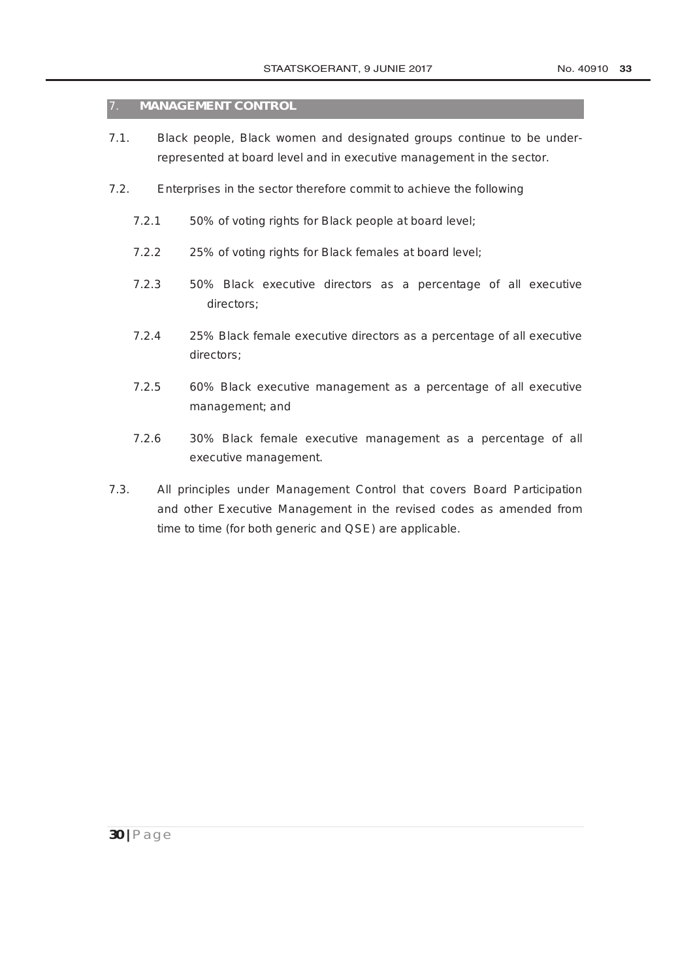#### 7. **MANAGEMENT CONTROL**

- 7.1. Black people, Black women and designated groups continue to be underrepresented at board level and in executive management in the sector.
- 7.2. Enterprises in the sector therefore commit to achieve the following
	- 7.2.1 50% of voting rights for Black people at board level;
	- 7.2.2 25% of voting rights for Black females at board level;
	- 7.2.3 50% Black executive directors as a percentage of all executive directors;
	- 7.2.4 25% Black female executive directors as a percentage of all executive directors;
	- 7.2.5 60% Black executive management as a percentage of all executive management; and
	- 7.2.6 30% Black female executive management as a percentage of all executive management.
- 7.3. All principles under Management Control that covers Board Participation and other Executive Management in the revised codes as amended from time to time (for both generic and QSE) are applicable.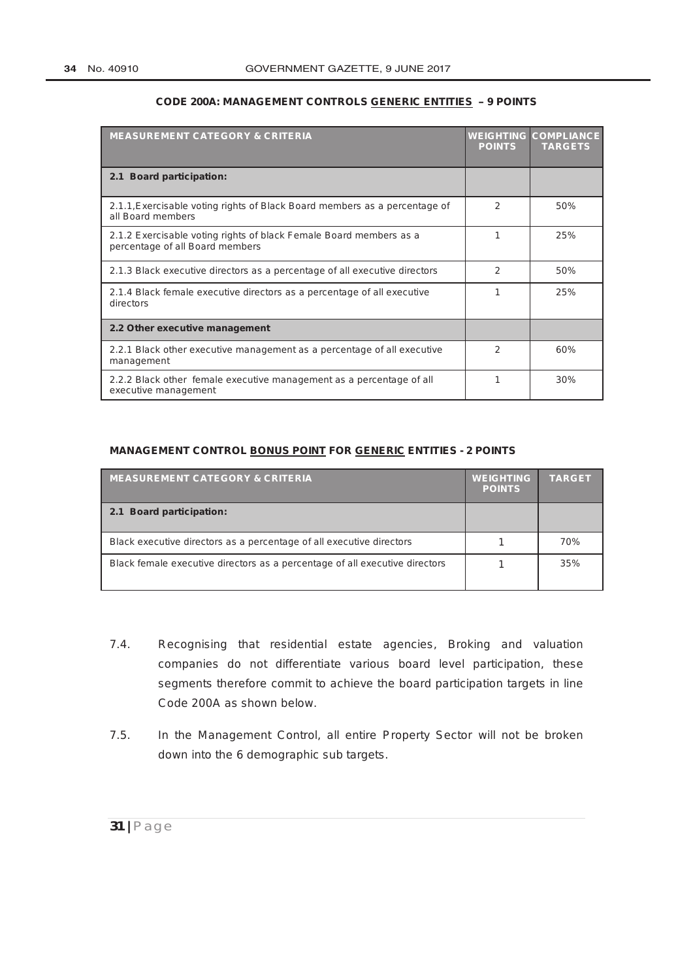| <b>MEASUREMENT CATEGORY &amp; CRITERIA</b>                                                            | <b>POINTS</b> | <b>WEIGHTING COMPLIANCE</b><br><b>TARGETS</b> |
|-------------------------------------------------------------------------------------------------------|---------------|-----------------------------------------------|
| 2.1 Board participation:                                                                              |               |                                               |
| 2.1.1, Exercisable voting rights of Black Board members as a percentage of<br>all Board members       | $\mathcal{P}$ | 50%                                           |
| 2.1.2 Exercisable voting rights of black Female Board members as a<br>percentage of all Board members |               | 25%                                           |
| 2.1.3 Black executive directors as a percentage of all executive directors                            | $\mathcal{P}$ | 50%                                           |
| 2.1.4 Black female executive directors as a percentage of all executive<br>directors                  |               | 25%                                           |
| 2.2 Other executive management                                                                        |               |                                               |
| 2.2.1 Black other executive management as a percentage of all executive<br>management                 | $\mathcal{P}$ | 60%                                           |
| 2.2.2 Black other female executive management as a percentage of all<br>executive management          |               | 30%                                           |

#### **CODE 200A: MANAGEMENT CONTROLS GENERIC ENTITIES – 9 POINTS**

#### **MANAGEMENT CONTROL BONUS POINT FOR GENERIC ENTITIES - 2 POINTS**

| <b>MEASUREMENT CATEGORY &amp; CRITERIA</b>                                  | <b>WEIGHTING</b><br><b>POINTS</b> | <b>TARGET</b> |
|-----------------------------------------------------------------------------|-----------------------------------|---------------|
| 2.1 Board participation:                                                    |                                   |               |
| Black executive directors as a percentage of all executive directors        |                                   | 70%           |
| Black female executive directors as a percentage of all executive directors |                                   | 35%           |

- 7.4. Recognising that residential estate agencies, Broking and valuation companies do not differentiate various board level participation, these segments therefore commit to achieve the board participation targets in line Code 200A as shown below.
- 7.5. In the Management Control, all entire Property Sector will not be broken down into the 6 demographic sub targets.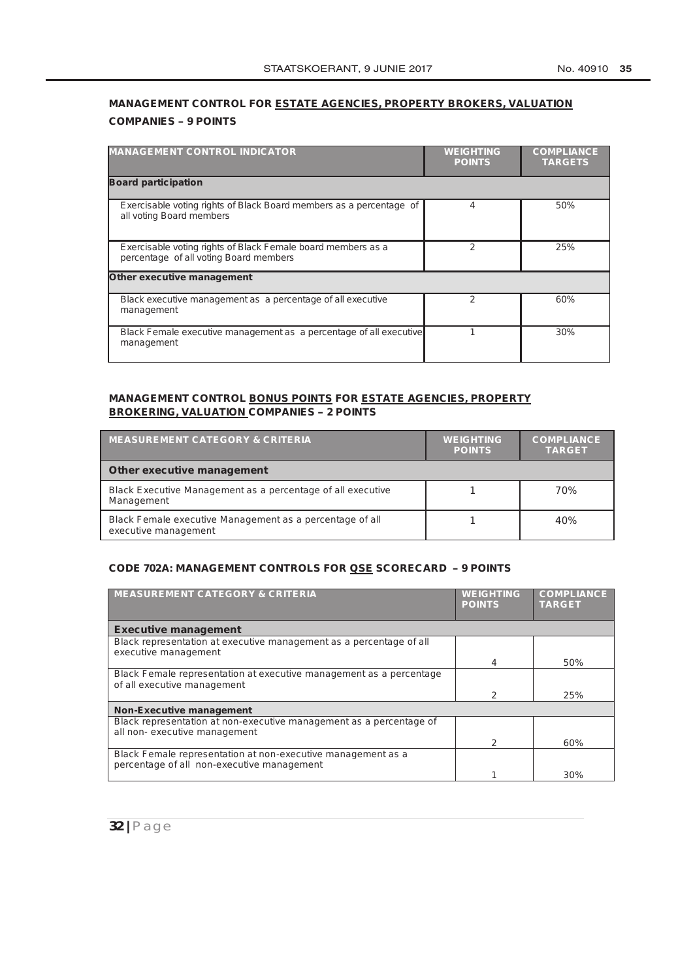# **MANAGEMENT CONTROL FOR ESTATE AGENCIES, PROPERTY BROKERS, VALUATION COMPANIES – 9 POINTS**

| <b>MANAGEMENT CONTROL INDICATOR</b>                                                                    | <b>WEIGHTING</b><br><b>POINTS</b> | <b>COMPLIANCE</b><br><b>TARGETS</b> |
|--------------------------------------------------------------------------------------------------------|-----------------------------------|-------------------------------------|
| <b>Board participation</b>                                                                             |                                   |                                     |
| Exercisable voting rights of Black Board members as a percentage of<br>all voting Board members        | 4                                 | 50%                                 |
| Exercisable voting rights of Black Female board members as a<br>percentage of all voting Board members | 2                                 | 25%                                 |
| <b>Other executive management</b>                                                                      |                                   |                                     |
| Black executive management as a percentage of all executive<br>management                              | 2                                 | 60%                                 |
| Black Female executive management as a percentage of all executive<br>management                       |                                   | 30%                                 |

#### **MANAGEMENT CONTROL BONUS POINTS FOR ESTATE AGENCIES, PROPERTY BROKERING, VALUATION COMPANIES – 2 POINTS**

| <b>MEASUREMENT CATEGORY &amp; CRITERIA</b>                                       | <b>WEIGHTING</b><br><b>POINTS</b> | <b>COMPLIANCE</b><br><b>TARGET</b> |
|----------------------------------------------------------------------------------|-----------------------------------|------------------------------------|
| <b>Other executive management</b>                                                |                                   |                                    |
| Black Executive Management as a percentage of all executive<br>Management        |                                   | 70%                                |
| Black Female executive Management as a percentage of all<br>executive management |                                   | 40%                                |

#### **CODE 702A: MANAGEMENT CONTROLS FOR QSE SCORECARD – 9 POINTS**

| <b>MEASUREMENT CATEGORY &amp; CRITERIA</b>                                                                 | <b>WEIGHTING</b><br><b>POINTS</b> | <b>COMPLIANCE</b><br><b>TARGET</b> |
|------------------------------------------------------------------------------------------------------------|-----------------------------------|------------------------------------|
| <b>Executive management</b>                                                                                |                                   |                                    |
| Black representation at executive management as a percentage of all                                        |                                   |                                    |
| executive management                                                                                       | 4                                 | 50%                                |
| Black Female representation at executive management as a percentage<br>of all executive management         |                                   |                                    |
|                                                                                                            | 2                                 | 25%                                |
| <b>Non-Executive management</b>                                                                            |                                   |                                    |
| Black representation at non-executive management as a percentage of<br>all non- executive management       |                                   |                                    |
|                                                                                                            | 2                                 | 60%                                |
| Black Female representation at non-executive management as a<br>percentage of all non-executive management |                                   |                                    |
|                                                                                                            |                                   | 30%                                |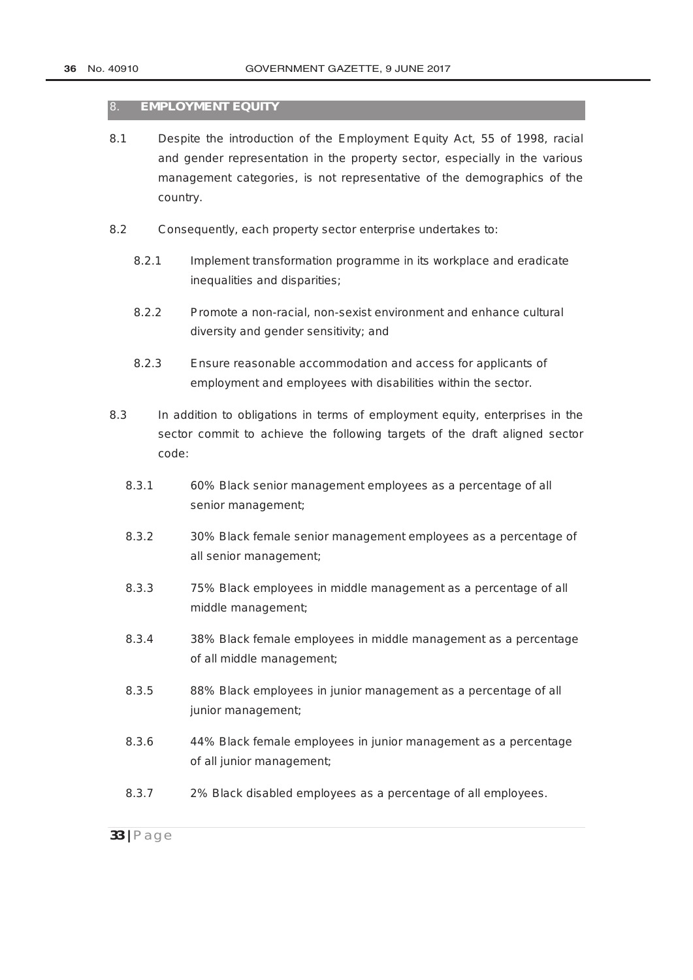#### 8. **EMPLOYMENT EQUITY**

- 8.1 Despite the introduction of the [Employment Equity](http://www.greengazette.co.za/acts/employment-equity-act_1998-055) Act, 55 of 1998, racial and gender representation in the property sector, especially in the various management categories, is not representative of the demographics of the country.
- 8.2 Consequently, each property sector enterprise undertakes to:
	- 8.2.1 Implement transformation programme in its workplace and eradicate inequalities and disparities;
	- 8.2.2 Promote a non-racial, non-sexist environment and enhance cultural diversity and gender sensitivity; and
	- 8.2.3 Ensure reasonable accommodation and access for applicants of employment and employees with disabilities within the sector.
- 8.3 In addition to obligations in terms of employment equity, enterprises in the sector commit to achieve the following targets of the draft aligned sector code:
	- 8.3.1 60% Black senior management employees as a percentage of all senior management;
	- 8.3.2 30% Black female senior management employees as a percentage of all senior management;
	- 8.3.3 75% Black employees in middle management as a percentage of all middle management;
	- 8.3.4 38% Black female employees in middle management as a percentage of all middle management;
	- 8.3.5 88% Black employees in junior management as a percentage of all junior management;
	- 8.3.6 44% Black female employees in junior management as a percentage of all junior management;
	- 8.3.7 2% Black disabled employees as a percentage of all employees.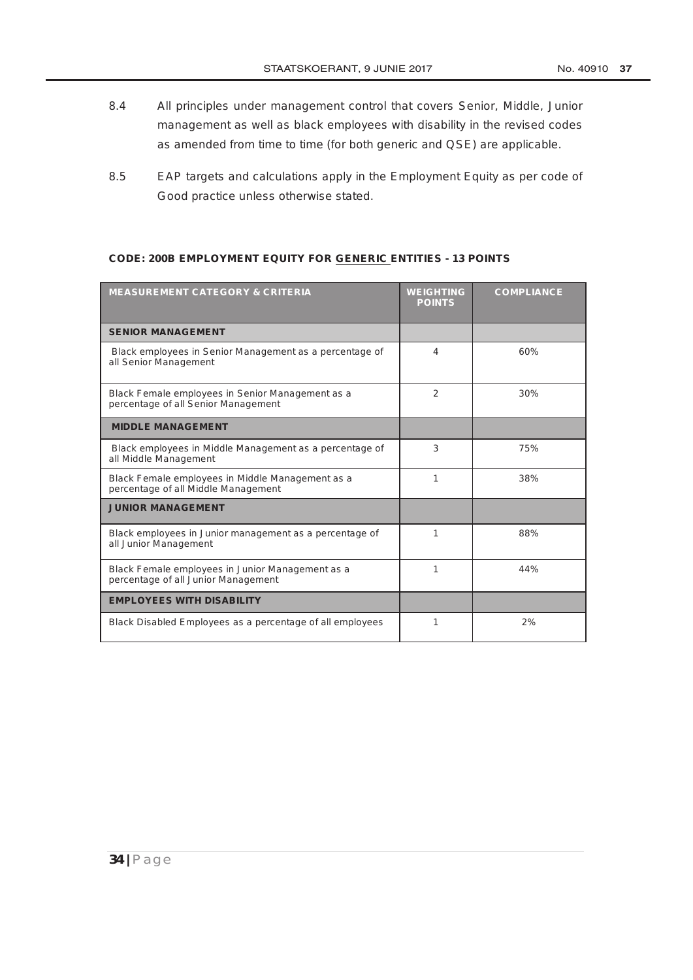- 8.4 All principles under management control that covers Senior, Middle, Junior management as well as black employees with disability in the revised codes as amended from time to time (for both generic and QSE) are applicable.
- 8.5 EAP targets and calculations apply in the Employment Equity as per code of Good practice unless otherwise stated.

#### **CODE: 200B EMPLOYMENT EQUITY FOR GENERIC ENTITIES - 13 POINTS**

| <b>MEASUREMENT CATEGORY &amp; CRITERIA</b>                                              | <b>WEIGHTING</b><br><b>POINTS</b> | <b>COMPLIANCE</b> |
|-----------------------------------------------------------------------------------------|-----------------------------------|-------------------|
| <b>SENIOR MANAGEMENT</b>                                                                |                                   |                   |
| Black employees in Senior Management as a percentage of<br>all Senior Management        | 4                                 | 60%               |
| Black Female employees in Senior Management as a<br>percentage of all Senior Management | 2                                 | 30%               |
| <b>MIDDLE MANAGEMENT</b>                                                                |                                   |                   |
| Black employees in Middle Management as a percentage of<br>all Middle Management        | 3                                 | 75%               |
| Black Female employees in Middle Management as a<br>percentage of all Middle Management | 1                                 | 38%               |
| <b>JUNIOR MANAGEMENT</b>                                                                |                                   |                   |
| Black employees in Junior management as a percentage of<br>all Junior Management        | 1                                 | 88%               |
| Black Female employees in Junior Management as a<br>percentage of all Junior Management | 1                                 | 44%               |
| <b>EMPLOYEES WITH DISABILITY</b>                                                        |                                   |                   |
| Black Disabled Employees as a percentage of all employees                               | 1                                 | 2%                |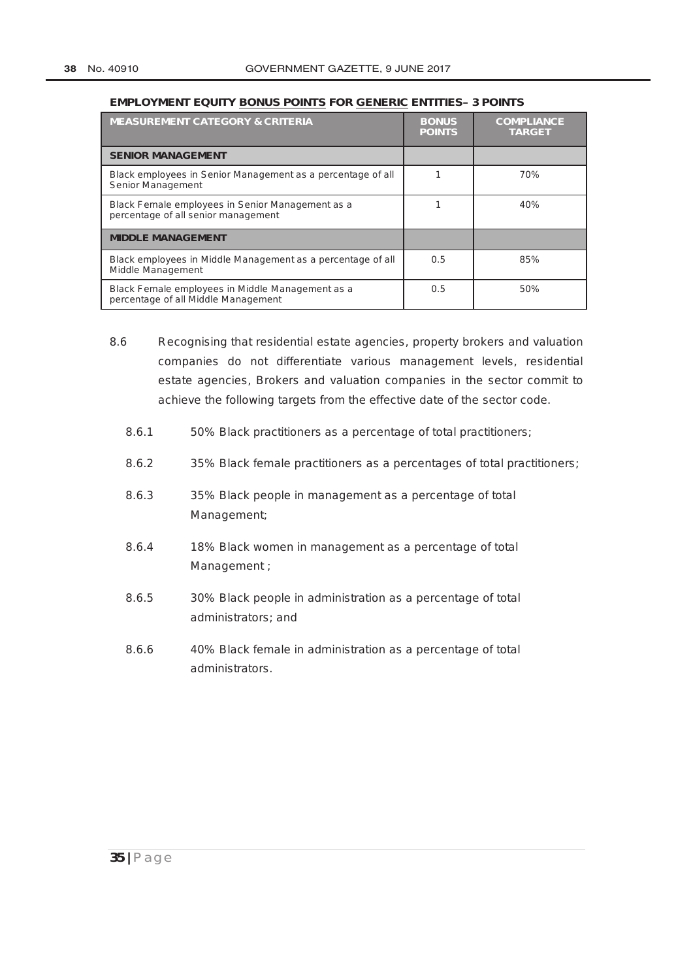#### **EMPLOYMENT EQUITY BONUS POINTS FOR GENERIC ENTITIES– 3 POINTS**

| <b>MEASUREMENT CATEGORY &amp; CRITERIA</b>                                              | <b>BONUS</b><br><b>POINTS</b> | <b>COMPLIANCE</b><br><b>TARGET</b> |
|-----------------------------------------------------------------------------------------|-------------------------------|------------------------------------|
| <b>SENIOR MANAGEMENT</b>                                                                |                               |                                    |
| Black employees in Senior Management as a percentage of all<br>Senior Management        |                               | 70%                                |
| Black Female employees in Senior Management as a<br>percentage of all senior management |                               | 40%                                |
| <b>MIDDLE MANAGEMENT</b>                                                                |                               |                                    |
| Black employees in Middle Management as a percentage of all<br>Middle Management        | 0.5                           | 85%                                |
| Black Female employees in Middle Management as a<br>percentage of all Middle Management | 0.5                           | 50%                                |

- 8.6 Recognising that residential estate agencies, property brokers and valuation companies do not differentiate various management levels, residential estate agencies, Brokers and valuation companies in the sector commit to achieve the following targets from the effective date of the sector code.
	- 8.6.1 50% Black practitioners as a percentage of total practitioners;
	- 8.6.2 35% Black female practitioners as a percentages of total practitioners;
	- 8.6.3 35% Black people in management as a percentage of total Management;
	- 8.6.4 18% Black women in management as a percentage of total Management ;
	- 8.6.5 30% Black people in administration as a percentage of total administrators; and
	- 8.6.6 40% Black female in administration as a percentage of total administrators.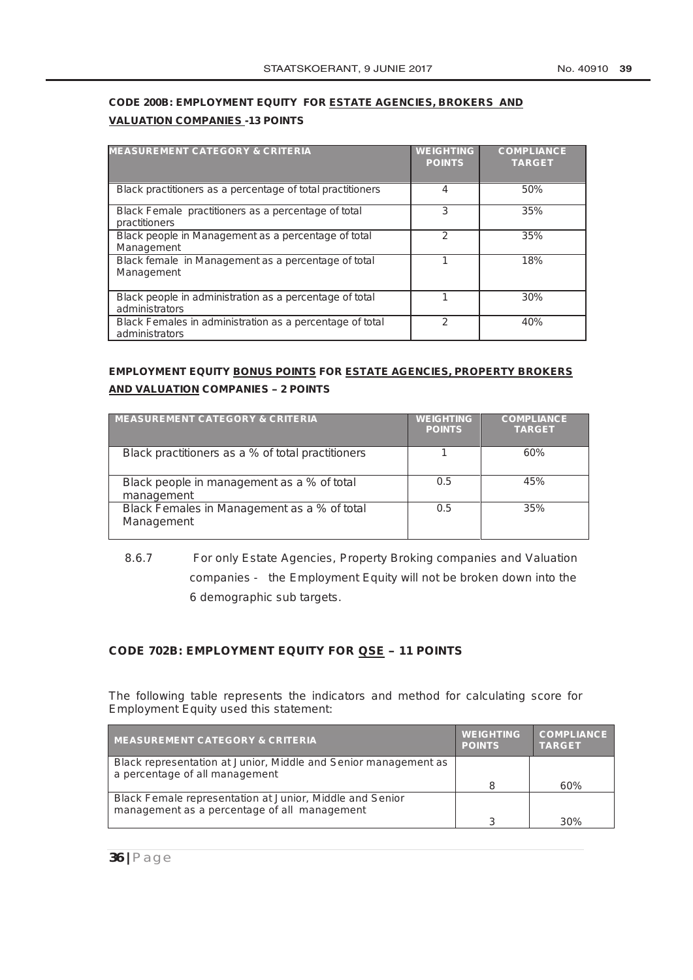# **CODE 200B: EMPLOYMENT EQUITY FOR ESTATE AGENCIES, BROKERS AND VALUATION COMPANIES -13 POINTS**

| <b>MEASUREMENT CATEGORY &amp; CRITERIA</b>                                 | <b>WEIGHTING</b><br><b>POINTS</b> | <b>COMPLIANCE</b><br><b>TARGET</b> |
|----------------------------------------------------------------------------|-----------------------------------|------------------------------------|
| Black practitioners as a percentage of total practitioners                 | 4                                 | 50%                                |
| Black Female practitioners as a percentage of total<br>practitioners       | 3                                 | 35%                                |
| Black people in Management as a percentage of total<br>Management          | 2                                 | 35%                                |
| Black female in Management as a percentage of total<br>Management          |                                   | 18%                                |
| Black people in administration as a percentage of total<br>administrators  |                                   | 30%                                |
| Black Females in administration as a percentage of total<br>administrators | 2                                 | 40%                                |

# **EMPLOYMENT EQUITY BONUS POINTS FOR ESTATE AGENCIES, PROPERTY BROKERS AND VALUATION COMPANIES – 2 POINTS**

| <b>MEASUREMENT CATEGORY &amp; CRITERIA</b>                | <b>WEIGHTING</b><br><b>POINTS</b> | <b>COMPLIANCE</b><br><b>TARGET</b> |
|-----------------------------------------------------------|-----------------------------------|------------------------------------|
| Black practitioners as a % of total practitioners         |                                   | 60%                                |
| Black people in management as a % of total<br>management  | 0.5                               | 45%                                |
| Black Females in Management as a % of total<br>Management | 0.5                               | 35%                                |

# 8.6.7 For only Estate Agencies, Property Broking companies and Valuation companies - the Employment Equity will not be broken down into the 6 demographic sub targets.

#### **CODE 702B: EMPLOYMENT EQUITY FOR QSE – 11 POINTS**

The following table represents the indicators and method for calculating score for Employment Equity used this statement:

| <b>MEASUREMENT CATEGORY &amp; CRITERIA</b>                                                               | <b>WEIGHTING</b><br><b>POINTS</b> | <b>COMPLIANCE</b><br><b>TARGET</b> |
|----------------------------------------------------------------------------------------------------------|-----------------------------------|------------------------------------|
| Black representation at Junior, Middle and Senior management as<br>a percentage of all management        |                                   |                                    |
|                                                                                                          | 8                                 | 60%                                |
| Black Female representation at Junior, Middle and Senior<br>management as a percentage of all management |                                   |                                    |
|                                                                                                          | З                                 | 30%                                |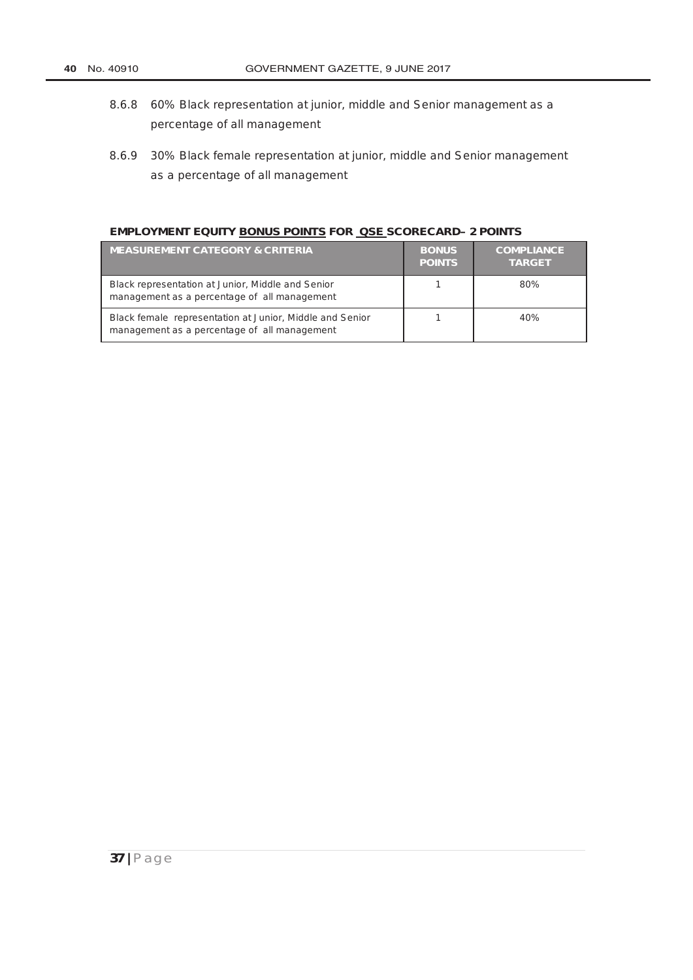- 8.6.8 60% Black representation at junior, middle and Senior management as a percentage of all management
- 8.6.9 30% Black female representation at junior, middle and Senior management as a percentage of all management

#### **EMPLOYMENT EQUITY BONUS POINTS FOR QSE SCORECARD– 2 POINTS**

| <b>MEASUREMENT CATEGORY &amp; CRITERIA</b>                                                               | <b>BONUS</b><br><b>POINTS</b> | <b>COMPLIANCE</b><br><b>TARGET</b> |
|----------------------------------------------------------------------------------------------------------|-------------------------------|------------------------------------|
| Black representation at Junior, Middle and Senior<br>management as a percentage of all management        |                               | 80%                                |
| Black female representation at Junior, Middle and Senior<br>management as a percentage of all management |                               | 40%                                |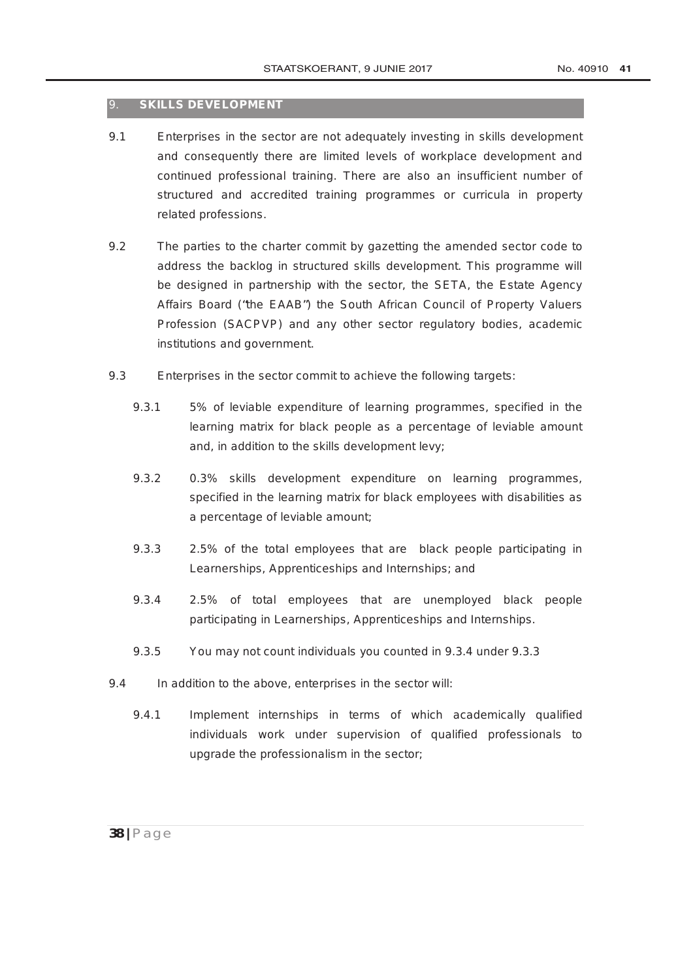## 9. **SKILLS DEVELOPMENT**

- 9.1 Enterprises in the sector are not adequately investing in skills development and consequently there are limited levels of workplace development and continued professional training. There are also an insufficient number of structured and accredited training programmes or curricula in property related professions.
- 9.2 The parties to the charter commit by gazetting the amended sector code to address the backlog in structured skills development. This programme will be designed in partnership with the sector, the SETA, the Estate Agency Affairs Board ("*the EAAB*") the South African Council of Property Valuers Profession (SACPVP) and any other sector regulatory bodies, academic institutions and government.
- 9.3 Enterprises in the sector commit to achieve the following targets:
	- 9.3.1 5% of leviable expenditure of learning programmes, specified in the learning matrix for black people as a percentage of leviable amount and, in addition to the skills development levy;
	- 9.3.2 0.3% skills development expenditure on learning programmes, specified in the learning matrix for black employees with disabilities as a percentage of leviable amount;
	- 9.3.3 2.5% of the total employees that are black people participating in Learnerships, Apprenticeships and Internships; and
	- 9.3.4 2.5% of total employees that are unemployed black people participating in Learnerships, Apprenticeships and Internships.
	- 9.3.5 You may not count individuals you counted in 9.3.4 under 9.3.3
- 9.4 In addition to the above, enterprises in the sector will:
	- 9.4.1 Implement internships in terms of which academically qualified individuals work under supervision of qualified professionals to upgrade the professionalism in the sector;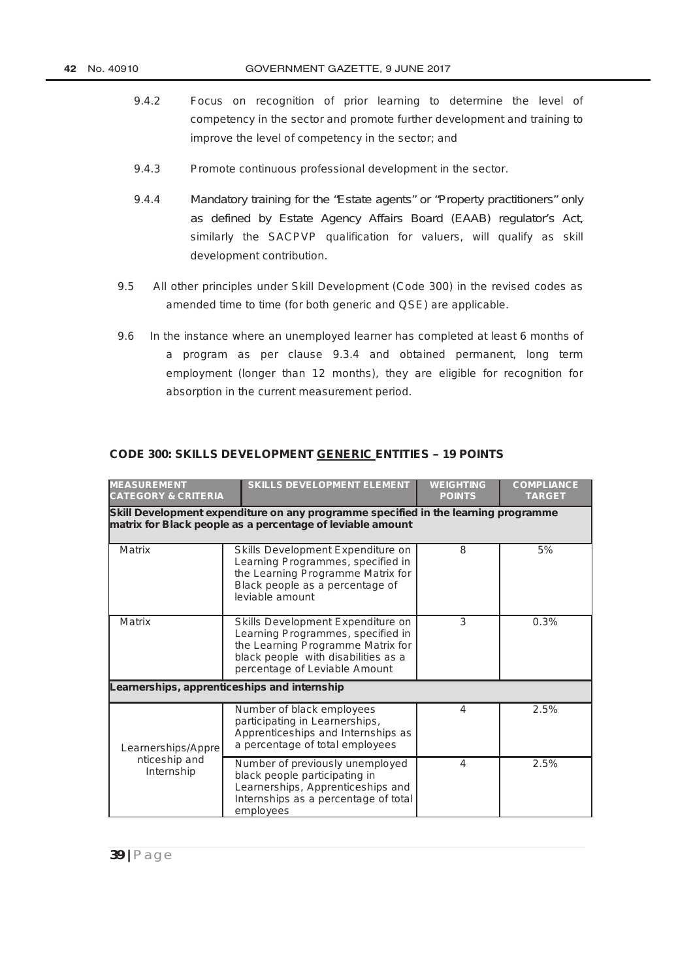- 9.4.2 Focus on recognition of prior learning to determine the level of competency in the sector and promote further development and training to improve the level of competency in the sector; and
- 9.4.3 Promote continuous professional development in the sector.
- 9.4.4 Mandatory training for the "Estate agents" or "Property practitioners" only as defined by Estate Agency Affairs Board (EAAB) regulator's Act, similarly the SACPVP qualification for valuers, will qualify as skill development contribution.
- 9.5 All other principles under Skill Development (Code 300) in the revised codes as amended time to time (for both generic and QSE) are applicable.
- 9.6 In the instance where an unemployed learner has completed at least 6 months of a program as per clause 9.3.4 and obtained permanent, long term employment (longer than 12 months), they are eligible for recognition for absorption in the current measurement period.

| <b>MEASUREMENT</b><br><b>CATEGORY &amp; CRITERIA</b> | <b>SKILLS DEVELOPMENT ELEMENT</b>                                                                                                                                                   | <b>WEIGHTING</b><br><b>POINTS</b> | <b>COMPLIANCE</b><br><b>TARGET</b> |
|------------------------------------------------------|-------------------------------------------------------------------------------------------------------------------------------------------------------------------------------------|-----------------------------------|------------------------------------|
|                                                      | Skill Development expenditure on any programme specified in the learning programme<br>matrix for Black people as a percentage of leviable amount                                    |                                   |                                    |
| Matrix                                               | Skills Development Expenditure on<br>Learning Programmes, specified in<br>the Learning Programme Matrix for<br>Black people as a percentage of<br>leviable amount                   | 8                                 | 5%                                 |
| <b>Matrix</b>                                        | Skills Development Expenditure on<br>Learning Programmes, specified in<br>the Learning Programme Matrix for<br>black people with disabilities as a<br>percentage of Leviable Amount | 3                                 | 0.3%                               |
|                                                      | Learnerships, apprenticeships and internship                                                                                                                                        |                                   |                                    |
| Learnerships/Appre                                   | Number of black employees<br>participating in Learnerships,<br>Apprenticeships and Internships as<br>a percentage of total employees                                                | 4                                 | 2.5%                               |
| nticeship and<br>Internship                          | Number of previously unemployed<br>black people participating in<br>Learnerships, Apprenticeships and<br>Internships as a percentage of total<br>employees                          | 4                                 | 2.5%                               |

#### **CODE 300: SKILLS DEVELOPMENT GENERIC ENTITIES – 19 POINTS**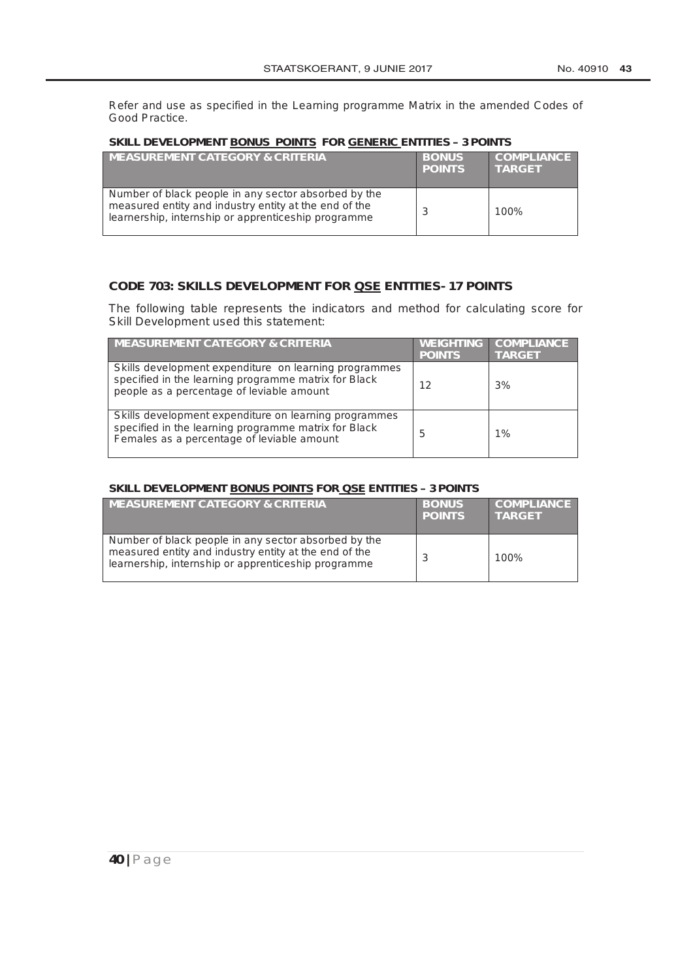Refer and use as specified in the Learning programme Matrix in the amended Codes of Good Practice.

#### **SKILL DEVELOPMENT BONUS POINTS FOR GENERIC ENTITIES – 3 POINTS**

| <b>MEASUREMENT CATEGORY &amp; CRITERIA</b>                                                                                                                           | <b>BONUS</b><br><b>POINTS</b> | <b>COMPLIANCE</b><br><b>TARGET</b> |
|----------------------------------------------------------------------------------------------------------------------------------------------------------------------|-------------------------------|------------------------------------|
| Number of black people in any sector absorbed by the<br>measured entity and industry entity at the end of the<br>learnership, internship or apprenticeship programme |                               | 100%                               |

## **CODE 703: SKILLS DEVELOPMENT FOR QSE ENTITIES- 17 POINTS**

The following table represents the indicators and method for calculating score for Skill Development used this statement:

| <b>MEASUREMENT CATEGORY &amp; CRITERIA</b>                                                                                                                  | <b>WEIGHTING</b><br><b>POINTS</b> | <b>COMPLIANCE</b><br><b>TARGET</b> |
|-------------------------------------------------------------------------------------------------------------------------------------------------------------|-----------------------------------|------------------------------------|
| Skills development expenditure on learning programmes<br>specified in the learning programme matrix for Black<br>people as a percentage of leviable amount  | 12                                | 3%                                 |
| Skills development expenditure on learning programmes<br>specified in the learning programme matrix for Black<br>Females as a percentage of leviable amount | 5                                 | 1%                                 |

#### **SKILL DEVELOPMENT BONUS POINTS FOR QSE ENTITIES – 3 POINTS**

| <b>MEASUREMENT CATEGORY &amp; CRITERIA</b>                                                                                                                           | <b>BONUS</b><br><b>POINTS</b> | <b>COMPLIANCE</b><br><b>TARGET</b> |
|----------------------------------------------------------------------------------------------------------------------------------------------------------------------|-------------------------------|------------------------------------|
| Number of black people in any sector absorbed by the<br>measured entity and industry entity at the end of the<br>learnership, internship or apprenticeship programme |                               | 100%                               |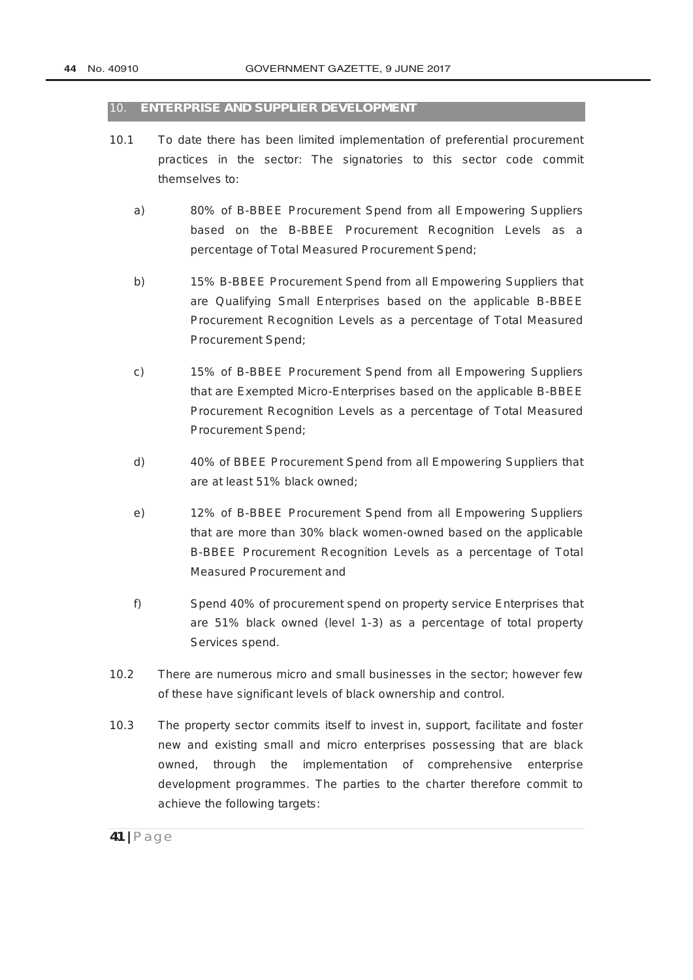#### 10. **ENTERPRISE AND SUPPLIER DEVELOPMENT**

- 10.1 To date there has been limited implementation of preferential procurement practices in the sector: The signatories to this sector code commit themselves to:
	- a) 80% of B-BBEE Procurement Spend from all Empowering Suppliers based on the B-BBEE Procurement Recognition Levels as a percentage of Total Measured Procurement Spend;
	- b) 15% B-BBEE Procurement Spend from all Empowering Suppliers that are Qualifying Small Enterprises based on the applicable B-BBEE Procurement Recognition Levels as a percentage of Total Measured Procurement Spend;
	- c) 15% of B-BBEE Procurement Spend from all Empowering Suppliers that are Exempted Micro-Enterprises based on the applicable B-BBEE Procurement Recognition Levels as a percentage of Total Measured Procurement Spend;
	- d) 40% of BBEE Procurement Spend from all Empowering Suppliers that are at least 51% black owned;
	- e) 12% of B-BBEE Procurement Spend from all Empowering Suppliers that are more than 30% black women-owned based on the applicable B-BBEE Procurement Recognition Levels as a percentage of Total Measured Procurement and
	- f) Spend 40% of procurement spend on property service Enterprises that are 51% black owned (level 1-3) as a percentage of total property Services spend.
- 10.2 There are numerous micro and small businesses in the sector; however few of these have significant levels of black ownership and control.
- 10.3 The property sector commits itself to invest in, support, facilitate and foster new and existing small and micro enterprises possessing that are black owned*,* through the implementation of comprehensive enterprise development programmes. The parties to the charter therefore commit to achieve the following targets: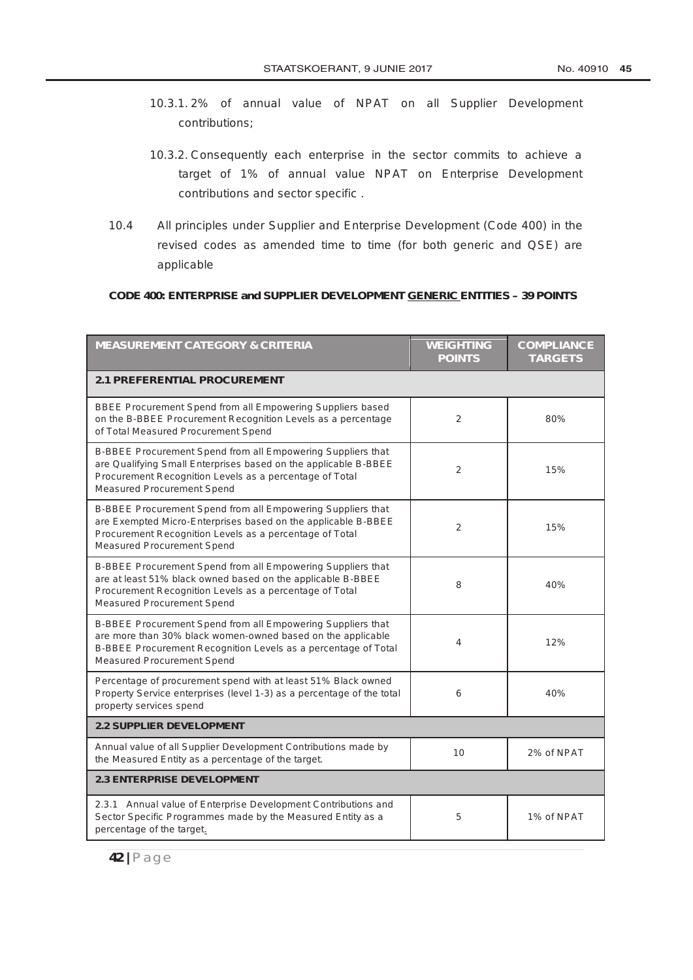- 10.3.1. 2% of annual value of NPAT on all Supplier Development contributions;
- 10.3.2. Consequently each enterprise in the sector commits to achieve a target of 1% of annual value NPAT on Enterprise Development contributions and sector specific .
- 10.4 All principles under Supplier and Enterprise Development (Code 400) in the revised codes as amended time to time (for both generic and QSE) are applicable

#### **CODE 400: ENTERPRISE and SUPPLIER DEVELOPMENT GENERIC ENTITIES – 39 POINTS**

| <b>MEASUREMENT CATEGORY &amp; CRITERIA</b>                                                                                                                                                                                     | <b>WEIGHTING</b><br><b>POINTS</b> | <b>COMPLIANCE</b><br><b>TARGETS</b> |
|--------------------------------------------------------------------------------------------------------------------------------------------------------------------------------------------------------------------------------|-----------------------------------|-------------------------------------|
| <b>2.1 PREFERENTIAL PROCUREMENT</b>                                                                                                                                                                                            |                                   |                                     |
| BBEE Procurement Spend from all Empowering Suppliers based<br>on the B-BBEE Procurement Recognition Levels as a percentage<br>of Total Measured Procurement Spend                                                              | $\overline{2}$                    | 80%                                 |
| B-BBEE Procurement Spend from all Empowering Suppliers that<br>are Qualifying Small Enterprises based on the applicable B-BBEE<br>Procurement Recognition Levels as a percentage of Total<br><b>Measured Procurement Spend</b> | 2                                 | 15%                                 |
| B-BBEE Procurement Spend from all Empowering Suppliers that<br>are Exempted Micro-Enterprises based on the applicable B-BBEE<br>Procurement Recognition Levels as a percentage of Total<br>Measured Procurement Spend          | 2                                 | 15%                                 |
| B-BBEE Procurement Spend from all Empowering Suppliers that<br>are at least 51% black owned based on the applicable B-BBEE<br>Procurement Recognition Levels as a percentage of Total<br>Measured Procurement Spend            | 8                                 | 40%                                 |
| B-BBEE Procurement Spend from all Empowering Suppliers that<br>are more than 30% black women-owned based on the applicable<br>B-BBEE Procurement Recognition Levels as a percentage of Total<br>Measured Procurement Spend     | 4                                 | 12%                                 |
| Percentage of procurement spend with at least 51% Black owned<br>Property Service enterprises (level 1-3) as a percentage of the total<br>property services spend                                                              | 6                                 | 40%                                 |
| <b>2.2 SUPPLIER DEVELOPMENT</b>                                                                                                                                                                                                |                                   |                                     |
| Annual value of all Supplier Development Contributions made by<br>the Measured Entity as a percentage of the target.                                                                                                           | 10                                | 2% of NPAT                          |
| <b>2.3 ENTERPRISE DEVELOPMENT</b>                                                                                                                                                                                              |                                   |                                     |
| 2.3.1 Annual value of Enterprise Development Contributions and<br>Sector Specific Programmes made by the Measured Entity as a<br>percentage of the target.                                                                     | 5                                 | 1% of NPAT                          |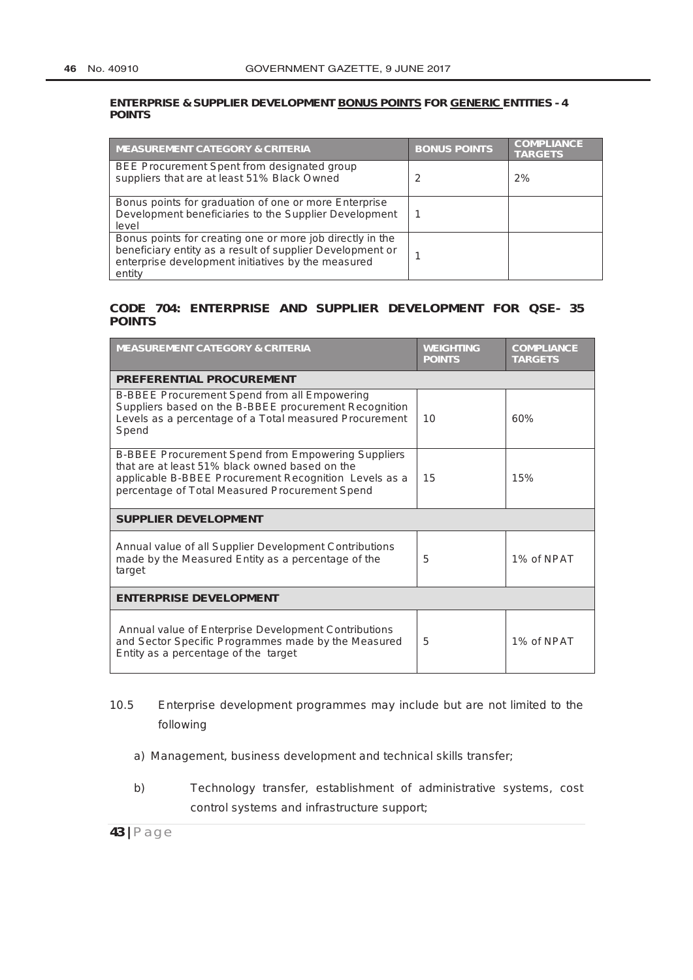#### **ENTERPRISE & SUPPLIER DEVELOPMENT BONUS POINTS FOR GENERIC ENTITIES - 4 POINTS**

| <b>MEASUREMENT CATEGORY &amp; CRITERIA</b>                                                                                                                                             | <b>BONUS POINTS</b> | <b>COMPLIANCE</b><br><b>TARGETS</b> |
|----------------------------------------------------------------------------------------------------------------------------------------------------------------------------------------|---------------------|-------------------------------------|
| BEE Procurement Spent from designated group<br>suppliers that are at least 51% Black Owned                                                                                             | 2                   | 2%                                  |
| Bonus points for graduation of one or more Enterprise<br>Development beneficiaries to the Supplier Development<br>level                                                                |                     |                                     |
| Bonus points for creating one or more job directly in the<br>beneficiary entity as a result of supplier Development or<br>enterprise development initiatives by the measured<br>entity |                     |                                     |

#### **CODE 704: ENTERPRISE AND SUPPLIER DEVELOPMENT FOR QSE- 35 POINTS**

| <b>MEASUREMENT CATEGORY &amp; CRITERIA</b>                                                                                                                                                                             | <b>WEIGHTING</b><br><b>POINTS</b> | <b>COMPLIANCE</b><br><b>TARGETS</b> |
|------------------------------------------------------------------------------------------------------------------------------------------------------------------------------------------------------------------------|-----------------------------------|-------------------------------------|
| <b>PREFERENTIAL PROCUREMENT</b>                                                                                                                                                                                        |                                   |                                     |
| B-BBEE Procurement Spend from all Empowering<br>Suppliers based on the B-BBEE procurement Recognition<br>Levels as a percentage of a Total measured Procurement<br>Spend                                               | 10                                | 60%                                 |
| <b>B-BBEE Procurement Spend from Empowering Suppliers</b><br>that are at least 51% black owned based on the<br>applicable B-BBEE Procurement Recognition Levels as a<br>percentage of Total Measured Procurement Spend | 15                                | 15%                                 |
| <b>SUPPLIER DEVELOPMENT</b>                                                                                                                                                                                            |                                   |                                     |
| Annual value of all Supplier Development Contributions<br>made by the Measured Entity as a percentage of the<br>target                                                                                                 | 5                                 | 1% of NPAT                          |
| <b>ENTERPRISE DEVELOPMENT</b>                                                                                                                                                                                          |                                   |                                     |
| Annual value of Enterprise Development Contributions<br>and Sector Specific Programmes made by the Measured<br>Entity as a percentage of the target                                                                    | 5                                 | 1% of NPAT                          |

# 10.5 Enterprise development programmes may include but are not limited to the following

- a) Management, business development and technical skills transfer;
- b) Technology transfer, establishment of administrative systems, cost control systems and infrastructure support;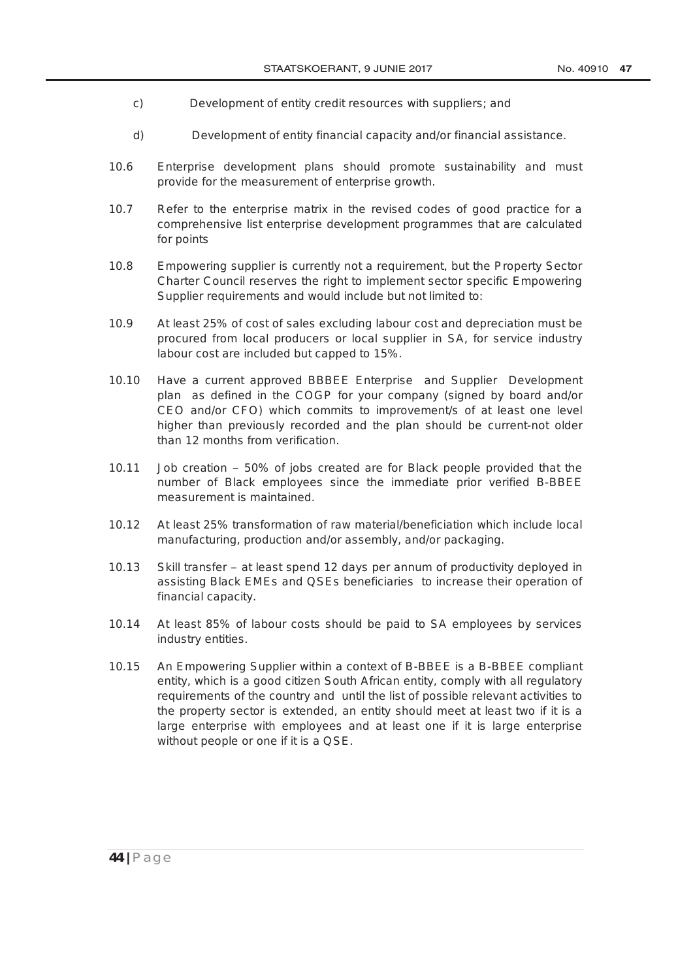- c) Development of entity credit resources with suppliers; and
- d) Development of entity financial capacity and/or financial assistance.
- 10.6 Enterprise development plans should promote sustainability and must provide for the measurement of enterprise growth.
- 10.7 Refer to the enterprise matrix in the revised codes of good practice for a comprehensive list enterprise development programmes that are calculated for points
- 10.8 Empowering supplier is currently not a requirement, but the Property Sector Charter Council reserves the right to implement sector specific Empowering Supplier requirements and would include but not limited to:
- 10.9 At least 25% of cost of sales excluding labour cost and depreciation must be procured from local producers or local supplier in SA, for service industry labour cost are included but capped to 15%.
- 10.10 Have a current approved BBBEE Enterprise and Supplier Development plan as defined in the COGP for your company (signed by board and/or CEO and/or CFO) which commits to improvement/s of at least one level higher than previously recorded and the plan should be current-not older than 12 months from verification.
- 10.11 Job creation 50% of jobs created are for Black people provided that the number of Black employees since the immediate prior verified B-BBEE measurement is maintained.
- 10.12 At least 25% transformation of raw material/beneficiation which include local manufacturing, production and/or assembly, and/or packaging.
- 10.13 Skill transfer at least spend 12 days per annum of productivity deployed in assisting Black EMEs and QSEs beneficiaries to increase their operation of financial capacity.
- 10.14 At least 85% of labour costs should be paid to SA employees by services industry entities.
- 10.15 An Empowering Supplier within a context of B-BBEE is a B-BBEE compliant entity, which is a good citizen South African entity, comply with all regulatory requirements of the country and until the list of possible relevant activities to the property sector is extended, an entity should meet at least two if it is a large enterprise with employees and at least one if it is large enterprise without people or one if it is a QSE.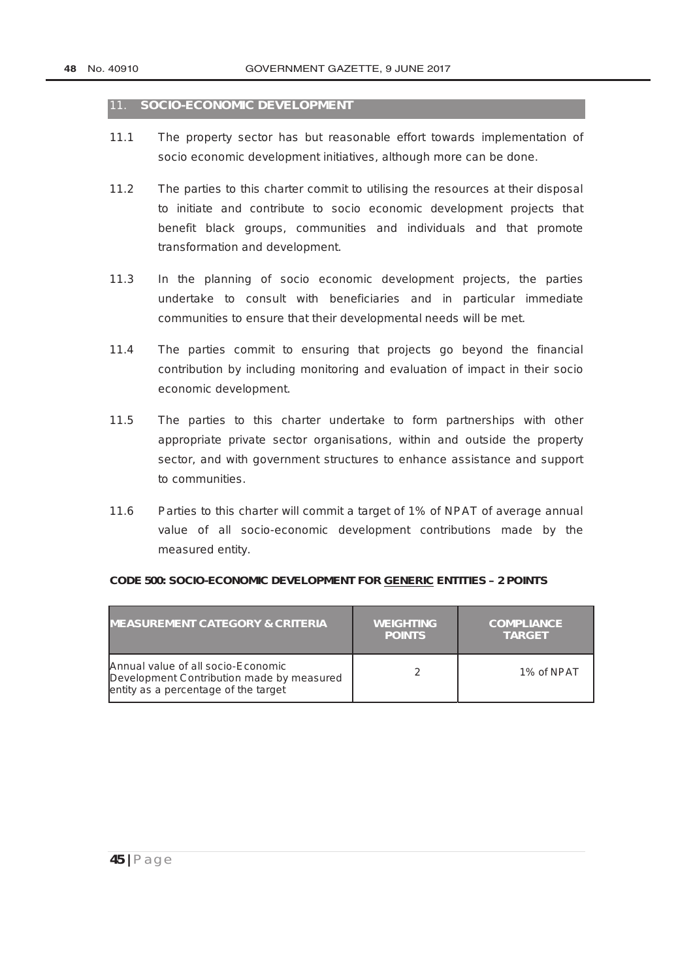#### 11. **SOCIO-ECONOMIC DEVELOPMENT**

- 11.1 The property sector has but reasonable effort towards implementation of socio economic development initiatives, although more can be done.
- 11.2 The parties to this charter commit to utilising the resources at their disposal to initiate and contribute to socio economic development projects that benefit black groups, communities and individuals and that promote transformation and development.
- 11.3 In the planning of socio economic development projects, the parties undertake to consult with beneficiaries and in particular immediate communities to ensure that their developmental needs will be met.
- 11.4 The parties commit to ensuring that projects go beyond the financial contribution by including monitoring and evaluation of impact in their socio economic development.
- 11.5 The parties to this charter undertake to form partnerships with other appropriate private sector organisations, within and outside the property sector, and with government structures to enhance assistance and support to communities.
- 11.6 Parties to this charter will commit a target of 1% of NPAT of average annual value of all socio-economic development contributions made by the measured entity.

| <b>MEASUREMENT CATEGORY &amp; CRITERIA</b>                                                                              | <b>WEIGHTING</b><br><b>POINTS</b> | <b>COMPLIANCE</b><br><b>TARGET</b> |
|-------------------------------------------------------------------------------------------------------------------------|-----------------------------------|------------------------------------|
| Annual value of all socio-Economic<br>Development Contribution made by measured<br>entity as a percentage of the target |                                   | 1% of NPAT                         |

#### **CODE 500: SOCIO-ECONOMIC DEVELOPMENT FOR GENERIC ENTITIES – 2 POINTS**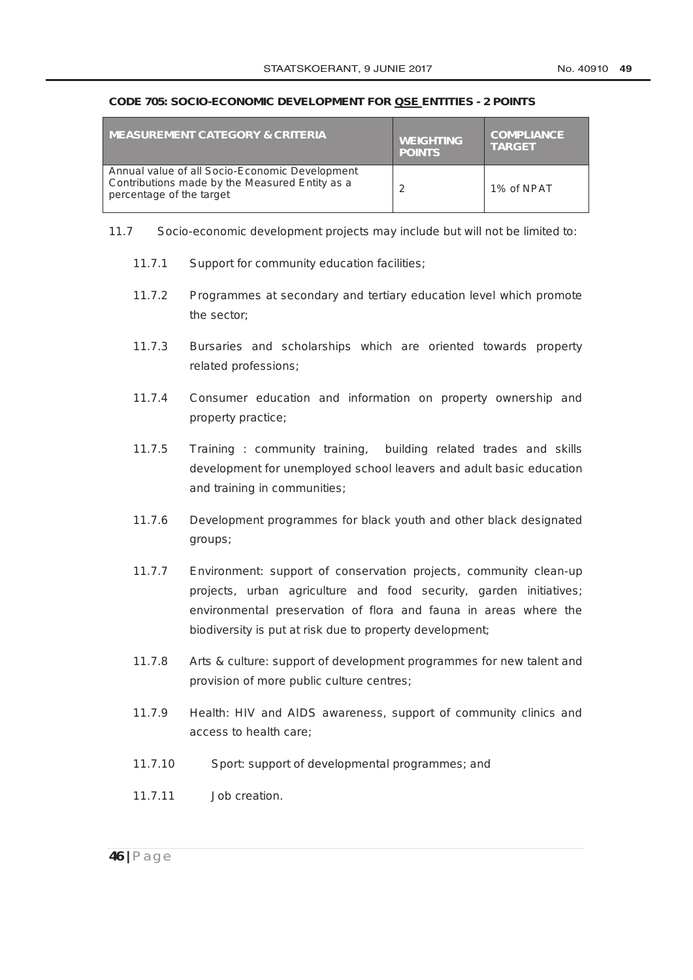#### **CODE 705: SOCIO-ECONOMIC DEVELOPMENT FOR QSE ENTITIES - 2 POINTS**

| <b>I MEASUREMENT CATEGORY &amp; CRITERIA</b>                                                                                 | <b>WEIGHTING</b><br><b>POINTS</b> | <b>COMPLIANCE</b><br><b>TARGET</b> |
|------------------------------------------------------------------------------------------------------------------------------|-----------------------------------|------------------------------------|
| Annual value of all Socio-Economic Development<br>Contributions made by the Measured Entity as a<br>percentage of the target | っ                                 | 1% of NPAT                         |

- 11.7 Socio-economic development projects may include but will not be limited to:
	- 11.7.1 Support for community education facilities;
	- 11.7.2 Programmes at secondary and tertiary education level which promote the sector;
	- 11.7.3 Bursaries and scholarships which are oriented towards property related professions;
	- 11.7.4 Consumer education and information on property ownership and property practice;
	- 11.7.5 Training : community training, building related trades and skills development for unemployed school leavers and adult basic education and training in communities;
	- 11.7.6 Development programmes for black youth and other black designated groups;
	- 11.7.7 Environment: support of conservation projects, community clean-up projects, urban agriculture and food security, garden initiatives; environmental preservation of flora and fauna in areas where the biodiversity is put at risk due to property development;
	- 11.7.8 Arts & culture: support of development programmes for new talent and provision of more public culture centres;
	- 11.7.9 Health: HIV and AIDS awareness, support of community clinics and access to health care;
	- 11.7.10 Sport: support of developmental programmes; and
	- 11.7.11 Job creation.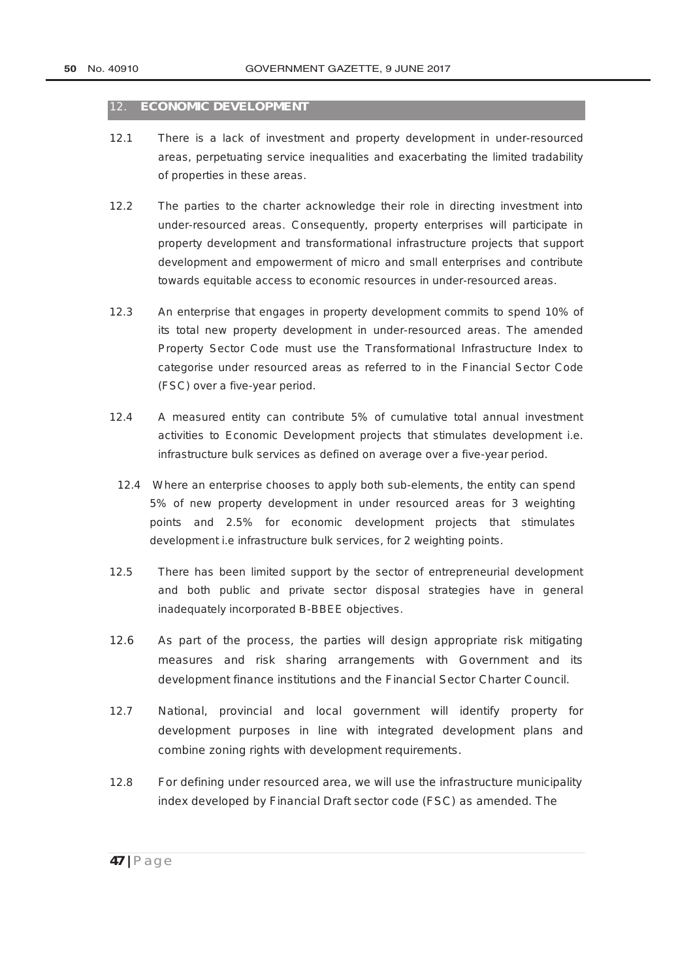#### 12. **ECONOMIC DEVELOPMENT**

- 12.1 There is a lack of investment and property development in under-resourced areas, perpetuating service inequalities and exacerbating the limited tradability of properties in these areas.
- 12.2 The parties to the charter acknowledge their role in directing investment into under-resourced areas. Consequently, property enterprises will participate in property development and transformational infrastructure projects that support development and empowerment of micro and small enterprises and contribute towards equitable access to economic resources in under-resourced areas.
- 12.3 An enterprise that engages in property development commits to spend 10% of its total new property development in under-resourced areas. The amended Property Sector Code must use the Transformational Infrastructure Index to categorise under resourced areas as referred to in the Financial Sector Code (FSC) over a five-year period.
- 12.4 A measured entity can contribute 5% of cumulative total annual investment activities to Economic Development projects that stimulates development i.e. infrastructure bulk services as defined on average over a five-year period.
- 12.4 Where an enterprise chooses to apply both sub-elements, the entity can spend 5% of new property development in under resourced areas for 3 weighting points and 2.5% for economic development projects that stimulates development i.e infrastructure bulk services, for 2 weighting points.
- 12.5 There has been limited support by the sector of entrepreneurial development and both public and private sector disposal strategies have in general inadequately incorporated B-BBEE objectives.
- 12.6 As part of the process, the parties will design appropriate risk mitigating measures and risk sharing arrangements with Government and its development finance institutions and the Financial Sector Charter Council.
- 12.7 National, provincial and local government will identify property for development purposes in line with integrated development plans and combine zoning rights with development requirements.
- 12.8 For defining under resourced area, we will use the infrastructure municipality index developed by Financial Draft sector code (FSC) as amended. The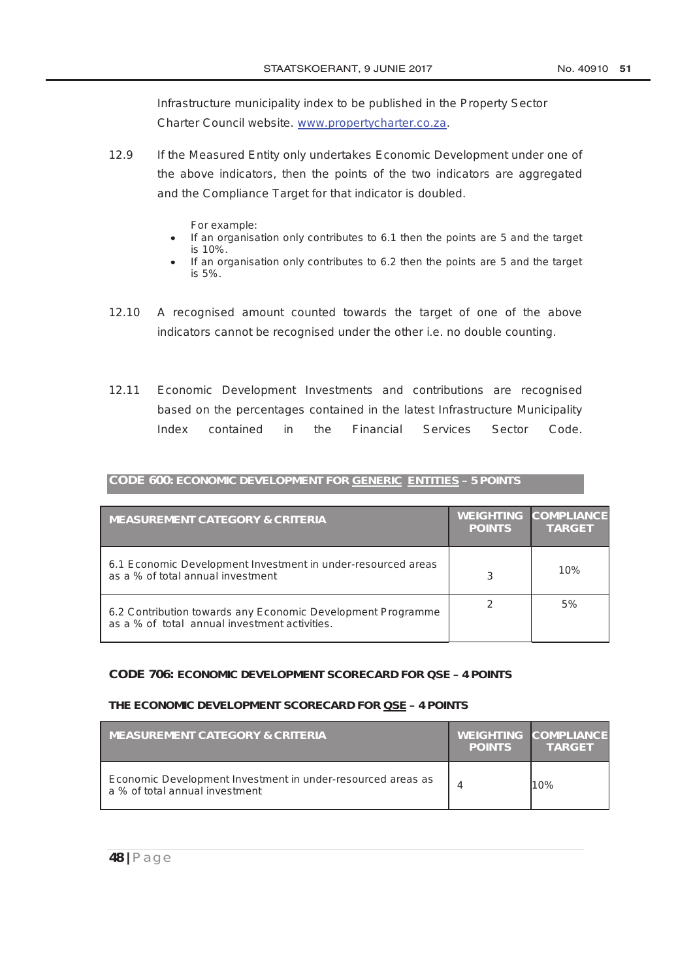Infrastructure municipality index to be published in the Property Sector Charter Council website. www.propertycharter.co.za.

- 12.9 If the Measured Entity only undertakes Economic Development under one of the above indicators, then the points of the two indicators are aggregated and the Compliance Target for that indicator is doubled.
	- For example:
	- If an organisation only contributes to 6.1 then the points are 5 and the target is 10%.
	- If an organisation only contributes to 6.2 then the points are 5 and the target is 5%.
- 12.10 A recognised amount counted towards the target of one of the above indicators cannot be recognised under the other i.e. no double counting.
- 12.11 Economic Development Investments and contributions are recognised based on the percentages contained in the latest Infrastructure Municipality Index contained in the Financial Services Sector Code.

| <b>MEASUREMENT CATEGORY &amp; CRITERIA</b>                                                                   | <b>POINTS</b> | <b>WEIGHTING COMPLIANCE</b><br><b>TARGET</b> |
|--------------------------------------------------------------------------------------------------------------|---------------|----------------------------------------------|
| 6.1 Economic Development Investment in under-resourced areas<br>as a % of total annual investment            | З             | 10%                                          |
| 6.2 Contribution towards any Economic Development Programme<br>as a % of total annual investment activities. |               | 5%                                           |

**CODE 600: ECONOMIC DEVELOPMENT FOR GENERIC ENTITIES – 5 POINTS**

#### **CODE 706: ECONOMIC DEVELOPMENT SCORECARD FOR QSE – 4 POINTS**

#### **THE ECONOMIC DEVELOPMENT SCORECARD FOR QSE – 4 POINTS**

| <b>MEASUREMENT CATEGORY &amp; CRITERIA</b>                                                    | <b>POINTS</b> | <b>WEIGHTING COMPLIANCE</b><br><b>TARGET</b> |
|-----------------------------------------------------------------------------------------------|---------------|----------------------------------------------|
| Economic Development Investment in under-resourced areas as<br>a % of total annual investment |               | 10%                                          |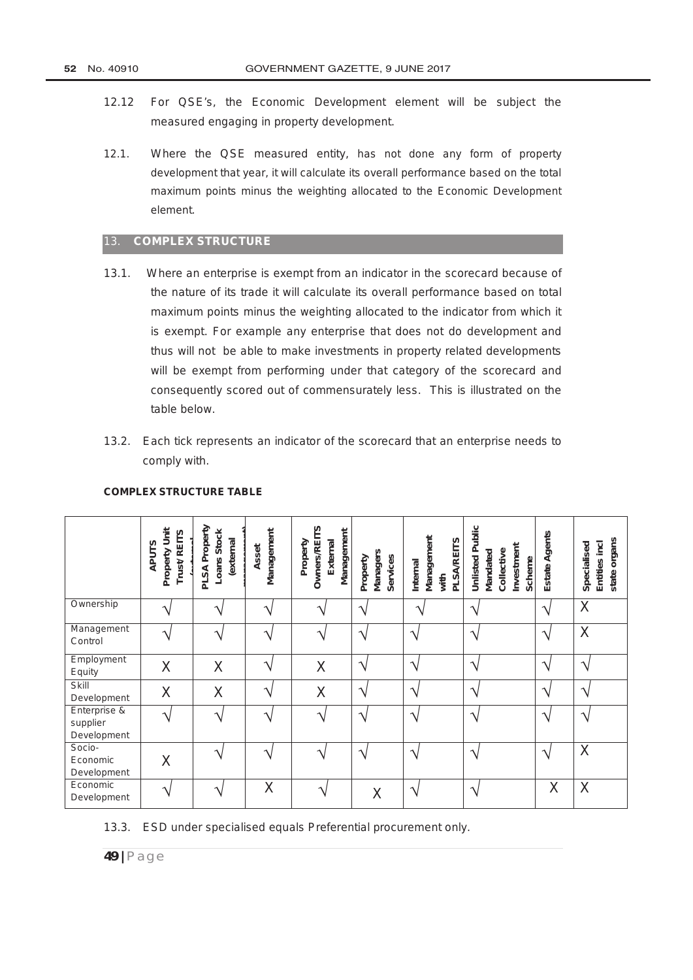- 12.12 For QSE's, the Economic Development element will be subject the measured engaging in property development.
- 12.1. Where the QSE measured entity, has not done any form of property development that year, it will calculate its overall performance based on the total maximum points minus the weighting allocated to the Economic Development element.

#### 13. **COMPLEX STRUCTURE**

- 13.1. Where an enterprise is exempt from an indicator in the scorecard because of the nature of its trade it will calculate its overall performance based on total maximum points minus the weighting allocated to the indicator from which it is exempt. For example any enterprise that does not do development and thus will not be able to make investments in property related developments will be exempt from performing under that category of the scorecard and consequently scored out of commensurately less. This is illustrated on the table below.
- 13.2. Each tick represents an indicator of the scorecard that an enterprise needs to comply with.

|                                                               | Property Unit<br>Trust/REITS<br><b>APUTS</b> | PLSA Property<br>Loans Stock<br>(external | Management<br>Asset        | <b>Owners/REITS</b><br>Management<br>Property<br>External | <b>Managers</b><br>Services<br>Property | Management<br><b>PLSA/REITS</b><br>Internal<br>with | <b>Unlisted Public</b><br>Investment<br>Collective<br>Mandated<br>Scheme | Estate Agents              | organs<br>Entities incl<br>Specialised<br>state |
|---------------------------------------------------------------|----------------------------------------------|-------------------------------------------|----------------------------|-----------------------------------------------------------|-----------------------------------------|-----------------------------------------------------|--------------------------------------------------------------------------|----------------------------|-------------------------------------------------|
| Ownership                                                     |                                              |                                           | ٦                          |                                                           | ٦                                       | ᄾ                                                   | ٦                                                                        | $\mathcal{L}$              | X                                               |
| Management<br>Control                                         |                                              | ٦                                         | $\boldsymbol{\mathcal{A}}$ |                                                           | ٦                                       | $\boldsymbol{\Lambda}$                              | ٦                                                                        | $\boldsymbol{\Lambda}$     | X                                               |
| Employment<br>Equity                                          | X                                            | X                                         | ٦                          | X                                                         | $\mathcal{L}$                           | ٦                                                   | ٦                                                                        | J.                         | ٦                                               |
| Skill<br>Development                                          | $\times$                                     | X                                         | ٦                          | X                                                         | ٦                                       | $\boldsymbol{\mathcal{A}}$                          | $\boldsymbol{\mathcal{A}}$                                               | ٦                          | ٦                                               |
| Enterprise $\overline{\mathbf{g}}$<br>supplier<br>Development |                                              | ٦                                         | $\mathbf \Lambda$          |                                                           | ٦                                       | $\boldsymbol{\mathcal{A}}$                          | ٦                                                                        | $\boldsymbol{\mathcal{A}}$ | $\mathcal{L}$                                   |
| Socio-<br>Economic<br>Development                             | X                                            |                                           | ٦                          |                                                           | ٦                                       | $\boldsymbol{\mathcal{A}}$                          | ٦                                                                        | $\mathcal{L}$              | X                                               |
| Economic<br>Development                                       |                                              | ٦                                         | X                          | $\mathcal{N}$                                             | X                                       | $\mathcal{L}$                                       | ٦                                                                        | Χ                          | X                                               |

#### **COMPLEX STRUCTURE TABLE**

#### 13.3. ESD under specialised equals Preferential procurement only.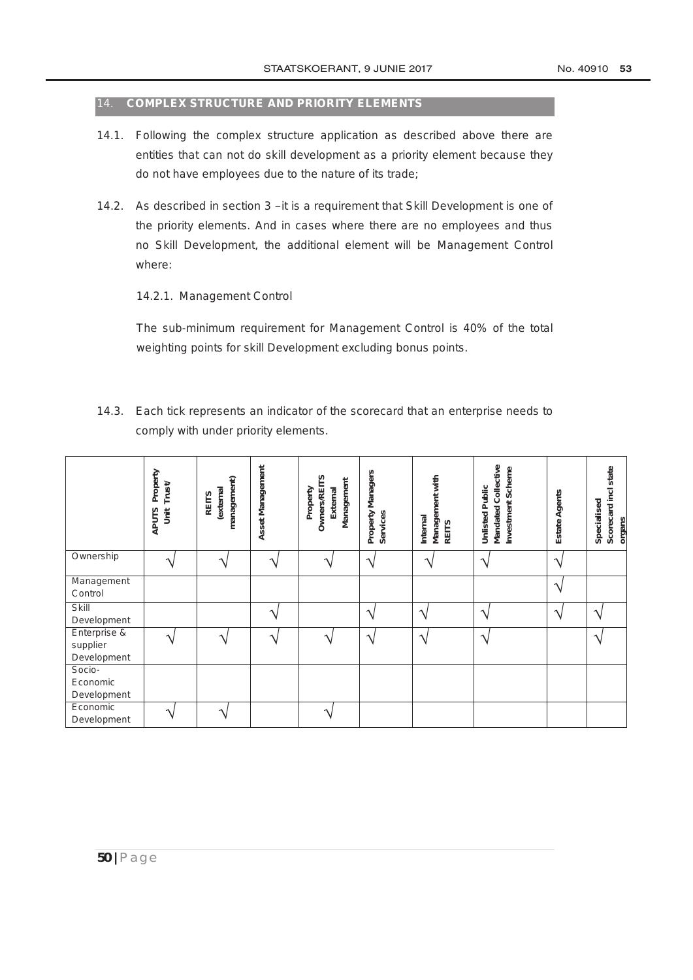#### 14. **COMPLEX STRUCTURE AND PRIORITY ELEMENTS**

- 14.1. Following the complex structure application as described above there are entities that can not do skill development as a priority element because they do not have employees due to the nature of its trade;
- 14.2. As described in section 3 –it is a requirement that Skill Development is one of the priority elements. And in cases where there are no employees and thus no Skill Development, the additional element will be Management Control where:

#### 14.2.1. Management Control

The sub-minimum requirement for Management Control is 40% of the total weighting points for skill Development excluding bonus points.

14.3. Each tick represents an indicator of the scorecard that an enterprise needs to comply with under priority elements.

|                                         | Property<br>Trust<br>j<br><b>APUTS</b> | management)<br>(external<br><b>REITS</b> | Asset Management | <b>Owners/REITS</b><br>Management<br>External<br>Property | Property Managers<br><b>Services</b> | Management with<br>Internal<br><b>REITS</b> | Mandated Collective<br>Investment Scheme<br><b>Unlisted Public</b> | Agents<br><b>Estate</b> | Scorecard incl state<br>Specialised<br>organs |
|-----------------------------------------|----------------------------------------|------------------------------------------|------------------|-----------------------------------------------------------|--------------------------------------|---------------------------------------------|--------------------------------------------------------------------|-------------------------|-----------------------------------------------|
| Ownership                               | へ                                      | へ                                        |                  |                                                           | $\mathbf \Lambda$                    | ᄾ                                           | $\triangleleft$                                                    | へ                       |                                               |
| Management<br>Control                   |                                        |                                          |                  |                                                           |                                      |                                             |                                                                    | ٦                       |                                               |
| Skill<br>Development                    |                                        |                                          |                  |                                                           | ᄾ                                    | $\overline{\phantom{a}}$                    | $\mathbf \Lambda$                                                  | $\mathcal{L}$           | へ                                             |
| Enterprise &<br>supplier<br>Development |                                        |                                          |                  |                                                           | $\mathbf \Lambda$                    | ᄾ                                           | ٦                                                                  |                         | へ                                             |
| Socio-<br>Economic<br>Development       |                                        |                                          |                  |                                                           |                                      |                                             |                                                                    |                         |                                               |
| Economic<br>Development                 |                                        |                                          |                  |                                                           |                                      |                                             |                                                                    |                         |                                               |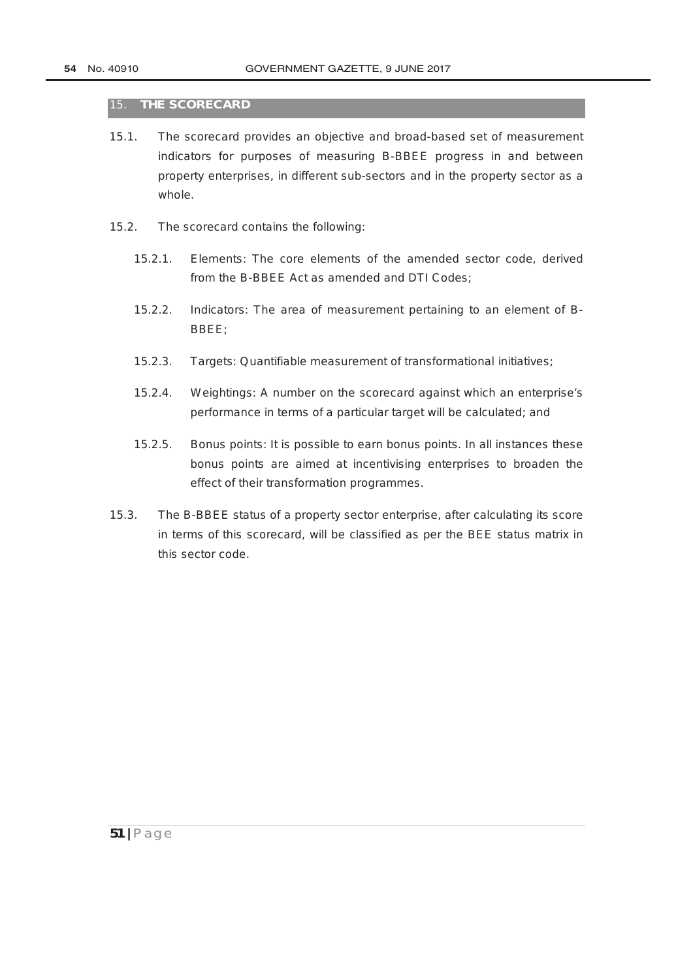#### 15. **THE SCORECARD**

- 15.1. The scorecard provides an objective and broad-based set of measurement indicators for purposes of measuring B-BBEE progress in and between property enterprises, in different sub-sectors and in the property sector as a whole.
- 15.2. The scorecard contains the following:
	- 15.2.1. Elements: The core elements of the amended sector code, derived from the B-BBEE Act as amended and DTI Codes;
	- 15.2.2. Indicators: The area of measurement pertaining to an element of B-BBEE;
	- 15.2.3. Targets: Quantifiable measurement of transformational initiatives;
	- 15.2.4. Weightings: A number on the scorecard against which an enterprise's performance in terms of a particular target will be calculated; and
	- 15.2.5. Bonus points: It is possible to earn bonus points. In all instances these bonus points are aimed at incentivising enterprises to broaden the effect of their transformation programmes.
- 15.3. The B-BBEE status of a property sector enterprise, after calculating its score in terms of this scorecard, will be classified as per the BEE status matrix in this sector code.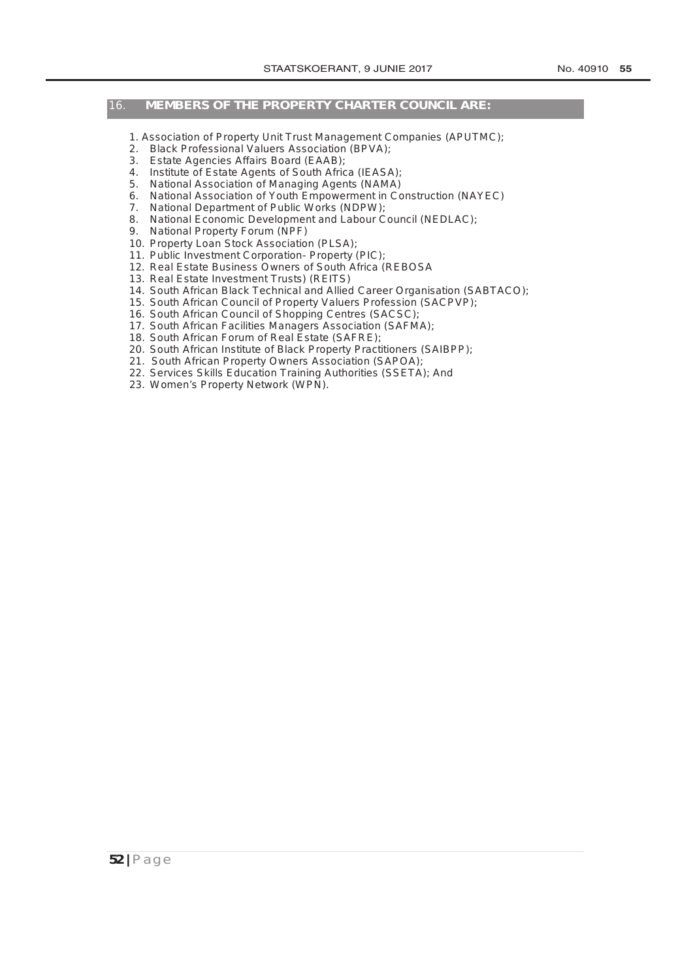# 16. **MEMBERS OF THE PROPERTY CHARTER COUNCIL ARE:**

- 1. Association of Property Unit Trust Management Companies (APUTMC);
- 2. Black Professional Valuers Association (BPVA);
- 3. Estate Agencies Affairs Board (EAAB);
- 4. Institute of Estate Agents of South Africa (IEASA);
- 5. National Association of Managing Agents (NAMA)
- 6. National Association of Youth Empowerment in Construction (NAYEC)
- 7. National [Department of Public Works](http://www.greengazette.co.za/departments/public-works) (NDPW);
- 8. National Economic Development and Labour Council (NEDLAC);
- 9. National Property Forum (NPF)
- 10. Property Loan Stock Association (PLSA);
- 11. Public Investment Corporation- Property (PIC);
- 12. Real Estate Business Owners of South Africa (REBOSA
- 13. Real Estate Investment Trusts) (REITS)
- 14. South African Black Technical and Allied Career Organisation (SABTACO);
- 15. South African Council of Property Valuers Profession (SACPVP);
- 16. South African Council of Shopping Centres (SACSC);
- 17. South African Facilities Managers Association (SAFMA);
- 18. South African Forum of Real Estate (SAFRE);
- 20. South African Institute of Black Property Practitioners (SAIBPP);
- 21. South African Property Owners Association (SAPOA);
- 22. Services Skills Education Training Authorities (SSETA); And
- 23. Women's Property Network (WPN).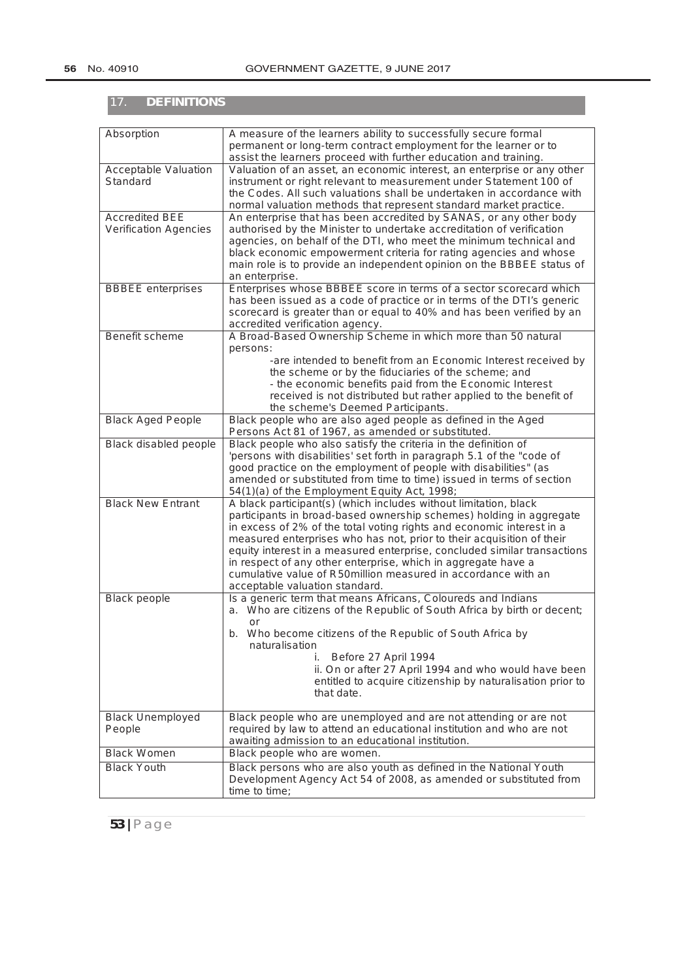| <b>DEFINITIONS</b><br>17.                             |                                                                                                                                                                                                                                                                                                                                                                                                                                                                                                                                           |
|-------------------------------------------------------|-------------------------------------------------------------------------------------------------------------------------------------------------------------------------------------------------------------------------------------------------------------------------------------------------------------------------------------------------------------------------------------------------------------------------------------------------------------------------------------------------------------------------------------------|
| Absorption                                            | A measure of the learners ability to successfully secure formal<br>permanent or long-term contract employment for the learner or to<br>assist the learners proceed with further education and training.                                                                                                                                                                                                                                                                                                                                   |
| Acceptable Valuation<br>Standard                      | Valuation of an asset, an economic interest, an enterprise or any other<br>instrument or right relevant to measurement under Statement 100 of<br>the Codes. All such valuations shall be undertaken in accordance with<br>normal valuation methods that represent standard market practice.                                                                                                                                                                                                                                               |
| <b>Accredited BEE</b><br><b>Verification Agencies</b> | An enterprise that has been accredited by SANAS, or any other body<br>authorised by the Minister to undertake accreditation of verification<br>agencies, on behalf of the DTI, who meet the minimum technical and<br>black economic empowerment criteria for rating agencies and whose<br>main role is to provide an independent opinion on the BBBEE status of<br>an enterprise.                                                                                                                                                         |
| <b>BBBEE</b> enterprises                              | Enterprises whose BBBEE score in terms of a sector scorecard which<br>has been issued as a code of practice or in terms of the DTI's generic<br>scorecard is greater than or equal to 40% and has been verified by an<br>accredited verification agency.                                                                                                                                                                                                                                                                                  |
| <b>Benefit scheme</b>                                 | A Broad-Based Ownership Scheme in which more than 50 natural<br>persons:<br>-are intended to benefit from an Economic Interest received by<br>the scheme or by the fiduciaries of the scheme; and<br>- the economic benefits paid from the Economic Interest<br>received is not distributed but rather applied to the benefit of<br>the scheme's Deemed Participants.                                                                                                                                                                     |
| <b>Black Aged People</b>                              | Black people who are also aged people as defined in the Aged<br>Persons Act 81 of 1967, as amended or substituted.                                                                                                                                                                                                                                                                                                                                                                                                                        |
| <b>Black disabled people</b>                          | Black people who also satisfy the criteria in the definition of<br>'persons with disabilities' set forth in paragraph 5.1 of the "code of<br>good practice on the employment of people with disabilities" (as<br>amended or substituted from time to time) issued in terms of section<br>54(1)(a) of the Employment Equity Act, 1998;                                                                                                                                                                                                     |
| <b>Black New Entrant</b>                              | A black participant(s) (which includes without limitation, black<br>participants in broad-based ownership schemes) holding in aggregate<br>in excess of 2% of the total voting rights and economic interest in a<br>measured enterprises who has not, prior to their acquisition of their<br>equity interest in a measured enterprise, concluded similar transactions<br>in respect of any other enterprise, which in aggregate have a<br>cumulative value of R50million measured in accordance with an<br>acceptable valuation standard. |
| <b>Black people</b>                                   | Is a generic term that means Africans, Coloureds and Indians<br>a. Who are citizens of the Republic of South Africa by birth or decent;<br><b>or</b><br>Who become citizens of the Republic of South Africa by<br>b.<br>naturalisation<br>Before 27 April 1994<br>Í.<br>ii. On or after 27 April 1994 and who would have been<br>entitled to acquire citizenship by naturalisation prior to<br>that date.                                                                                                                                 |
| <b>Black Unemployed</b><br>People                     | Black people who are unemployed and are not attending or are not<br>required by law to attend an educational institution and who are not<br>awaiting admission to an educational institution.                                                                                                                                                                                                                                                                                                                                             |
| <b>Black Women</b>                                    | Black people who are women.                                                                                                                                                                                                                                                                                                                                                                                                                                                                                                               |
| <b>Black Youth</b>                                    | Black persons who are also youth as defined in the National Youth<br>Development Agency Act 54 of 2008, as amended or substituted from<br>time to time;                                                                                                                                                                                                                                                                                                                                                                                   |

**53 |** Page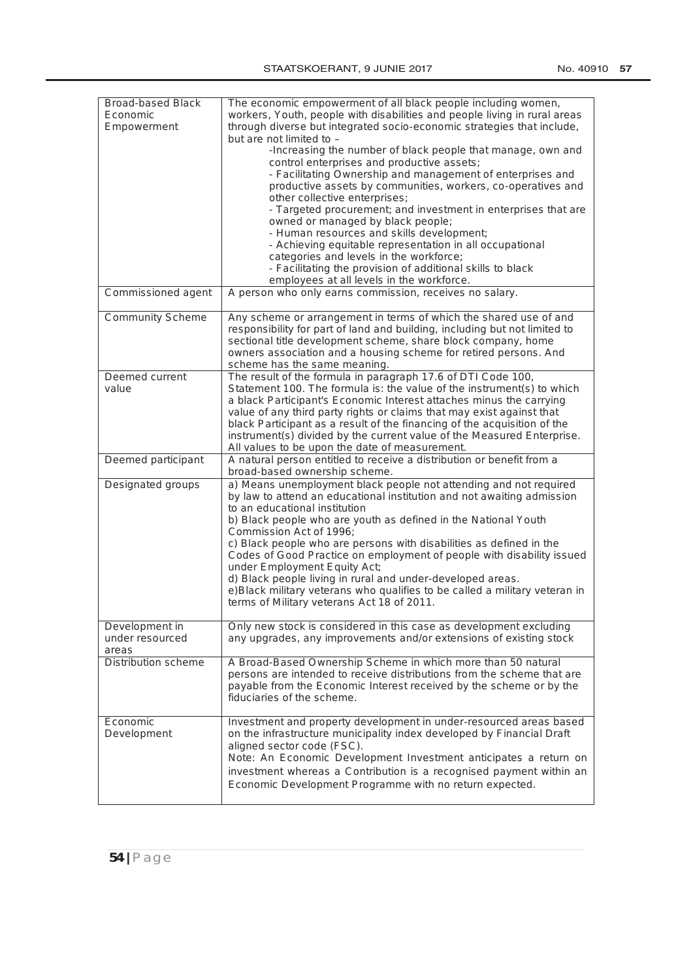| <b>Broad-based Black</b><br>Economic<br>Empowerment | The economic empowerment of all black people including women,<br>workers, Youth, people with disabilities and people living in rural areas<br>through diverse but integrated socio-economic strategies that include, |
|-----------------------------------------------------|----------------------------------------------------------------------------------------------------------------------------------------------------------------------------------------------------------------------|
|                                                     | but are not limited to -<br>-Increasing the number of black people that manage, own and                                                                                                                              |
|                                                     | control enterprises and productive assets;                                                                                                                                                                           |
|                                                     | - Facilitating Ownership and management of enterprises and<br>productive assets by communities, workers, co-operatives and<br>other collective enterprises;                                                          |
|                                                     | - Targeted procurement; and investment in enterprises that are                                                                                                                                                       |
|                                                     | owned or managed by black people;                                                                                                                                                                                    |
|                                                     | - Human resources and skills development;<br>- Achieving equitable representation in all occupational                                                                                                                |
|                                                     | categories and levels in the workforce;                                                                                                                                                                              |
|                                                     | - Facilitating the provision of additional skills to black                                                                                                                                                           |
|                                                     | employees at all levels in the workforce.                                                                                                                                                                            |
| Commissioned agent                                  | A person who only earns commission, receives no salary.                                                                                                                                                              |
| <b>Community Scheme</b>                             | Any scheme or arrangement in terms of which the shared use of and                                                                                                                                                    |
|                                                     | responsibility for part of land and building, including but not limited to                                                                                                                                           |
|                                                     | sectional title development scheme, share block company, home                                                                                                                                                        |
|                                                     | owners association and a housing scheme for retired persons. And<br>scheme has the same meaning.                                                                                                                     |
| Deemed current                                      | The result of the formula in paragraph 17.6 of DTI Code 100,                                                                                                                                                         |
| value                                               | Statement 100. The formula is: the value of the instrument(s) to which                                                                                                                                               |
|                                                     | a black Participant's Economic Interest attaches minus the carrying                                                                                                                                                  |
|                                                     | value of any third party rights or claims that may exist against that                                                                                                                                                |
|                                                     | black Participant as a result of the financing of the acquisition of the<br>instrument(s) divided by the current value of the Measured Enterprise.                                                                   |
|                                                     | All values to be upon the date of measurement.                                                                                                                                                                       |
| Deemed participant                                  | A natural person entitled to receive a distribution or benefit from a                                                                                                                                                |
|                                                     | broad-based ownership scheme.                                                                                                                                                                                        |
| Designated groups                                   | a) Means unemployment black people not attending and not required<br>by law to attend an educational institution and not awaiting admission<br>to an educational institution                                         |
|                                                     | b) Black people who are youth as defined in the National Youth<br>Commission Act of 1996;                                                                                                                            |
|                                                     | c) Black people who are persons with disabilities as defined in the<br>Codes of Good Practice on employment of people with disability issued                                                                         |
|                                                     | under Employment Equity Act;                                                                                                                                                                                         |
|                                                     | d) Black people living in rural and under-developed areas.                                                                                                                                                           |
|                                                     | e)Black military veterans who qualifies to be called a military veteran in<br>terms of Military veterans Act 18 of 2011.                                                                                             |
|                                                     |                                                                                                                                                                                                                      |
| Development in                                      | Only new stock is considered in this case as development excluding                                                                                                                                                   |
| under resourced                                     | any upgrades, any improvements and/or extensions of existing stock                                                                                                                                                   |
| areas<br><b>Distribution scheme</b>                 | A Broad-Based Ownership Scheme in which more than 50 natural                                                                                                                                                         |
|                                                     | persons are intended to receive distributions from the scheme that are<br>payable from the Economic Interest received by the scheme or by the                                                                        |
|                                                     | fiduciaries of the scheme.                                                                                                                                                                                           |
| Economic                                            | Investment and property development in under-resourced areas based                                                                                                                                                   |
| Development                                         | on the infrastructure municipality index developed by Financial Draft<br>aligned sector code (FSC).                                                                                                                  |
|                                                     | Note: An Economic Development Investment anticipates a return on                                                                                                                                                     |
|                                                     | investment whereas a Contribution is a recognised payment within an                                                                                                                                                  |
|                                                     | Economic Development Programme with no return expected.                                                                                                                                                              |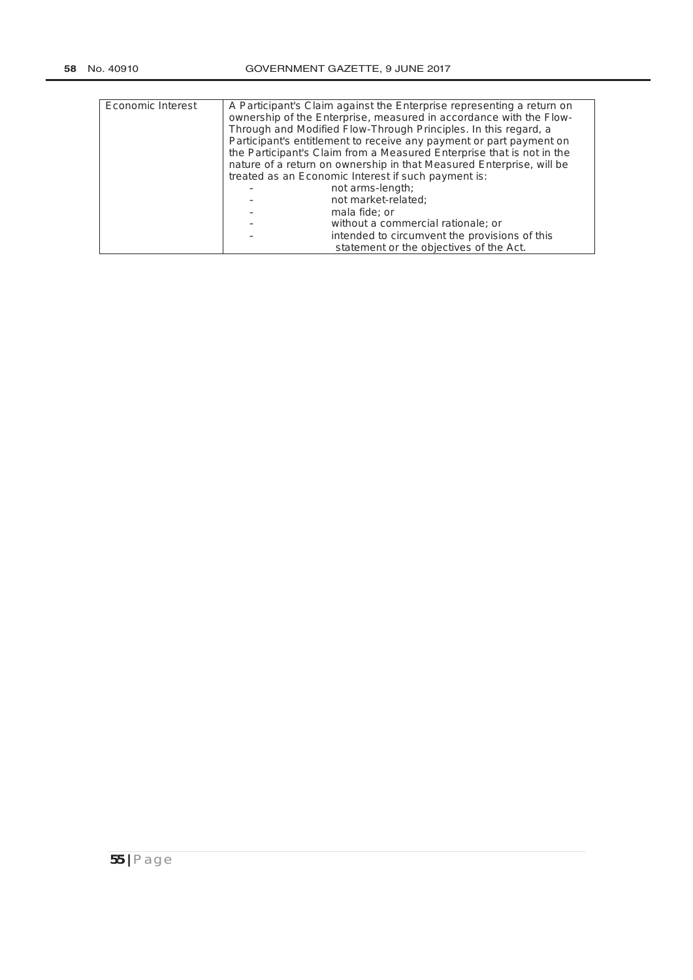| Economic Interest | A Participant's Claim against the Enterprise representing a return on<br>ownership of the Enterprise, measured in accordance with the Flow-<br>Through and Modified Flow-Through Principles. In this regard, a<br>Participant's entitlement to receive any payment or part payment on<br>the Participant's Claim from a Measured Enterprise that is not in the<br>nature of a return on ownership in that Measured Enterprise, will be<br>treated as an Economic Interest if such payment is: |                                               |
|-------------------|-----------------------------------------------------------------------------------------------------------------------------------------------------------------------------------------------------------------------------------------------------------------------------------------------------------------------------------------------------------------------------------------------------------------------------------------------------------------------------------------------|-----------------------------------------------|
|                   |                                                                                                                                                                                                                                                                                                                                                                                                                                                                                               | not arms-length;                              |
|                   |                                                                                                                                                                                                                                                                                                                                                                                                                                                                                               | not market-related:                           |
|                   |                                                                                                                                                                                                                                                                                                                                                                                                                                                                                               | mala fide; or                                 |
|                   |                                                                                                                                                                                                                                                                                                                                                                                                                                                                                               | without a commercial rationale; or            |
|                   |                                                                                                                                                                                                                                                                                                                                                                                                                                                                                               | intended to circumvent the provisions of this |
|                   |                                                                                                                                                                                                                                                                                                                                                                                                                                                                                               | statement or the objectives of the Act.       |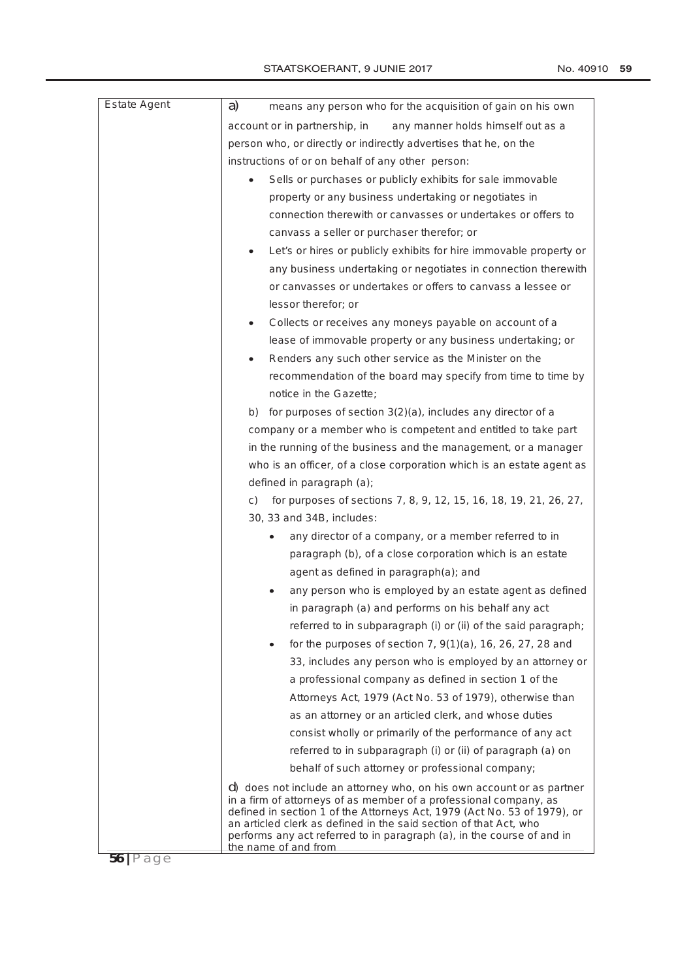| <b>Estate Agent</b> | means any person who for the acquisition of gain on his own<br>a)                                                                                                                                                                                                                                                                                                                             |  |
|---------------------|-----------------------------------------------------------------------------------------------------------------------------------------------------------------------------------------------------------------------------------------------------------------------------------------------------------------------------------------------------------------------------------------------|--|
|                     | account or in partnership, in<br>any manner holds himself out as a                                                                                                                                                                                                                                                                                                                            |  |
|                     | person who, or directly or indirectly advertises that he, on the                                                                                                                                                                                                                                                                                                                              |  |
|                     | instructions of or on behalf of any other person:                                                                                                                                                                                                                                                                                                                                             |  |
|                     | Sells or purchases or publicly exhibits for sale immovable                                                                                                                                                                                                                                                                                                                                    |  |
|                     | property or any business undertaking or negotiates in                                                                                                                                                                                                                                                                                                                                         |  |
|                     | connection therewith or canvasses or undertakes or offers to                                                                                                                                                                                                                                                                                                                                  |  |
|                     | canvass a seller or purchaser therefor; or                                                                                                                                                                                                                                                                                                                                                    |  |
|                     | Let's or hires or publicly exhibits for hire immovable property or                                                                                                                                                                                                                                                                                                                            |  |
|                     | any business undertaking or negotiates in connection therewith                                                                                                                                                                                                                                                                                                                                |  |
|                     | or canvasses or undertakes or offers to canvass a lessee or                                                                                                                                                                                                                                                                                                                                   |  |
|                     | lessor therefor; or                                                                                                                                                                                                                                                                                                                                                                           |  |
|                     | Collects or receives any moneys payable on account of a<br>٠                                                                                                                                                                                                                                                                                                                                  |  |
|                     | lease of immovable property or any business undertaking; or                                                                                                                                                                                                                                                                                                                                   |  |
|                     | Renders any such other service as the Minister on the                                                                                                                                                                                                                                                                                                                                         |  |
|                     | recommendation of the board may specify from time to time by                                                                                                                                                                                                                                                                                                                                  |  |
|                     | notice in the Gazette;                                                                                                                                                                                                                                                                                                                                                                        |  |
|                     | for purposes of section 3(2)(a), includes any director of a<br>b)                                                                                                                                                                                                                                                                                                                             |  |
|                     | company or a member who is competent and entitled to take part                                                                                                                                                                                                                                                                                                                                |  |
|                     | in the running of the business and the management, or a manager                                                                                                                                                                                                                                                                                                                               |  |
|                     | who is an officer, of a close corporation which is an estate agent as                                                                                                                                                                                                                                                                                                                         |  |
|                     | defined in paragraph (a);                                                                                                                                                                                                                                                                                                                                                                     |  |
|                     | for purposes of sections 7, 8, 9, 12, 15, 16, 18, 19, 21, 26, 27,<br>C)                                                                                                                                                                                                                                                                                                                       |  |
|                     | 30, 33 and 34B, includes:                                                                                                                                                                                                                                                                                                                                                                     |  |
|                     | any director of a company, or a member referred to in                                                                                                                                                                                                                                                                                                                                         |  |
|                     | paragraph (b), of a close corporation which is an estate                                                                                                                                                                                                                                                                                                                                      |  |
|                     | agent as defined in paragraph(a); and                                                                                                                                                                                                                                                                                                                                                         |  |
|                     | any person who is employed by an estate agent as defined                                                                                                                                                                                                                                                                                                                                      |  |
|                     | in paragraph (a) and performs on his behalf any act                                                                                                                                                                                                                                                                                                                                           |  |
|                     | referred to in subparagraph (i) or (ii) of the said paragraph;                                                                                                                                                                                                                                                                                                                                |  |
|                     | for the purposes of section 7, $9(1)(a)$ , 16, 26, 27, 28 and                                                                                                                                                                                                                                                                                                                                 |  |
|                     | 33, includes any person who is employed by an attorney or                                                                                                                                                                                                                                                                                                                                     |  |
|                     | a professional company as defined in section 1 of the                                                                                                                                                                                                                                                                                                                                         |  |
|                     | Attorneys Act, 1979 (Act No. 53 of 1979), otherwise than                                                                                                                                                                                                                                                                                                                                      |  |
|                     | as an attorney or an articled clerk, and whose duties                                                                                                                                                                                                                                                                                                                                         |  |
|                     | consist wholly or primarily of the performance of any act                                                                                                                                                                                                                                                                                                                                     |  |
|                     | referred to in subparagraph (i) or (ii) of paragraph (a) on                                                                                                                                                                                                                                                                                                                                   |  |
|                     | behalf of such attorney or professional company;                                                                                                                                                                                                                                                                                                                                              |  |
|                     |                                                                                                                                                                                                                                                                                                                                                                                               |  |
|                     | d) does not include an attorney who, on his own account or as partner<br>in a firm of attorneys of as member of a professional company, as<br>defined in section 1 of the Attorneys Act, 1979 (Act No. 53 of 1979), or<br>an articled clerk as defined in the said section of that Act, who<br>performs any act referred to in paragraph (a), in the course of and in<br>the name of and from |  |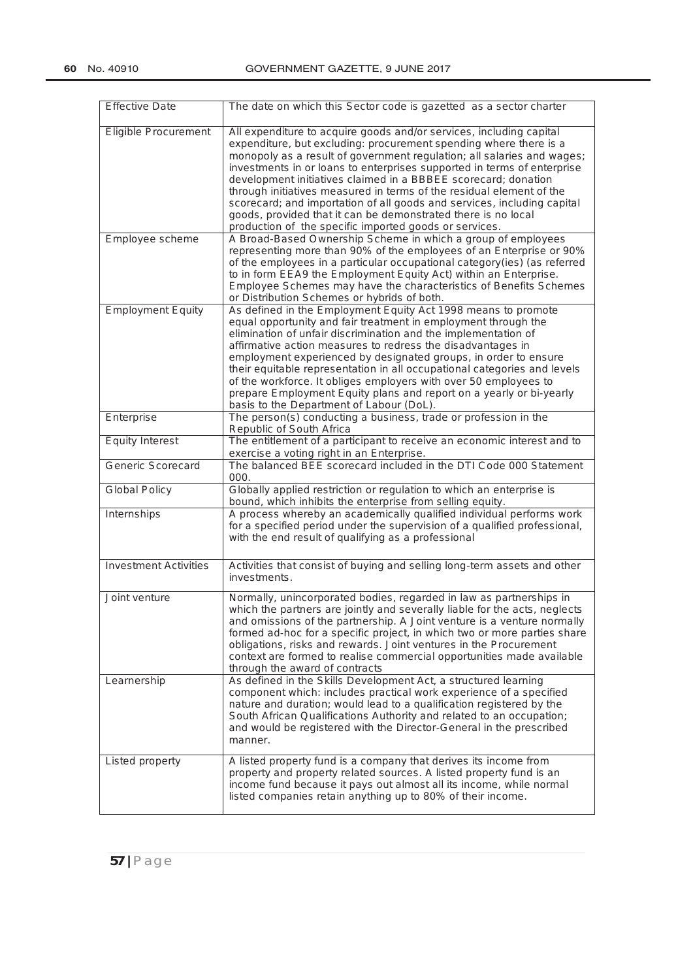| <b>Effective Date</b>        | The date on which this Sector code is gazetted as a sector charter                                                                                                                                                                                                                                                                                                                                                                                                                                                                                                                                                                            |
|------------------------------|-----------------------------------------------------------------------------------------------------------------------------------------------------------------------------------------------------------------------------------------------------------------------------------------------------------------------------------------------------------------------------------------------------------------------------------------------------------------------------------------------------------------------------------------------------------------------------------------------------------------------------------------------|
| <b>Eligible Procurement</b>  | All expenditure to acquire goods and/or services, including capital<br>expenditure, but excluding: procurement spending where there is a<br>monopoly as a result of government regulation; all salaries and wages;<br>investments in or loans to enterprises supported in terms of enterprise<br>development initiatives claimed in a BBBEE scorecard; donation<br>through initiatives measured in terms of the residual element of the<br>scorecard; and importation of all goods and services, including capital<br>goods, provided that it can be demonstrated there is no local<br>production of the specific imported goods or services. |
| Employee scheme              | A Broad-Based Ownership Scheme in which a group of employees<br>representing more than 90% of the employees of an Enterprise or 90%<br>of the employees in a particular occupational category(ies) (as referred<br>to in form EEA9 the Employment Equity Act) within an Enterprise.<br>Employee Schemes may have the characteristics of Benefits Schemes<br>or Distribution Schemes or hybrids of both.                                                                                                                                                                                                                                       |
| <b>Employment Equity</b>     | As defined in the Employment Equity Act 1998 means to promote<br>equal opportunity and fair treatment in employment through the<br>elimination of unfair discrimination and the implementation of<br>affirmative action measures to redress the disadvantages in<br>employment experienced by designated groups, in order to ensure<br>their equitable representation in all occupational categories and levels<br>of the workforce. It obliges employers with over 50 employees to<br>prepare Employment Equity plans and report on a yearly or bi-yearly<br>basis to the Department of Labour (DoL).                                        |
| Enterprise                   | The person(s) conducting a business, trade or profession in the<br>Republic of South Africa                                                                                                                                                                                                                                                                                                                                                                                                                                                                                                                                                   |
| <b>Equity Interest</b>       | The entitlement of a participant to receive an economic interest and to<br>exercise a voting right in an Enterprise.                                                                                                                                                                                                                                                                                                                                                                                                                                                                                                                          |
| Generic Scorecard            | The balanced BEE scorecard included in the DTI Code 000 Statement<br>000.                                                                                                                                                                                                                                                                                                                                                                                                                                                                                                                                                                     |
| <b>Global Policy</b>         | Globally applied restriction or regulation to which an enterprise is<br>bound, which inhibits the enterprise from selling equity.                                                                                                                                                                                                                                                                                                                                                                                                                                                                                                             |
| <b>Internships</b>           | A process whereby an academically qualified individual performs work<br>for a specified period under the supervision of a qualified professional,<br>with the end result of qualifying as a professional                                                                                                                                                                                                                                                                                                                                                                                                                                      |
| <b>Investment Activities</b> | Activities that consist of buying and selling long-term assets and other<br><i>investments.</i>                                                                                                                                                                                                                                                                                                                                                                                                                                                                                                                                               |
| Joint venture                | Normally, unincorporated bodies, regarded in law as partnerships in<br>which the partners are jointly and severally liable for the acts, neglects<br>and omissions of the partnership. A Joint venture is a venture normally<br>formed ad-hoc for a specific project, in which two or more parties share<br>obligations, risks and rewards. Joint ventures in the Procurement<br>context are formed to realise commercial opportunities made available<br>through the award of contracts                                                                                                                                                      |
| Learnership                  | As defined in the Skills Development Act, a structured learning<br>component which: includes practical work experience of a specified<br>nature and duration; would lead to a qualification registered by the<br>South African Qualifications Authority and related to an occupation;<br>and would be registered with the Director-General in the prescribed<br>manner.                                                                                                                                                                                                                                                                       |
| Listed property              | A listed property fund is a company that derives its income from<br>property and property related sources. A listed property fund is an<br>income fund because it pays out almost all its income, while normal<br>listed companies retain anything up to 80% of their income.                                                                                                                                                                                                                                                                                                                                                                 |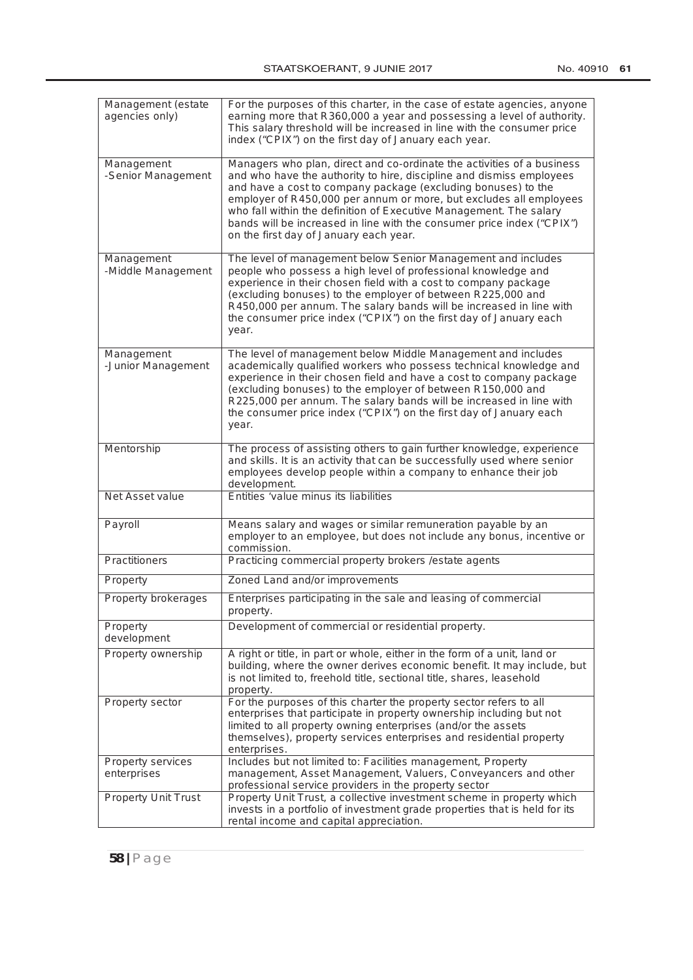| No. 40910 | 61 |
|-----------|----|
|           |    |

| Management (estate<br>agencies only)    | For the purposes of this charter, in the case of estate agencies, anyone<br>earning more that R360,000 a year and possessing a level of authority.<br>This salary threshold will be increased in line with the consumer price<br>index ("CPIX") on the first day of January each year.                                                                                                                                                                                          |
|-----------------------------------------|---------------------------------------------------------------------------------------------------------------------------------------------------------------------------------------------------------------------------------------------------------------------------------------------------------------------------------------------------------------------------------------------------------------------------------------------------------------------------------|
| Management<br>-Senior Management        | Managers who plan, direct and co-ordinate the activities of a business<br>and who have the authority to hire, discipline and dismiss employees<br>and have a cost to company package (excluding bonuses) to the<br>employer of R450,000 per annum or more, but excludes all employees<br>who fall within the definition of Executive Management. The salary<br>bands will be increased in line with the consumer price index ("CPIX")<br>on the first day of January each year. |
| Management<br>-Middle Management        | The level of management below Senior Management and includes<br>people who possess a high level of professional knowledge and<br>experience in their chosen field with a cost to company package<br>(excluding bonuses) to the employer of between R225,000 and<br>R450,000 per annum. The salary bands will be increased in line with<br>the consumer price index ("CPIX") on the first day of January each<br>year.                                                           |
| Management<br>-Junior Management        | The level of management below Middle Management and includes<br>academically qualified workers who possess technical knowledge and<br>experience in their chosen field and have a cost to company package<br>(excluding bonuses) to the employer of between R150,000 and<br>R225,000 per annum. The salary bands will be increased in line with<br>the consumer price index ("CPIX") on the first day of January each<br>year.                                                  |
| Mentorship                              | The process of assisting others to gain further knowledge, experience<br>and skills. It is an activity that can be successfully used where senior<br>employees develop people within a company to enhance their job<br>development.                                                                                                                                                                                                                                             |
| Net Asset value                         | Entities 'value minus its liabilities                                                                                                                                                                                                                                                                                                                                                                                                                                           |
| Payroll                                 | Means salary and wages or similar remuneration payable by an<br>employer to an employee, but does not include any bonus, incentive or<br>commission.                                                                                                                                                                                                                                                                                                                            |
| <b>Practitioners</b>                    | Practicing commercial property brokers / estate agents                                                                                                                                                                                                                                                                                                                                                                                                                          |
| Property                                | Zoned Land and/or improvements                                                                                                                                                                                                                                                                                                                                                                                                                                                  |
| Property brokerages                     | Enterprises participating in the sale and leasing of commercial<br>property.                                                                                                                                                                                                                                                                                                                                                                                                    |
| Property<br>development                 | Development of commercial or residential property.                                                                                                                                                                                                                                                                                                                                                                                                                              |
| Property ownership                      | A right or title, in part or whole, either in the form of a unit, land or<br>building, where the owner derives economic benefit. It may include, but<br>is not limited to, freehold title, sectional title, shares, leasehold<br>property.                                                                                                                                                                                                                                      |
| Property sector                         | For the purposes of this charter the property sector refers to all<br>enterprises that participate in property ownership including but not<br>limited to all property owning enterprises (and/or the assets<br>themselves), property services enterprises and residential property<br>enterprises.                                                                                                                                                                              |
| <b>Property services</b><br>enterprises | Includes but not limited to: Facilities management, Property<br>management, Asset Management, Valuers, Conveyancers and other<br>professional service providers in the property sector                                                                                                                                                                                                                                                                                          |
| <b>Property Unit Trust</b>              | Property Unit Trust, a collective investment scheme in property which<br>invests in a portfolio of investment grade properties that is held for its<br>rental income and capital appreciation.                                                                                                                                                                                                                                                                                  |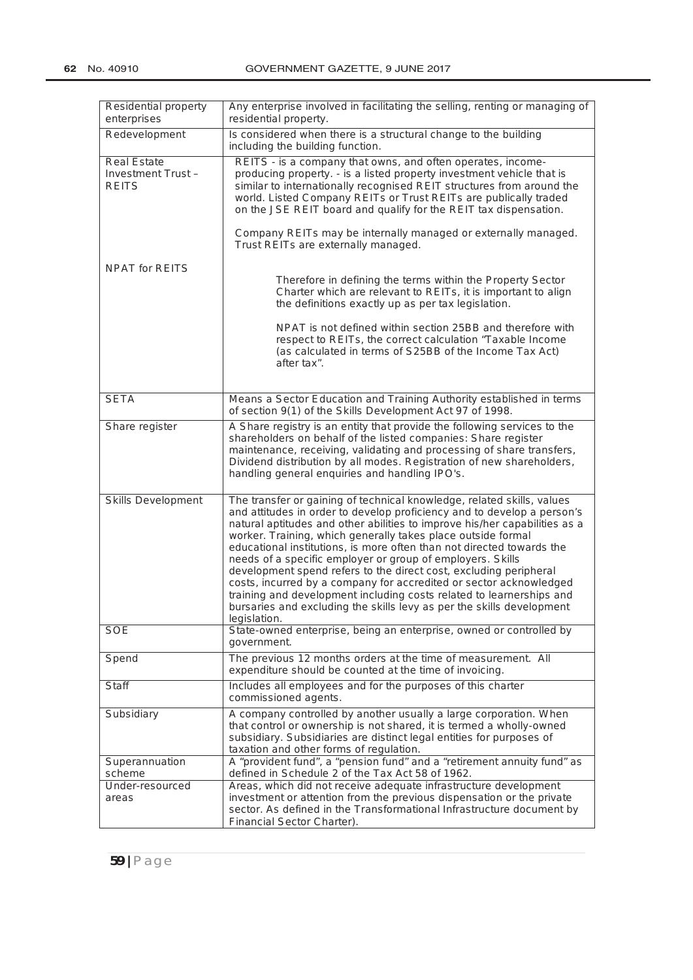| Residential property<br>enterprises                            | Any enterprise involved in facilitating the selling, renting or managing of<br>residential property.                                                                                                                                                                                                                                                                                                                                                                                                                                                                                                                                                                                                                                               |  |
|----------------------------------------------------------------|----------------------------------------------------------------------------------------------------------------------------------------------------------------------------------------------------------------------------------------------------------------------------------------------------------------------------------------------------------------------------------------------------------------------------------------------------------------------------------------------------------------------------------------------------------------------------------------------------------------------------------------------------------------------------------------------------------------------------------------------------|--|
| Redevelopment                                                  | Is considered when there is a structural change to the building<br>including the building function.                                                                                                                                                                                                                                                                                                                                                                                                                                                                                                                                                                                                                                                |  |
| <b>Real Estate</b><br><b>Investment Trust-</b><br><b>REITS</b> | REITS - is a company that owns, and often operates, income-<br>producing property. - is a listed property investment vehicle that is<br>similar to internationally recognised REIT structures from around the<br>world. Listed Company REITs or Trust REITs are publically traded<br>on the JSE REIT board and qualify for the REIT tax dispensation.<br>Company REITs may be internally managed or externally managed.<br>Trust REITs are externally managed.                                                                                                                                                                                                                                                                                     |  |
| <b>NPAT for REITS</b>                                          |                                                                                                                                                                                                                                                                                                                                                                                                                                                                                                                                                                                                                                                                                                                                                    |  |
|                                                                | Therefore in defining the terms within the Property Sector<br>Charter which are relevant to REITs, it is important to align<br>the definitions exactly up as per tax legislation.<br>NPAT is not defined within section 25BB and therefore with<br>respect to REITs, the correct calculation "Taxable Income<br>(as calculated in terms of S25BB of the Income Tax Act)<br>after tax".                                                                                                                                                                                                                                                                                                                                                             |  |
|                                                                |                                                                                                                                                                                                                                                                                                                                                                                                                                                                                                                                                                                                                                                                                                                                                    |  |
| <b>SETA</b>                                                    | Means a Sector Education and Training Authority established in terms<br>of section 9(1) of the Skills Development Act 97 of 1998.                                                                                                                                                                                                                                                                                                                                                                                                                                                                                                                                                                                                                  |  |
| Share register                                                 | A Share registry is an entity that provide the following services to the<br>shareholders on behalf of the listed companies: Share register<br>maintenance, receiving, validating and processing of share transfers,<br>Dividend distribution by all modes. Registration of new shareholders,<br>handling general enquiries and handling IPO's.                                                                                                                                                                                                                                                                                                                                                                                                     |  |
| <b>Skills Development</b>                                      | The transfer or gaining of technical knowledge, related skills, values<br>and attitudes in order to develop proficiency and to develop a person's<br>natural aptitudes and other abilities to improve his/her capabilities as a<br>worker. Training, which generally takes place outside formal<br>educational institutions, is more often than not directed towards the<br>needs of a specific employer or group of employers. Skills<br>development spend refers to the direct cost, excluding peripheral<br>costs, incurred by a company for accredited or sector acknowledged<br>training and development including costs related to learnerships and<br>bursaries and excluding the skills levy as per the skills development<br>legislation. |  |
| <b>SOE</b>                                                     | State-owned enterprise, being an enterprise, owned or controlled by<br>government.                                                                                                                                                                                                                                                                                                                                                                                                                                                                                                                                                                                                                                                                 |  |
| Spend                                                          | The previous 12 months orders at the time of measurement. All<br>expenditure should be counted at the time of invoicing.                                                                                                                                                                                                                                                                                                                                                                                                                                                                                                                                                                                                                           |  |
| <b>Staff</b>                                                   | Includes all employees and for the purposes of this charter<br>commissioned agents.                                                                                                                                                                                                                                                                                                                                                                                                                                                                                                                                                                                                                                                                |  |
| Subsidiary                                                     | A company controlled by another usually a large corporation. When<br>that control or ownership is not shared, it is termed a wholly-owned<br>subsidiary. Subsidiaries are distinct legal entities for purposes of<br>taxation and other forms of regulation.                                                                                                                                                                                                                                                                                                                                                                                                                                                                                       |  |
| Superannuation<br>scheme                                       | A "provident fund", a "pension fund" and a "retirement annuity fund" as<br>defined in Schedule 2 of the Tax Act 58 of 1962.                                                                                                                                                                                                                                                                                                                                                                                                                                                                                                                                                                                                                        |  |
| Under-resourced<br>areas                                       | Areas, which did not receive adequate infrastructure development<br>investment or attention from the previous dispensation or the private<br>sector. As defined in the Transformational Infrastructure document by<br>Financial Sector Charter).                                                                                                                                                                                                                                                                                                                                                                                                                                                                                                   |  |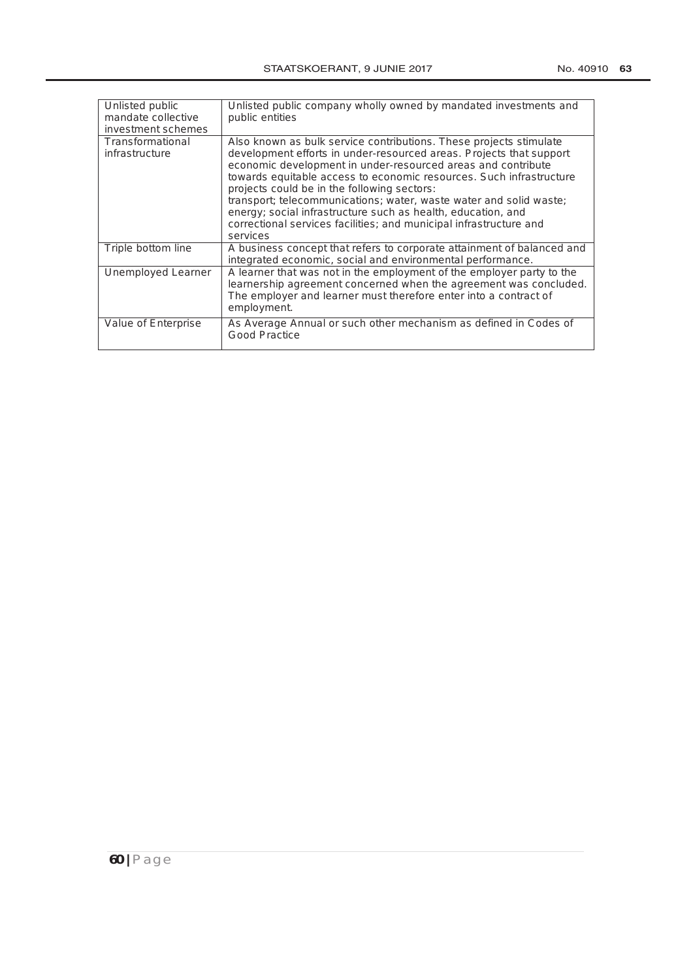| Unlisted public<br>mandate collective<br><i>investment schemes</i> | Unlisted public company wholly owned by mandated investments and<br>public entities                                                                                                                                                                                                                                                                                                                                                                                                                                                                     |
|--------------------------------------------------------------------|---------------------------------------------------------------------------------------------------------------------------------------------------------------------------------------------------------------------------------------------------------------------------------------------------------------------------------------------------------------------------------------------------------------------------------------------------------------------------------------------------------------------------------------------------------|
| <b>Transformational</b><br>infrastructure                          | Also known as bulk service contributions. These projects stimulate<br>development efforts in under-resourced areas. Projects that support<br>economic development in under-resourced areas and contribute<br>towards equitable access to economic resources. Such infrastructure<br>projects could be in the following sectors:<br>transport; telecommunications; water, waste water and solid waste;<br>energy; social infrastructure such as health, education, and<br>correctional services facilities; and municipal infrastructure and<br>services |
| Triple bottom line                                                 | A business concept that refers to corporate attainment of balanced and<br>integrated economic, social and environmental performance.                                                                                                                                                                                                                                                                                                                                                                                                                    |
| Unemployed Learner                                                 | A learner that was not in the employment of the employer party to the<br>learnership agreement concerned when the agreement was concluded.<br>The employer and learner must therefore enter into a contract of<br>employment.                                                                                                                                                                                                                                                                                                                           |
| Value of Enterprise                                                | As Average Annual or such other mechanism as defined in Codes of<br>Good Practice                                                                                                                                                                                                                                                                                                                                                                                                                                                                       |